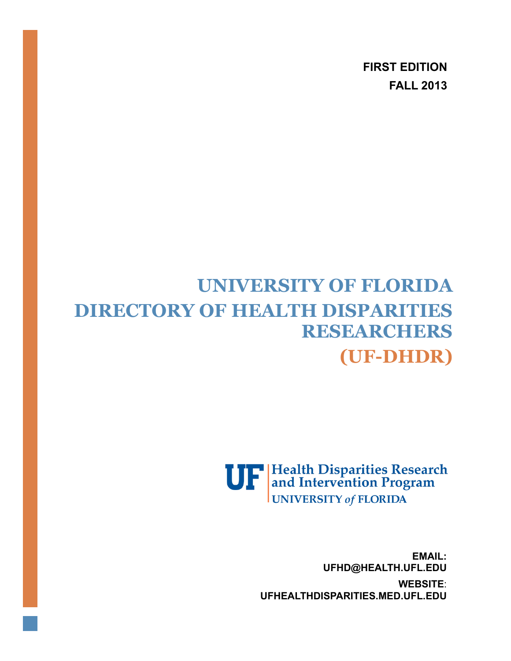**FIRST EDITION FALL 2013**

# **UNIVERSITY OF FLORIDA DIRECTORY OF HEALTH DISPARITIES RESEARCHERS (UF-DHDR)**

**UP** Health Disparities Research **UNIVERSITY of FLORIDA** 

> **EMAIL: [UFHD@HEALTH.UFL.EDU](mailto:ufhd@Health.ufl.edu) WEBSITE**: **UFHEALTHDISPARITIES.MED.UFL.EDU**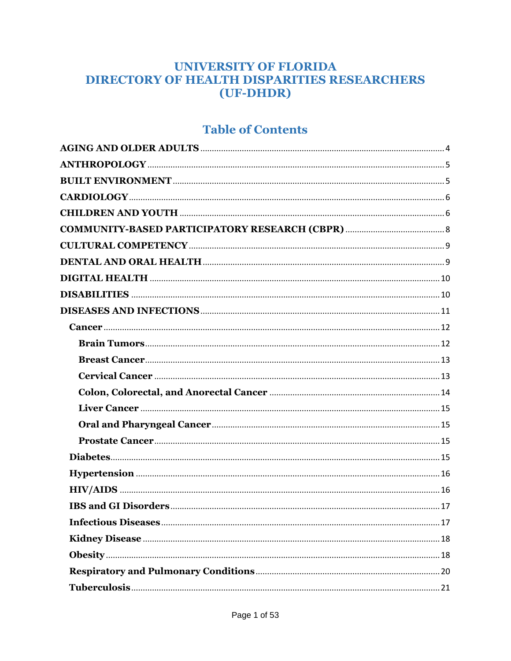### **UNIVERSITY OF FLORIDA DIRECTORY OF HEALTH DISPARITIES RESEARCHERS** (UF-DHDR)

### **Table of Contents**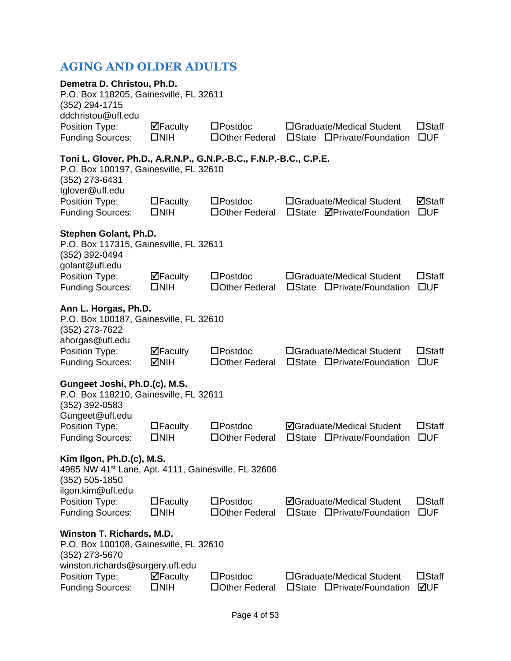### <span id="page-4-0"></span>**AGING AND OLDER ADULTS**

| Demetra D. Christou, Ph.D.<br>P.O. Box 118205, Gainesville, FL 32611<br>(352) 294-1715<br>ddchristou@ufl.edu                                     |                                 |                                      |                                                                            |                                 |  |  |
|--------------------------------------------------------------------------------------------------------------------------------------------------|---------------------------------|--------------------------------------|----------------------------------------------------------------------------|---------------------------------|--|--|
| Position Type:<br><b>Funding Sources:</b>                                                                                                        | ⊠Faculty<br>$\square$ NIH       | $\square$ Postdoc<br>□ Other Federal | □Graduate/Medical Student<br>□State □Private/Foundation                    | $\square$ Staff<br>$\square$ UF |  |  |
| Toni L. Glover, Ph.D., A.R.N.P., G.N.P.-B.C., F.N.P.-B.C., C.P.E.<br>P.O. Box 100197, Gainesville, FL 32610<br>(352) 273-6431<br>tglover@ufl.edu |                                 |                                      |                                                                            |                                 |  |  |
| Position Type:<br><b>Funding Sources:</b>                                                                                                        | $\Box$ Faculty<br>$\square$ NIH | $\square$ Postdoc<br>□Other Federal  | □Graduate/Medical Student<br>□State <b>ØPrivate/Foundation</b>             | ⊠Staff<br>$\square$ UF          |  |  |
| Stephen Golant, Ph.D.<br>P.O. Box 117315, Gainesville, FL 32611<br>(352) 392-0494<br>golant@ufl.edu                                              |                                 |                                      |                                                                            |                                 |  |  |
| Position Type:<br><b>Funding Sources:</b>                                                                                                        | ⊠Faculty<br>$\square$ NIH       | $\square$ Postdoc<br>□Other Federal  | □Graduate/Medical Student<br>□State □Private/Foundation                    | $\square$ Staff<br>$\square$ UF |  |  |
| Ann L. Horgas, Ph.D.<br>P.O. Box 100187, Gainesville, FL 32610<br>(352) 273-7622                                                                 |                                 |                                      |                                                                            |                                 |  |  |
| ahorgas@ufl.edu<br>Position Type:<br><b>Funding Sources:</b>                                                                                     | ⊠Faculty<br><b>MNIH</b>         | $\square$ Postdoc<br>□Other Federal  | □Graduate/Medical Student<br>□State □Private/Foundation                    | $\square$ Staff<br>$\square$ UF |  |  |
| Gungeet Joshi, Ph.D.(c), M.S.<br>P.O. Box 118210, Gainesville, FL 32611<br>$(352)$ 392-0583                                                      |                                 |                                      |                                                                            |                                 |  |  |
| Gungeet@ufl.edu<br>Position Type:<br><b>Funding Sources:</b>                                                                                     | $\Box$ Faculty<br>$\square$ NIH | $\square$ Postdoc<br>□Other Federal  | <b>ØGraduate/Medical Student</b><br>$\square$ State<br>□Private/Foundation | $\square$ Staff<br>$\square$ UF |  |  |
| Kim Ilgon, Ph.D.(c), M.S.<br>4985 NW 41 <sup>st</sup> Lane, Apt. 4111, Gainesville, FL 32606<br>$(352) 505 - 1850$<br>ilgon.kim@ufl.edu          |                                 |                                      |                                                                            |                                 |  |  |
| Position Type:<br><b>Funding Sources:</b>                                                                                                        | $\Box$ Faculty<br>$\square$ NIH | $\square$ Postdoc<br>□Other Federal  | <b>ØGraduate/Medical Student</b><br>□State □Private/Foundation             | $\square$ Staff<br>$\square$ UF |  |  |
| Winston T. Richards, M.D.<br>P.O. Box 100108, Gainesville, FL 32610<br>(352) 273-5670                                                            |                                 |                                      |                                                                            |                                 |  |  |
| winston.richards@surgery.ufl.edu<br>Position Type:<br><b>Funding Sources:</b>                                                                    | ⊠Faculty<br>$\square$ NIH       | $\square$ Postdoc<br>□Other Federal  | □Graduate/Medical Student<br>□State □Private/Foundation                    | $\square$ Staff<br>⊠UF          |  |  |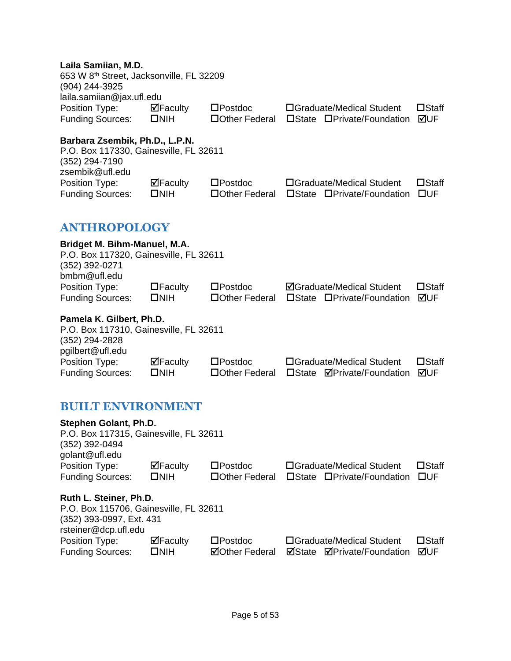#### **Laila Samiian, M.D.**

<span id="page-5-0"></span>

| Lana Vannan, m.v.<br>653 W 8 <sup>th</sup> Street, Jacksonville, FL 32209<br>(904) 244-3925<br>laila.samiian@jax.ufl.edu |                                    |                                      |                                                                |                                 |
|--------------------------------------------------------------------------------------------------------------------------|------------------------------------|--------------------------------------|----------------------------------------------------------------|---------------------------------|
| Position Type:<br><b>Funding Sources:</b>                                                                                | $\Box$ Faculty<br>$\square$ NIH    | $\square$ Postdoc<br>□ Other Federal | □Graduate/Medical Student<br>□State □Private/Foundation        | $\square$ Staff<br>⊠UF          |
| Barbara Zsembik, Ph.D., L.P.N.<br>P.O. Box 117330, Gainesville, FL 32611<br>(352) 294-7190<br>zsembik@ufl.edu            |                                    |                                      |                                                                |                                 |
| Position Type:<br><b>Funding Sources:</b>                                                                                | $\boxdot$ Faculty<br>$\square$ NIH | $\square$ Postdoc<br>□ Other Federal | □Graduate/Medical Student<br>□State □Private/Foundation        | $\square$ Staff<br>$\square$ UF |
| <b>ANTHROPOLOGY</b>                                                                                                      |                                    |                                      |                                                                |                                 |
| Bridget M. Bihm-Manuel, M.A.<br>P.O. Box 117320, Gainesville, FL 32611<br>(352) 392-0271<br>bmbm@ufl.edu                 |                                    |                                      |                                                                |                                 |
| Position Type:<br><b>Funding Sources:</b>                                                                                | $\Box$ Faculty<br>$\square$ NIH    | $\square$ Postdoc<br>□Other Federal  | <b>ØGraduate/Medical Student</b><br>□State □Private/Foundation | $\square$ Staff<br>⊠UF          |
| Pamela K. Gilbert, Ph.D.<br>P.O. Box 117310, Gainesville, FL 32611<br>(352) 294-2828<br>pgilbert@ufl.edu                 |                                    |                                      |                                                                |                                 |
| Position Type:<br><b>Funding Sources:</b>                                                                                | $\Box$ Faculty<br>$\square$ NIH    | $\square$ Postdoc<br>□ Other Federal | □Graduate/Medical Student<br>□State <b>ØPrivate/Foundation</b> | $\square$ Staff<br>⊠UF          |
|                                                                                                                          |                                    |                                      |                                                                |                                 |

### <span id="page-5-1"></span>**BUILT ENVIRONMENT**

| Stephen Golant, Ph.D.<br>P.O. Box 117315, Gainesville, FL 32611<br>(352) 392-0494<br>golant@ufl.edu |                                 |                       |        |                            |                 |
|-----------------------------------------------------------------------------------------------------|---------------------------------|-----------------------|--------|----------------------------|-----------------|
| Position Type:                                                                                      | $\Box$ Faculty                  | $\square$ Postdoc     |        | □Graduate/Medical Student  | $\square$ Staff |
| <b>Funding Sources:</b>                                                                             | $\square$ NIH                   | □ Other Federal       |        | □State □Private/Foundation | $\square$ UF    |
| Ruth L. Steiner, Ph.D.                                                                              |                                 |                       |        |                            |                 |
| P.O. Box 115706, Gainesville, FL 32611                                                              |                                 |                       |        |                            |                 |
| (352) 393-0997, Ext. 431<br>rsteiner@dcp.ufl.edu                                                    |                                 |                       |        |                            |                 |
| Position Type:                                                                                      | $\overline{\mathbf{M}}$ Faculty | $\square$ Postdoc     |        | □Graduate/Medical Student  | $\square$ Staff |
| <b>Funding Sources:</b>                                                                             | $\square$ NIH                   | <b>⊠Other Federal</b> | ⊠State | <b>⊠Private/Foundation</b> | ⊠UF             |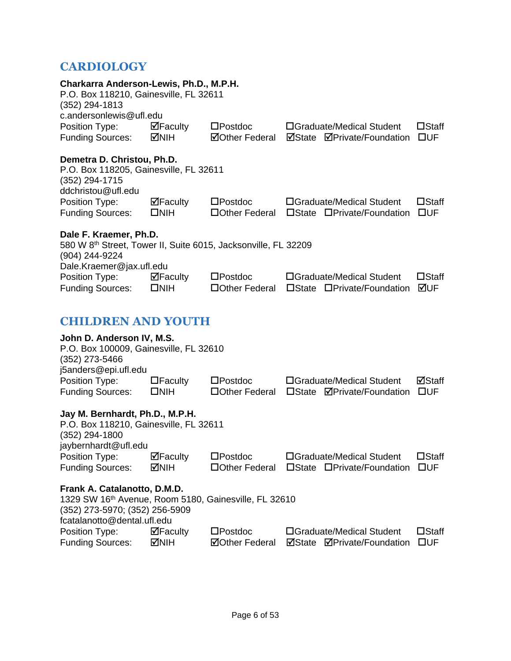### <span id="page-6-0"></span>**CARDIOLOGY**

<span id="page-6-1"></span>

| Charkarra Anderson-Lewis, Ph.D., M.P.H.<br>P.O. Box 118210, Gainesville, FL 32611<br>$(352)$ 294-1813                                                  |                                 |                                            |                                     |                                   |                                 |
|--------------------------------------------------------------------------------------------------------------------------------------------------------|---------------------------------|--------------------------------------------|-------------------------------------|-----------------------------------|---------------------------------|
| c.andersonlewis@ufl.edu<br>Position Type:<br><b>Funding Sources:</b>                                                                                   | $\blacksquare$ Faculty<br>MIH⊡  | $\square$ Postdoc<br><b>⊠Other Federal</b> | □Graduate/Medical Student           | <b>ØState ØPrivate/Foundation</b> | $\square$ Staff<br>$\square$ UF |
| Demetra D. Christou, Ph.D.<br>P.O. Box 118205, Gainesville, FL 32611<br>(352) 294-1715<br>ddchristou@ufl.edu                                           |                                 |                                            |                                     |                                   |                                 |
| Position Type:<br><b>Funding Sources:</b>                                                                                                              | ⊠Faculty<br>$\square$ NIH       | $\square$ Postdoc<br>□ Other Federal       | □Graduate/Medical Student           | □State □Private/Foundation        | $\square$ Staff<br>$\square$ UF |
| Dale F. Kraemer, Ph.D.<br>580 W 8 <sup>th</sup> Street, Tower II, Suite 6015, Jacksonville, FL 32209<br>(904) 244-9224                                 |                                 |                                            |                                     |                                   |                                 |
| Dale.Kraemer@jax.ufl.edu<br>Position Type:<br><b>Funding Sources:</b>                                                                                  | $\Box$ Faculty<br>$\square$ NIH | $\square$ Postdoc<br>□ Other Federal       | □Graduate/Medical Student           | □State □Private/Foundation        | $\square$ Staff<br>⊠UF          |
| <b>CHILDREN AND YOUTH</b>                                                                                                                              |                                 |                                            |                                     |                                   |                                 |
| John D. Anderson IV, M.S.<br>P.O. Box 100009, Gainesville, FL 32610<br>(352) 273-5466<br>j5anders@epi.ufl.edu                                          |                                 |                                            |                                     |                                   |                                 |
| Position Type:<br><b>Funding Sources:</b>                                                                                                              | $\Box$ Faculty<br>$\square$ NIH | $\square$ Postdoc<br>□Other Federal        | □Graduate/Medical Student           | □State <b>ØPrivate/Foundation</b> | ⊠Staff<br>$\square$ UF          |
| Jay M. Bernhardt, Ph.D., M.P.H.<br>P.O. Box 118210, Gainesville, FL 32611<br>(352) 294-1800<br>jaybernhardt@ufl.edu                                    |                                 |                                            |                                     |                                   |                                 |
| Position Type:<br><b>Funding Sources:</b>                                                                                                              | ⊠Faculty<br><b>MNIH</b>         | $\square$ Postdoc<br>□Other Federal        | □Graduate/Medical Student           | □State □Private/Foundation        | $\square$ Staff<br>$\square$ UF |
| Frank A. Catalanotto, D.M.D.<br>1329 SW 16th Avenue, Room 5180, Gainesville, FL 32610<br>(352) 273-5970; (352) 256-5909<br>fcatalanotto@dental.ufl.edu |                                 |                                            |                                     |                                   |                                 |
| Position Type:<br><b>Funding Sources:</b>                                                                                                              | ⊠Faculty<br><b>NIH</b>          | $\square$ Postdoc<br><b>⊠Other Federal</b> | □Graduate/Medical Student<br>⊠State | <b>ØPrivate/Foundation</b>        | $\square$ Staff<br>$\square$ UF |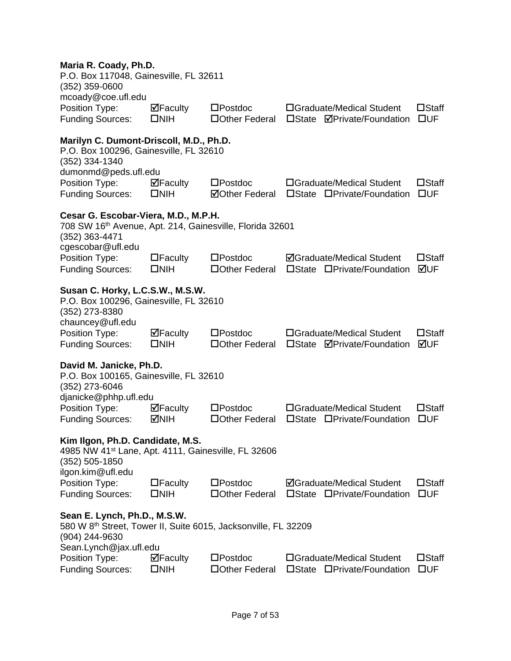#### **Maria R. Coady, Ph.D.**

| mana ni vvaay, m.p.<br>P.O. Box 117048, Gainesville, FL 32611<br>$(352)$ 359-0600                                                                      |                                                  |                                            |                                                                            |                                 |
|--------------------------------------------------------------------------------------------------------------------------------------------------------|--------------------------------------------------|--------------------------------------------|----------------------------------------------------------------------------|---------------------------------|
| mcoady@coe.ufl.edu<br>Position Type:<br><b>Funding Sources:</b>                                                                                        | $\Box$ Faculty<br>$\square$ NIH                  | $\square$ Postdoc<br>□Other Federal        | □Graduate/Medical Student<br>$\square$ State<br><b>ØPrivate/Foundation</b> | $\square$ Staff<br>$\square$ UF |
| Marilyn C. Dumont-Driscoll, M.D., Ph.D.<br>P.O. Box 100296, Gainesville, FL 32610<br>(352) 334-1340                                                    |                                                  |                                            |                                                                            |                                 |
| dumonmd@peds.ufl.edu<br>Position Type:<br><b>Funding Sources:</b>                                                                                      | $\mathbf{\nabla}$ Faculty<br>$\square$ NIH       | $\square$ Postdoc<br><b>⊠Other Federal</b> | □Graduate/Medical Student<br>□State □Private/Foundation                    | $\square$ Staff<br>$\square$ UF |
| Cesar G. Escobar-Viera, M.D., M.P.H.<br>708 SW 16th Avenue, Apt. 214, Gainesville, Florida 32601<br>(352) 363-4471<br>cgescobar@ufl.edu                |                                                  |                                            |                                                                            |                                 |
| Position Type:<br><b>Funding Sources:</b>                                                                                                              | $\Box$ Faculty<br>$\square$ NIH                  | $\square$ Postdoc<br>□ Other Federal       | <b>ØGraduate/Medical Student</b><br>□State □Private/Foundation             | $\square$ Staff<br>⊠UF          |
| Susan C. Horky, L.C.S.W., M.S.W.<br>P.O. Box 100296, Gainesville, FL 32610<br>(352) 273-8380<br>chauncey@ufl.edu                                       |                                                  |                                            |                                                                            |                                 |
| Position Type:<br><b>Funding Sources:</b>                                                                                                              | $\overline{\mathbf{P}}$ Faculty<br>$\square$ NIH | $\square$ Postdoc<br>□ Other Federal       | □Graduate/Medical Student<br>□State <b>ØPrivate/Foundation</b>             | $\square$ Staff<br>⊠UF          |
| David M. Janicke, Ph.D.<br>P.O. Box 100165, Gainesville, FL 32610<br>(352) 273-6046<br>djanicke@phhp.ufl.edu                                           |                                                  |                                            |                                                                            |                                 |
| Position Type:<br><b>Funding Sources:</b>                                                                                                              | $\Box$ Faculty<br><b>NIH</b>                     | $\square$ Postdoc<br>□ Other Federal       | □Graduate/Medical Student<br>□State □Private/Foundation                    | $\square$ Staff<br>$\square$ UF |
| Kim Ilgon, Ph.D. Candidate, M.S<br>4985 NW 41 <sup>st</sup> Lane, Apt. 4111, Gainesville, FL 32606<br>$(352) 505 - 1850$                               |                                                  |                                            |                                                                            |                                 |
| ilgon.kim@ufl.edu<br>Position Type:<br><b>Funding Sources:</b>                                                                                         | $\Box$ Faculty<br>$\square$ NIH                  | $\square$ Postdoc<br>□Other Federal        | <b>ØGraduate/Medical Student</b><br>$\square$ State<br>□Private/Foundation | $\square$ Staff<br>$\square$ UF |
| Sean E. Lynch, Ph.D., M.S.W.<br>580 W 8 <sup>th</sup> Street, Tower II, Suite 6015, Jacksonville, FL 32209<br>(904) 244-9630<br>Sean.Lynch@jax.ufl.edu |                                                  |                                            |                                                                            |                                 |
| Position Type:<br><b>Funding Sources:</b>                                                                                                              | $\Box$ Faculty<br>$\square$ NIH                  | $\square$ Postdoc<br>□ Other Federal       | □Graduate/Medical Student<br>□State □Private/Foundation                    | $\square$ Staff<br>$\square$ UF |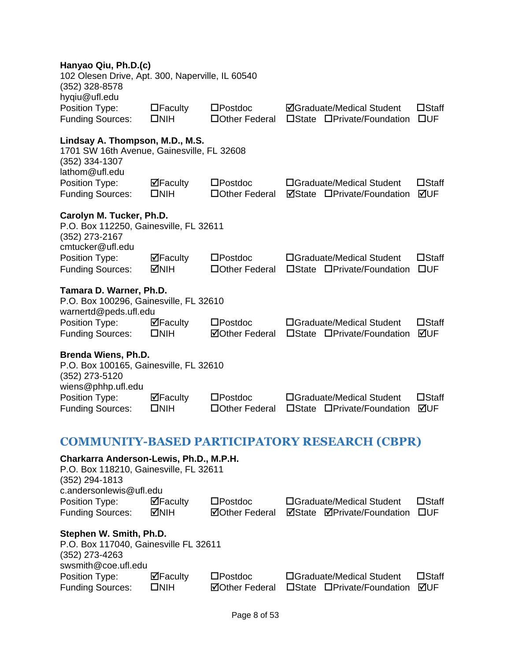<span id="page-8-0"></span>

| Hanyao Qiu, Ph.D.(c)<br>102 Olesen Drive, Apt. 300, Naperville, IL 60540<br>(352) 328-8578                                     |                                    |                                            |                                                                |                                 |
|--------------------------------------------------------------------------------------------------------------------------------|------------------------------------|--------------------------------------------|----------------------------------------------------------------|---------------------------------|
| hyqiu@ufl.edu<br>Position Type:<br><b>Funding Sources:</b>                                                                     | $\Box$ Faculty<br>$\square$ NIH    | $\square$ Postdoc<br>□ Other Federal       | <b>ØGraduate/Medical Student</b><br>□State □Private/Foundation | $\square$ Staff<br>$\square$ UF |
| Lindsay A. Thompson, M.D., M.S.<br>1701 SW 16th Avenue, Gainesville, FL 32608<br>(352) 334-1307<br>lathom@ufl.edu              |                                    |                                            |                                                                |                                 |
| Position Type:<br><b>Funding Sources:</b>                                                                                      | $\boxdot$ Faculty<br>$\square$ NIH | $\square$ Postdoc<br>□ Other Federal       | □Graduate/Medical Student<br><b>ØState □Private/Foundation</b> | $\square$ Staff<br>⊠UF          |
| Carolyn M. Tucker, Ph.D.<br>P.O. Box 112250, Gainesville, FL 32611<br>(352) 273-2167<br>cmtucker@ufl.edu                       |                                    |                                            |                                                                |                                 |
| Position Type:<br><b>Funding Sources:</b>                                                                                      | $\Box$ Faculty<br><b>MIH</b>       | $\square$ Postdoc<br>□ Other Federal       | □Graduate/Medical Student<br>□State □Private/Foundation        | $\square$ Staff<br>$\square$ UF |
| Tamara D. Warner, Ph.D.<br>P.O. Box 100296, Gainesville, FL 32610<br>warnertd@peds.ufl.edu                                     |                                    |                                            |                                                                |                                 |
| Position Type:<br><b>Funding Sources:</b>                                                                                      | ⊠Faculty<br>$\square$ NIH          | $\square$ Postdoc<br><b>⊠Other Federal</b> | □Graduate/Medical Student<br>□State □Private/Foundation        | $\square$ Staff<br>⊠UF          |
| Brenda Wiens, Ph.D.<br>P.O. Box 100165, Gainesville, FL 32610<br>(352) 273-5120                                                |                                    |                                            |                                                                |                                 |
| wiens@phhp.ufl.edu<br>Position Type:<br><b>Funding Sources:</b>                                                                | $\Box$ Faculty<br>$\square$ NIH    | $\square$ Postdoc<br>□ Other Federal       | □Graduate/Medical Student<br>□State □Private/Foundation        | $\square$ Staff<br>⊠UF          |
|                                                                                                                                |                                    |                                            | <b>COMMUNITY-BASED PARTICIPATORY RESEARCH (CBPR)</b>           |                                 |
| Charkarra Anderson-Lewis, Ph.D., M.P.H.<br>P.O. Box 118210, Gainesville, FL 32611<br>(352) 294-1813<br>c.andersonlewis@ufl.edu |                                    |                                            |                                                                |                                 |
| Position Type:<br><b>Funding Sources:</b>                                                                                      | $\Box$ Faculty<br><b>MNIH</b>      | $\square$ Postdoc<br><b>⊠Other Federal</b> | □Graduate/Medical Student<br><b>ØState ØPrivate/Foundation</b> | $\square$ Staff<br>$\square$ UF |
| Stephen W. Smith, Ph.D.<br>P.O. Box 117040, Gainesville FL 32611<br>(352) 273-4263<br>swsmith@coe.ufl.edu                      |                                    |                                            |                                                                |                                 |
| Position Type:<br><b>Funding Sources:</b>                                                                                      | ⊠Faculty<br>$\square$ NIH          | $\square$ Postdoc<br><b>⊠Other Federal</b> | □Graduate/Medical Student<br>□State □Private/Foundation        | $\square$ Staff<br>⊠UF          |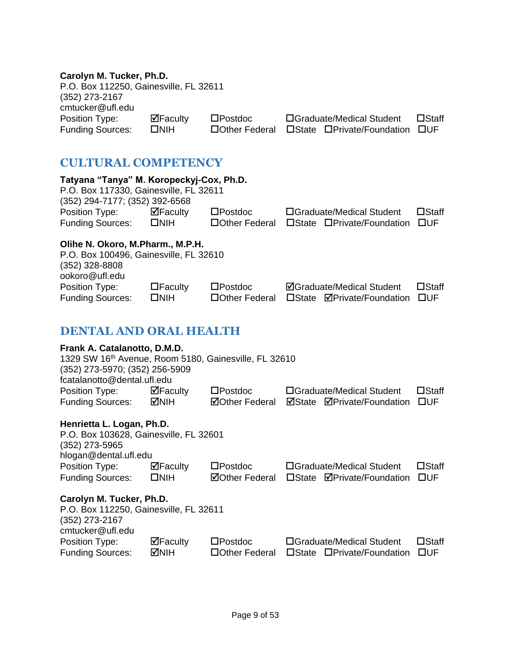#### **Carolyn M. Tucker, Ph.D.**

P.O. Box 112250, Gainesville, FL 32611 (352) 273-2167 cmtucker@ufl.edu Position Type: Metaculty Denstdoc Deraduate/Medical Student Detaff<br>Funding Sources: DNIH DOther Federal Detate Derivate/Foundation DUF

Funding Sources: NIH Other Federal State Private/Foundation UF

### <span id="page-9-0"></span>**CULTURAL COMPETENCY**

<span id="page-9-1"></span>

| Tatyana "Tanya" M. Koropeckyj-Cox, Ph.D.<br>P.O. Box 117330, Gainesville, FL 32611                                                                     |                                 |                       |                                   |                 |
|--------------------------------------------------------------------------------------------------------------------------------------------------------|---------------------------------|-----------------------|-----------------------------------|-----------------|
| (352) 294-7177; (352) 392-6568                                                                                                                         |                                 |                       |                                   |                 |
| Position Type:                                                                                                                                         | $\overline{\mathbf{M}}$ Faculty | $\square$ Postdoc     | □Graduate/Medical Student         | $\square$ Staff |
| <b>Funding Sources:</b>                                                                                                                                | $\square$ NIH                   | □ Other Federal       | □State □Private/Foundation        | $\square$ UF    |
| Olihe N. Okoro, M.Pharm., M.P.H.                                                                                                                       |                                 |                       |                                   |                 |
| P.O. Box 100496, Gainesville, FL 32610                                                                                                                 |                                 |                       |                                   |                 |
| $(352)$ 328-8808                                                                                                                                       |                                 |                       |                                   |                 |
| ookoro@ufl.edu                                                                                                                                         |                                 |                       |                                   |                 |
| Position Type:                                                                                                                                         | $\Box$ Faculty                  | $\square$ Postdoc     | <b>ØGraduate/Medical Student</b>  | $\square$ Staff |
| <b>Funding Sources:</b>                                                                                                                                | $\square$ NIH                   | □ Other Federal       | □State ØPrivate/Foundation        | $\square$ UF    |
|                                                                                                                                                        |                                 |                       |                                   |                 |
| <b>DENTAL AND ORAL HEALTH</b>                                                                                                                          |                                 |                       |                                   |                 |
| Frank A. Catalanotto, D.M.D.<br>1329 SW 16th Avenue, Room 5180, Gainesville, FL 32610<br>(352) 273-5970; (352) 256-5909<br>fcatalanotto@dental.ufl.edu |                                 |                       |                                   |                 |
| Position Type:                                                                                                                                         | $\Box$ Faculty                  | $\square$ Postdoc     | □Graduate/Medical Student         | $\square$ Staff |
| <b>Funding Sources:</b>                                                                                                                                | MNH                             | <b>ØOther Federal</b> | ☑State ØPrivate/Foundation        | $\square$ UF    |
| Henrietta L. Logan, Ph.D.<br>P.O. Box 103628, Gainesville, FL 32601<br>(352) 273-5965<br>hlogan@dental.ufl.edu                                         |                                 |                       |                                   |                 |
| Position Type:                                                                                                                                         | $\Box$ Faculty                  | $\square$ Postdoc     | □Graduate/Medical Student         | $\square$ Staff |
| <b>Funding Sources:</b>                                                                                                                                | $\square$ NIH                   | <b>ØOther Federal</b> | □State <b>ØPrivate/Foundation</b> | $\square$ UF    |
| Carolyn M. Tucker, Ph.D.<br>P.O. Box 112250, Gainesville, FL 32611<br>(352) 273-2167<br>cmtucker@ufl.edu                                               |                                 |                       |                                   |                 |
| Position Type:                                                                                                                                         | $\overline{\mathbf{P}}$ Faculty | $\square$ Postdoc     | □Graduate/Medical Student         | $\square$ Staff |
| <b>Funding Sources:</b>                                                                                                                                | MNIH                            | □ Other Federal       | □State □Private/Foundation        | $\square$ UF    |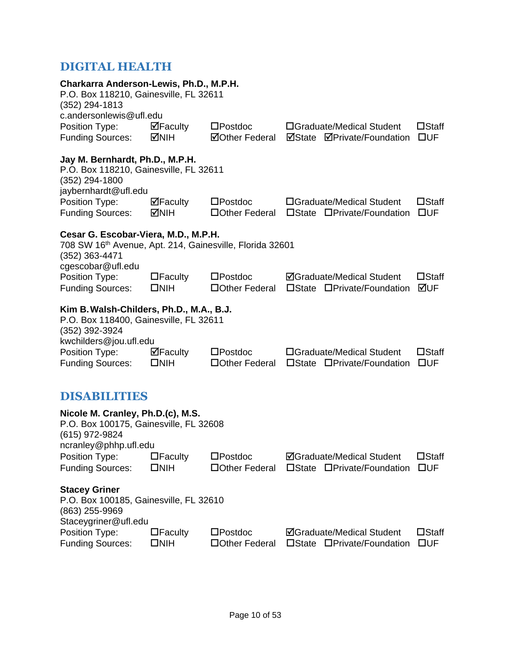### <span id="page-10-0"></span>**DIGITAL HEALTH**

<span id="page-10-1"></span>

| Charkarra Anderson-Lewis, Ph.D., M.P.H.<br>P.O. Box 118210, Gainesville, FL 32611<br>(352) 294-1813<br>c.andersonlewis@ufl.edu          |                                    |                                            |                                                                   |                                 |
|-----------------------------------------------------------------------------------------------------------------------------------------|------------------------------------|--------------------------------------------|-------------------------------------------------------------------|---------------------------------|
| Position Type:<br><b>Funding Sources:</b>                                                                                               | $\Box$ Faculty<br>MIH⊡             | $\square$ Postdoc<br><b>ØOther Federal</b> | □Graduate/Medical Student<br><b>ØPrivate/Foundation</b><br>⊠State | $\square$ Staff<br>$\square$ UF |
| Jay M. Bernhardt, Ph.D., M.P.H.<br>P.O. Box 118210, Gainesville, FL 32611<br>(352) 294-1800<br>jaybernhardt@ufl.edu                     |                                    |                                            |                                                                   |                                 |
| Position Type:<br><b>Funding Sources:</b>                                                                                               | $\Box$ Faculty<br><b>MIH</b>       | $\square$ Postdoc<br>□ Other Federal       | □Graduate/Medical Student<br>□State □Private/Foundation           | $\square$ Staff<br>$\square$ UF |
| Cesar G. Escobar-Viera, M.D., M.P.H.<br>708 SW 16th Avenue, Apt. 214, Gainesville, Florida 32601<br>(352) 363-4471<br>cgescobar@ufl.edu |                                    |                                            |                                                                   |                                 |
| Position Type:<br><b>Funding Sources:</b>                                                                                               | $\Box$ Faculty<br>$\square$ NIH    | $\square$ Postdoc<br>□Other Federal        | <b>ØGraduate/Medical Student</b><br>□State □Private/Foundation    | $\square$ Staff<br>⊠UF          |
| Kim B. Walsh-Childers, Ph.D., M.A., B.J.<br>P.O. Box 118400, Gainesville, FL 32611<br>(352) 392-3924<br>kwchilders@jou.ufl.edu          |                                    |                                            |                                                                   |                                 |
| Position Type:<br><b>Funding Sources:</b>                                                                                               | $\boxdot$ Faculty<br>$\square$ NIH | $\square$ Postdoc<br>□ Other Federal       | □Graduate/Medical Student<br>□State □Private/Foundation           | $\square$ Staff<br>$\square$ UF |
| DISABILITIES                                                                                                                            |                                    |                                            |                                                                   |                                 |
| Nicole M. Cranley, Ph.D.(c), M.S.<br>P.O. Box 100175, Gainesville, FL 32608<br>(615) 972-9824<br>ncranley@phhp.ufl.edu                  |                                    |                                            |                                                                   |                                 |
| Position Type:<br><b>Funding Sources:</b>                                                                                               | $\Box$ Faculty<br>$\square$ NIH    | $\square$ Postdoc<br>□Other Federal        | <b>ØGraduate/Medical Student</b><br>□State □Private/Foundation    | $\square$ Staff<br>$\square$ UF |
| <b>Stacey Griner</b><br>P.O. Box 100185, Gainesville, FL 32610<br>(863) 255-9969<br>Staceygriner@ufl.edu                                |                                    |                                            |                                                                   |                                 |
| Position Type:<br><b>Funding Sources:</b>                                                                                               | $\Box$ Faculty<br>$\square$ NIH    | $\square$ Postdoc<br>□Other Federal        | <b>ØGraduate/Medical Student</b><br>□State □Private/Foundation    | $\square$ Staff<br>$\square$ UF |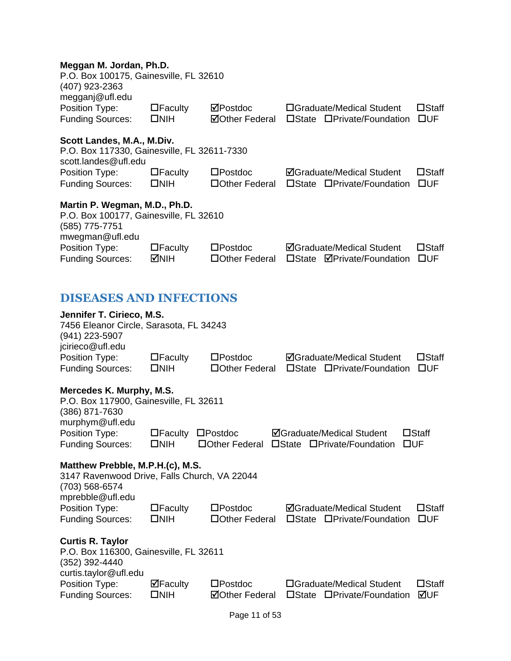#### **Meggan M. Jordan, Ph.D.**

| P.O. Box 100175, Gainesville, FL 32610<br>(407) 923-2363<br>megganj@ufl.edu                                  |                                 |                                     |                 |                                                                |                                 |
|--------------------------------------------------------------------------------------------------------------|---------------------------------|-------------------------------------|-----------------|----------------------------------------------------------------|---------------------------------|
| Position Type:<br><b>Funding Sources:</b>                                                                    | $\Box$ Faculty<br>$\square$ NIH | ⊠Postdoc<br><b>ØOther Federal</b>   |                 | □Graduate/Medical Student<br>□State □Private/Foundation        | $\square$ Staff<br>$\square$ UF |
| Scott Landes, M.A., M.Div.<br>P.O. Box 117330, Gainesville, FL 32611-7330<br>scott.landes@ufl.edu            |                                 |                                     |                 |                                                                |                                 |
| Position Type:<br><b>Funding Sources:</b>                                                                    | $\Box$ Faculty<br>$\square$ NIH | $\square$ Postdoc<br>□Other Federal | $\square$ State | <b>ØGraduate/Medical Student</b><br>□Private/Foundation        | $\square$ Staff<br>$\square$ UF |
| Martin P. Wegman, M.D., Ph.D.<br>P.O. Box 100177, Gainesville, FL 32610<br>(585) 775-7751<br>mwegman@ufl.edu |                                 |                                     |                 |                                                                |                                 |
| Position Type:<br><b>Funding Sources:</b>                                                                    | $\Box$ Faculty<br><b>MIH</b>    | $\square$ Postdoc<br>□Other Federal | $\square$ State | <b>ØGraduate/Medical Student</b><br><b>⊠Private/Foundation</b> | $\square$ Staff<br>$\square$ UF |
| <b>DISEASES AND INFECTIONS</b>                                                                               |                                 |                                     |                 |                                                                |                                 |
| Jennifer T. Cirieco, M.S.<br>7456 Eleanor Circle, Sarasota, FL 34243<br>(941) 223-5907<br>jcirieco@ufl.edu   |                                 |                                     |                 |                                                                |                                 |
| Position Type:<br><b>Funding Sources:</b>                                                                    | $\Box$ Faculty<br>$\square$ NIH | $\square$ Postdoc<br>□Other Federal |                 | <b>ØGraduate/Medical Student</b><br>□State □Private/Foundation | $\square$ Staff<br>$\square$ UF |

#### <span id="page-11-0"></span>**Mercedes K. Murphy, M.S.**

| P.O. Box 117900, Gainesville, FL 32611 |               |                               |                                                   |                 |
|----------------------------------------|---------------|-------------------------------|---------------------------------------------------|-----------------|
| (386) 871-7630                         |               |                               |                                                   |                 |
| murphym@ufl.edu                        |               |                               |                                                   |                 |
| Position Type:                         |               | $\Box$ Faculty $\Box$ Postdoc | <b>ØGraduate/Medical Student</b>                  | $\square$ Staff |
| <b>Funding Sources:</b>                | $\square$ NIH |                               | □ Other Federal □ State □ Private/Foundation □ UF |                 |
|                                        |               |                               |                                                   |                 |

### **Matthew Prebble, M.P.H.(c), M.S.**

| 3147 Ravenwood Drive, Falls Church, VA 22044 |                |                   |                                  |                 |
|----------------------------------------------|----------------|-------------------|----------------------------------|-----------------|
| $(703)$ 568-6574                             |                |                   |                                  |                 |
| mprebble@ufl.edu                             |                |                   |                                  |                 |
| Position Type:                               | $\Box$ Faculty | $\square$ Postdoc | <b>ØGraduate/Medical Student</b> | $\square$ Staff |
| <b>Funding Sources:</b>                      | $\square$ NIH  | □ Other Federal   | □State □Private/Foundation       | <b>OUF</b>      |
| <b>Curtis R. Taylor</b>                      |                |                   |                                  |                 |
| P.O. Box 116300, Gainesville, FL 32611       |                |                   |                                  |                 |
| (352) 392-4440                               |                |                   |                                  |                 |
| curtis.taylor@ufl.edu                        |                |                   |                                  |                 |
| Position Type:                               | $\Box$ Faculty | $\square$ Postdoc | □Graduate/Medical Student        | $\square$ Staff |

Funding Sources: NIH Other Federal State Private/Foundation UF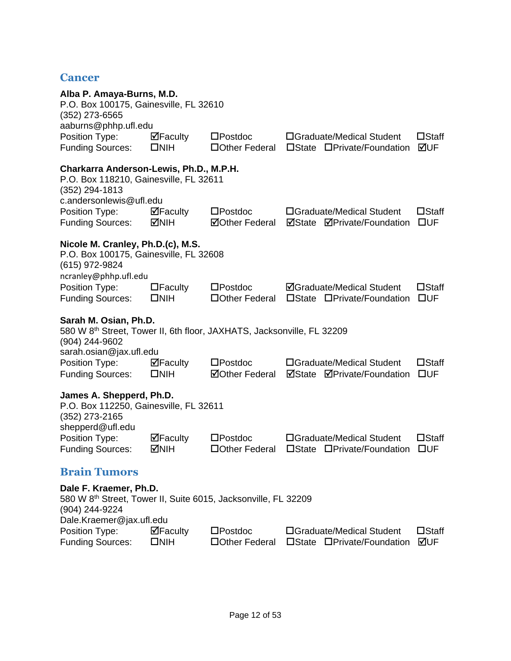#### <span id="page-12-0"></span>**Cancer**

<span id="page-12-1"></span>

| Alba P. Amaya-Burns, M.D.<br>P.O. Box 100175, Gainesville, FL 32610<br>$(352)$ 273-6565<br>aaburns@phhp.ufl.edu                                          |                                 |                                            |                 |                                                                |                                 |
|----------------------------------------------------------------------------------------------------------------------------------------------------------|---------------------------------|--------------------------------------------|-----------------|----------------------------------------------------------------|---------------------------------|
| Position Type:<br><b>Funding Sources:</b>                                                                                                                | ⊠Faculty<br>$\square$ NIH       | $\square$ Postdoc<br>□Other Federal        |                 | □Graduate/Medical Student<br>□State □Private/Foundation        | $\square$ Staff<br>⊠UF          |
| Charkarra Anderson-Lewis, Ph.D., M.P.H.<br>P.O. Box 118210, Gainesville, FL 32611<br>(352) 294-1813<br>c.andersonlewis@ufl.edu                           |                                 |                                            |                 |                                                                |                                 |
| Position Type:<br><b>Funding Sources:</b>                                                                                                                | ⊠Faculty<br>MMH                 | $\square$ Postdoc<br><b>⊠Other Federal</b> | ⊠State          | □Graduate/Medical Student<br><b>ØPrivate/Foundation</b>        | $\square$ Staff<br>$\square$ UF |
| Nicole M. Cranley, Ph.D.(c), M.S.<br>P.O. Box 100175, Gainesville, FL 32608<br>(615) 972-9824<br>ncranley@phhp.ufl.edu                                   |                                 |                                            |                 |                                                                |                                 |
| Position Type:<br><b>Funding Sources:</b>                                                                                                                | $\Box$ Faculty<br>$\square$ NIH | $\square$ Postdoc<br>□ Other Federal       |                 | <b>ØGraduate/Medical Student</b><br>□State □Private/Foundation | $\square$ Staff<br>$\square$ UF |
| Sarah M. Osian, Ph.D.<br>580 W 8 <sup>th</sup> Street, Tower II, 6th floor, JAXHATS, Jacksonville, FL 32209<br>(904) 244-9602<br>sarah.osian@jax.ufl.edu |                                 |                                            |                 |                                                                |                                 |
| Position Type:<br><b>Funding Sources:</b>                                                                                                                | ⊠Faculty<br>$\square$ NIH       | $\square$ Postdoc<br><b>ØOther Federal</b> |                 | □Graduate/Medical Student<br><b>ØState ØPrivate/Foundation</b> | $\square$ Staff<br>$\square$ UF |
| James A. Shepperd, Ph.D.<br>P.O. Box 112250, Gainesville, FL 32611<br>(352) 273-2165<br>shepperd@ufl.edu                                                 |                                 |                                            |                 |                                                                |                                 |
| Position Type:<br><b>Funding Sources:</b>                                                                                                                | ⊠Faculty<br>MMH                 | $\square$ Postdoc<br>□ Other Federal       |                 | □Graduate/Medical Student<br>□State □Private/Foundation        | $\square$ Staff<br>$\square$ UF |
| <b>Brain Tumors</b>                                                                                                                                      |                                 |                                            |                 |                                                                |                                 |
| Dale F. Kraemer, Ph.D.<br>580 W 8 <sup>th</sup> Street, Tower II, Suite 6015, Jacksonville, FL 32209<br>(904) 244-9224<br>Dale.Kraemer@jax.ufl.edu       |                                 |                                            |                 |                                                                |                                 |
| Position Type:<br><b>Funding Sources:</b>                                                                                                                | ⊠Faculty<br>$\square$ NIH       | $\square$ Postdoc<br>□Other Federal        | $\square$ State | □Graduate/Medical Student<br>□Private/Foundation               | $\square$ Staff<br>⊠UF          |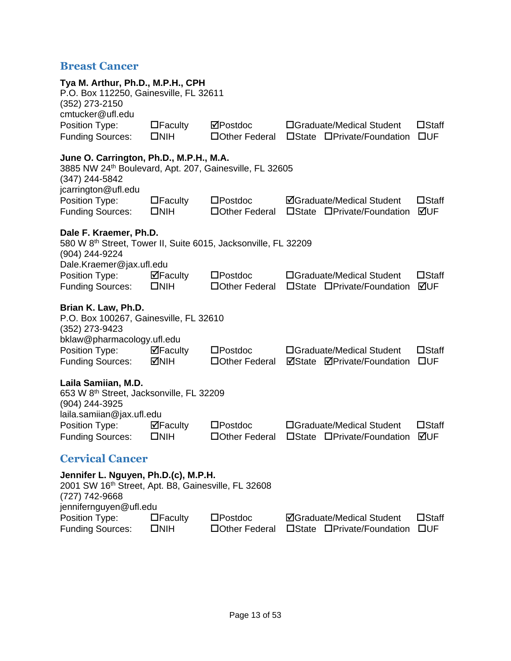### <span id="page-13-0"></span>**Breast Cancer**

<span id="page-13-1"></span>

| Tya M. Arthur, Ph.D., M.P.H., CPH<br>P.O. Box 112250, Gainesville, FL 32611<br>(352) 273-2150                                               |                                 |                                      |                                                                |                                 |
|---------------------------------------------------------------------------------------------------------------------------------------------|---------------------------------|--------------------------------------|----------------------------------------------------------------|---------------------------------|
| cmtucker@ufl.edu<br>Position Type:<br><b>Funding Sources:</b>                                                                               | $\Box$ Faculty<br>$\square$ NIH | ⊠Postdoc<br>□ Other Federal          | □Graduate/Medical Student<br>□State □Private/Foundation        | $\square$ Staff<br>$\square$ UF |
| June O. Carrington, Ph.D., M.P.H., M.A.<br>3885 NW 24th Boulevard, Apt. 207, Gainesville, FL 32605<br>(347) 244-5842<br>jcarrington@ufl.edu |                                 |                                      |                                                                |                                 |
| Position Type:<br><b>Funding Sources:</b>                                                                                                   | $\Box$ Faculty<br>$\square$ NIH | $\square$ Postdoc<br>□ Other Federal | <b>ØGraduate/Medical Student</b><br>□State □Private/Foundation | $\square$ Staff<br>⊠UF          |
| Dale F. Kraemer, Ph.D.<br>580 W 8th Street, Tower II, Suite 6015, Jacksonville, FL 32209<br>(904) 244-9224                                  |                                 |                                      |                                                                |                                 |
| Dale.Kraemer@jax.ufl.edu<br>Position Type:<br><b>Funding Sources:</b>                                                                       | $\Box$ Faculty<br>$\square$ NIH | $\square$ Postdoc<br>□ Other Federal | □Graduate/Medical Student<br>□State □Private/Foundation        | $\square$ Staff<br>⊠UF          |
| Brian K. Law, Ph.D.<br>P.O. Box 100267, Gainesville, FL 32610<br>(352) 273-9423<br>bklaw@pharmacology.ufl.edu                               |                                 |                                      |                                                                |                                 |
| Position Type:<br><b>Funding Sources:</b>                                                                                                   | $\boxdot$ Faculty<br><b>MIH</b> | $\square$ Postdoc<br>□ Other Federal | □Graduate/Medical Student<br><b>ØState ØPrivate/Foundation</b> | $\square$ Staff<br>$\square$ UF |
| Laila Samiian, M.D.<br>653 W 8th Street, Jacksonville, FL 32209<br>(904) 244-3925                                                           |                                 |                                      |                                                                |                                 |
| laila.samiian@jax.ufl.edu<br>Position Type:<br><b>Funding Sources:</b>                                                                      | ⊠Faculty<br>$\square$ NIH       | $\square$ Postdoc<br>□ Other Federal | □Graduate/Medical Student<br>□State □Private/Foundation        | $\square$ Staff<br>⊠UF          |
| <b>Cervical Cancer</b>                                                                                                                      |                                 |                                      |                                                                |                                 |
| Jennifer L. Nguyen, Ph.D.(c), M.P.H.<br>2001 SW 16th Street, Apt. B8, Gainesville, FL 32608<br>(727) 742-9668<br>jennifernguyen@ufl.edu     |                                 |                                      |                                                                |                                 |
| Position Type:<br><b>Funding Sources:</b>                                                                                                   | $\Box$ Faculty<br>$\square$ NIH | $\square$ Postdoc<br>□Other Federal  | <b>ØGraduate/Medical Student</b><br>□State □Private/Foundation | $\square$ Staff<br><b>OUF</b>   |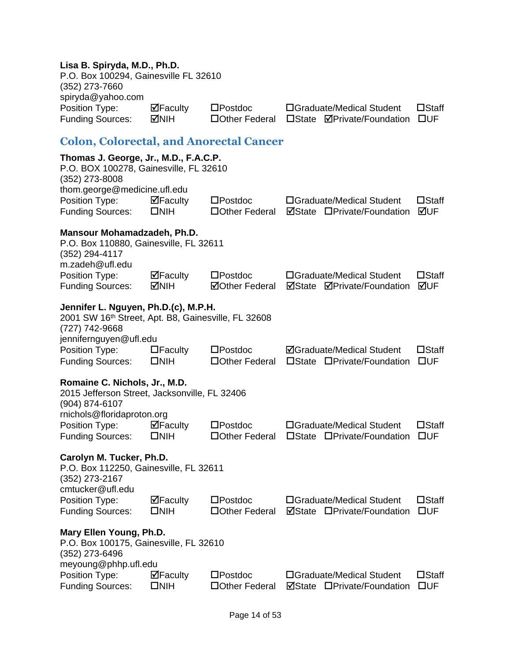#### **Lisa B. Spiryda, M.D., Ph.D.**

<span id="page-14-0"></span>

| P.O. Box 100294, Gainesville FL 32610<br>(352) 273-7660<br>spiryda@yahoo.com                                                            |                                         |                                            |                                                                |                                 |
|-----------------------------------------------------------------------------------------------------------------------------------------|-----------------------------------------|--------------------------------------------|----------------------------------------------------------------|---------------------------------|
| Position Type:<br><b>Funding Sources:</b>                                                                                               | $\Box$ Faculty<br>MNH                   | $\square$ Postdoc<br>□ Other Federal       | □Graduate/Medical Student<br>□State <b>ØPrivate/Foundation</b> | $\square$ Staff<br>$\square$ UF |
| <b>Colon, Colorectal, and Anorectal Cancer</b>                                                                                          |                                         |                                            |                                                                |                                 |
| Thomas J. George, Jr., M.D., F.A.C.P.<br>P.O. BOX 100278, Gainesville, FL 32610<br>(352) 273-8008<br>thom.george@medicine.ufl.edu       |                                         |                                            |                                                                |                                 |
| Position Type:<br><b>Funding Sources:</b>                                                                                               | $\Box$ Faculty<br>$\square$ NIH         | $\square$ Postdoc<br>□ Other Federal       | □Graduate/Medical Student<br><b>ØState □Private/Foundation</b> | $\square$ Staff<br>⊠UF          |
| Mansour Mohamadzadeh, Ph.D.<br>P.O. Box 110880, Gainesville, FL 32611<br>(352) 294-4117<br>m.zadeh@ufl.edu                              |                                         |                                            |                                                                |                                 |
| Position Type:<br><b>Funding Sources:</b>                                                                                               | $\mathbf{\nabla}$ Faculty<br><b>MIH</b> | $\square$ Postdoc<br><b>⊠Other Federal</b> | □Graduate/Medical Student<br><b>ØState ØPrivate/Foundation</b> | $\square$ Staff<br>⊠UF          |
| Jennifer L. Nguyen, Ph.D.(c), M.P.H.<br>2001 SW 16th Street, Apt. B8, Gainesville, FL 32608<br>(727) 742-9668<br>jennifernguyen@ufl.edu |                                         |                                            |                                                                |                                 |
| Position Type:<br><b>Funding Sources:</b>                                                                                               | $\Box$ Faculty<br>$\square$ NIH         | $\square$ Postdoc<br>□ Other Federal       | <b>ØGraduate/Medical Student</b><br>□State □Private/Foundation | $\square$ Staff<br>$\square$ UF |
| Romaine C. Nichols, Jr., M.D.<br>2015 Jefferson Street, Jacksonville, FL 32406<br>(904) 874-6107                                        |                                         |                                            |                                                                |                                 |
| rnichols@floridaproton.org<br>Position Type:<br><b>Funding Sources:</b>                                                                 | $\Box$ Faculty<br>$\square$ NIH         | $\square$ Postdoc<br>□ Other Federal       | □Graduate/Medical Student<br>□State □Private/Foundation        | $\square$ Staff<br>$\square$ UF |
| Carolyn M. Tucker, Ph.D.<br>P.O. Box 112250, Gainesville, FL 32611<br>(352) 273-2167<br>cmtucker@ufl.edu                                |                                         |                                            |                                                                |                                 |
| Position Type:                                                                                                                          | $\Box$ Faculty                          | $\square$ Postdoc                          | □Graduate/Medical Student                                      | $\square$ Staff                 |
| <b>Funding Sources:</b>                                                                                                                 | $\square$ NIH                           | □ Other Federal                            | <b>ØState □Private/Foundation</b>                              | $\square$ UF                    |
| Mary Ellen Young, Ph.D.<br>P.O. Box 100175, Gainesville, FL 32610<br>(352) 273-6496<br>meyoung@phhp.ufl.edu                             |                                         |                                            |                                                                |                                 |
| Position Type:<br><b>Funding Sources:</b>                                                                                               | ⊠Faculty<br>$\square$ NIH               | $\square$ Postdoc<br>□Other Federal        | □Graduate/Medical Student<br>⊠State<br>□Private/Foundation     | $\square$ Staff<br>$\square$ UF |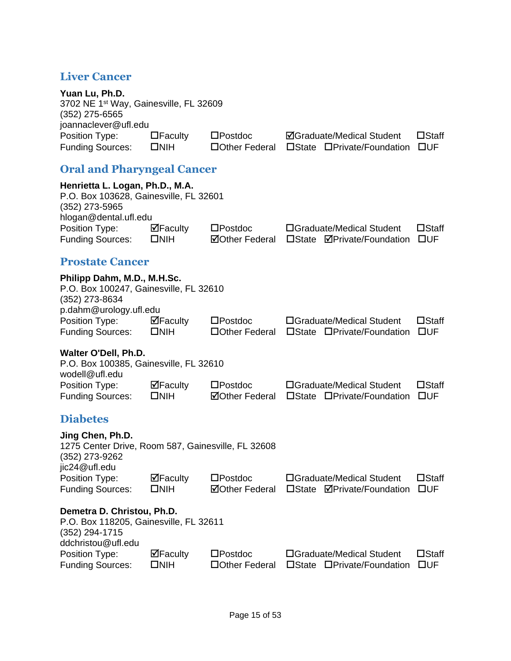### <span id="page-15-0"></span>**Liver Cancer**

<span id="page-15-3"></span><span id="page-15-2"></span><span id="page-15-1"></span>

| Yuan Lu, Ph.D.<br>3702 NE 1 <sup>st</sup> Way, Gainesville, FL 32609<br>$(352)$ 275-6565<br>joannaclever@ufl.edu                                                    |                                 |                                            |                                                                     |                                 |  |
|---------------------------------------------------------------------------------------------------------------------------------------------------------------------|---------------------------------|--------------------------------------------|---------------------------------------------------------------------|---------------------------------|--|
| Position Type:<br><b>Funding Sources:</b>                                                                                                                           | $\Box$ Faculty<br>$\square$ NIH | $\square$ Postdoc<br>□ Other Federal       | <b>ØGraduate/Medical Student</b><br>□State □Private/Foundation      | $\square$ Staff<br>$\square$ UF |  |
| <b>Oral and Pharyngeal Cancer</b>                                                                                                                                   |                                 |                                            |                                                                     |                                 |  |
| Henrietta L. Logan, Ph.D., M.A.<br>P.O. Box 103628, Gainesville, FL 32601<br>$(352)$ 273-5965<br>hlogan@dental.ufl.edu<br>Position Type:<br><b>Funding Sources:</b> | $\Box$ Faculty<br>$\square$ NIH | $\square$ Postdoc<br><b>⊠Other Federal</b> | □Graduate/Medical Student<br>□State <b>ØPrivate/Foundation</b>      | $\square$ Staff<br>$\square$ UF |  |
| <b>Prostate Cancer</b>                                                                                                                                              |                                 |                                            |                                                                     |                                 |  |
| Philipp Dahm, M.D., M.H.Sc.<br>P.O. Box 100247, Gainesville, FL 32610<br>(352) 273-8634<br>p.dahm@urology.ufl.edu                                                   |                                 |                                            |                                                                     |                                 |  |
| Position Type:<br><b>Funding Sources:</b>                                                                                                                           | $\Box$ Faculty<br>$\square$ NIH | $\square$ Postdoc<br>□ Other Federal       | □Graduate/Medical Student<br>□State □Private/Foundation             | $\square$ Staff<br>$\square$ UF |  |
| Walter O'Dell, Ph.D.<br>P.O. Box 100385, Gainesville, FL 32610<br>wodell@ufl.edu                                                                                    |                                 |                                            |                                                                     |                                 |  |
| Position Type:<br><b>Funding Sources:</b>                                                                                                                           | $\Box$ Faculty<br>$\square$ NIH | $\square$ Postdoc<br><b>⊠Other Federal</b> | □Graduate/Medical Student<br>$\square$ State<br>□Private/Foundation | $\Box$ Staff<br><b>OUF</b>      |  |
| <b>Diabetes</b>                                                                                                                                                     |                                 |                                            |                                                                     |                                 |  |
| Jing Chen, Ph.D.<br>1275 Center Drive, Room 587, Gainesville, FL 32608<br>(352) 273-9262<br>jic24@ufl.edu                                                           |                                 |                                            |                                                                     |                                 |  |
| Position Type:<br><b>Funding Sources:</b>                                                                                                                           | $\Box$ Faculty<br>$\square$ NIH | $\square$ Postdoc<br><b>ØOther Federal</b> | □Graduate/Medical Student<br>□State <b>ØPrivate/Foundation</b>      | $\square$ Staff<br>$\square$ UF |  |
| Demetra D. Christou, Ph.D.<br>P.O. Box 118205, Gainesville, FL 32611<br>(352) 294-1715<br>ddchristou@ufl.edu                                                        |                                 |                                            |                                                                     |                                 |  |
| Position Type:<br><b>Funding Sources:</b>                                                                                                                           | $\Box$ Faculty<br>$\square$ NIH | $\square$ Postdoc<br>□Other Federal        | □Graduate/Medical Student<br>□State □Private/Foundation             | $\square$ Staff<br>$\square$ UF |  |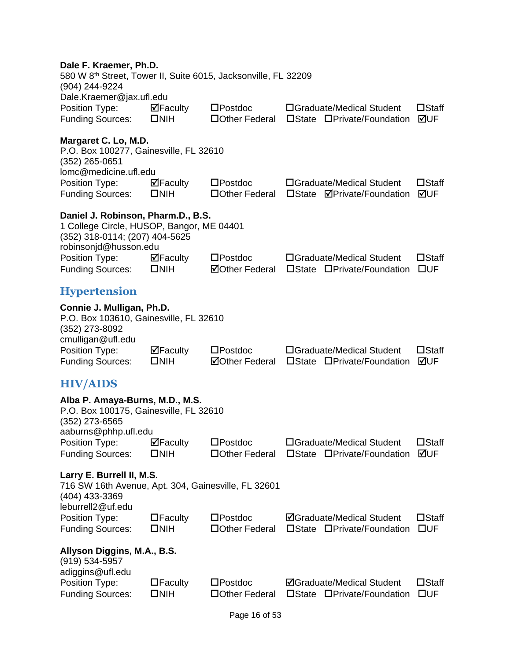<span id="page-16-1"></span><span id="page-16-0"></span>

| Dale F. Kraemer, Ph.D.<br>580 W 8th Street, Tower II, Suite 6015, Jacksonville, FL 32209<br>(904) 244-9224                                 |                                 |                                            |                                                                |                                 |
|--------------------------------------------------------------------------------------------------------------------------------------------|---------------------------------|--------------------------------------------|----------------------------------------------------------------|---------------------------------|
| Dale.Kraemer@jax.ufl.edu<br>Position Type:<br><b>Funding Sources:</b>                                                                      | $\Box$ Faculty<br>$\square$ NIH | $\square$ Postdoc<br>□ Other Federal       | □Graduate/Medical Student<br>□State □Private/Foundation        | $\square$ Staff<br>⊠UF          |
| Margaret C. Lo, M.D.<br>P.O. Box 100277, Gainesville, FL 32610<br>$(352)$ 265-0651<br>lomc@medicine.ufl.edu                                |                                 |                                            |                                                                |                                 |
| Position Type:<br><b>Funding Sources:</b>                                                                                                  | $\Box$ Faculty<br>$\square$ NIH | $\square$ Postdoc<br>□ Other Federal       | □Graduate/Medical Student<br>□State <b>ØPrivate/Foundation</b> | $\square$ Staff<br>⊠UF          |
| Daniel J. Robinson, Pharm.D., B.S.<br>1 College Circle, HUSOP, Bangor, ME 04401<br>(352) 318-0114; (207) 404-5625<br>robinsonjd@husson.edu |                                 |                                            |                                                                |                                 |
| Position Type:<br><b>Funding Sources:</b>                                                                                                  | $\Box$ Faculty<br>$\square$ NIH | $\square$ Postdoc<br><b>ØOther Federal</b> | □Graduate/Medical Student<br>□State □Private/Foundation        | $\square$ Staff<br>$\square$ UF |
| <b>Hypertension</b>                                                                                                                        |                                 |                                            |                                                                |                                 |
| Connie J. Mulligan, Ph.D.<br>P.O. Box 103610, Gainesville, FL 32610<br>(352) 273-8092<br>cmulligan@ufl.edu                                 |                                 | $\square$ Postdoc                          |                                                                | $\square$ Staff                 |
| Position Type:<br><b>Funding Sources:</b>                                                                                                  | $\Box$ Faculty<br>$\square$ NIH | <b>ØOther Federal</b>                      | □Graduate/Medical Student<br>□State □Private/Foundation        | ⊠UF                             |
| <b>HIV/AIDS</b>                                                                                                                            |                                 |                                            |                                                                |                                 |
| Alba P. Amaya-Burns, M.D., M.S.<br>P.O. Box 100175, Gainesville, FL 32610<br>(352) 273-6565<br>aaburns@phhp.ufl.edu                        |                                 |                                            |                                                                |                                 |
| Position Type:<br><b>Funding Sources:</b>                                                                                                  | ⊠Faculty<br>$\square$ NIH       | $\square$ Postdoc<br>□Other Federal        | □Graduate/Medical Student<br>□State □Private/Foundation        | $\square$ Staff<br><b>MUF</b>   |
| Larry E. Burrell II, M.S.<br>716 SW 16th Avenue, Apt. 304, Gainesville, FL 32601<br>(404) 433-3369<br>leburrell2@uf.edu                    |                                 |                                            |                                                                |                                 |
| Position Type:<br><b>Funding Sources:</b>                                                                                                  | $\Box$ Faculty<br>$\square$ NIH | $\square$ Postdoc<br>□Other Federal        | <b>ØGraduate/Medical Student</b><br>□State □Private/Foundation | $\square$ Staff<br><b>OUF</b>   |
| Allyson Diggins, M.A., B.S.<br>(919) 534-5957<br>adiggins@ufl.edu                                                                          |                                 |                                            |                                                                |                                 |
| Position Type:<br><b>Funding Sources:</b>                                                                                                  | $\Box$ Faculty<br>$\square$ NIH | $\square$ Postdoc<br>□Other Federal        | <b>ØGraduate/Medical Student</b><br>□State □Private/Foundation | $\square$ Staff<br><b>OUF</b>   |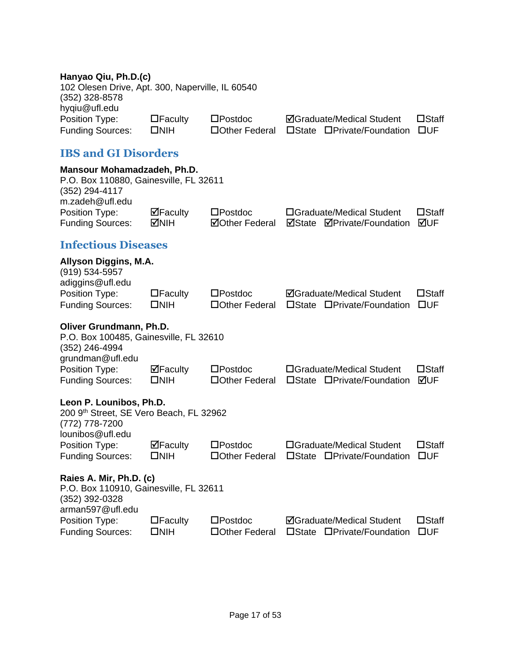#### **Hanyao Qiu, Ph.D.(c)**

102 Olesen Drive, Apt. 300, Naperville, IL 60540 (352) 328-8578 hyqiu@ufl.edu Position Type: Execulty Electroc Mustaduate/Medical Student Electric Cratic Cratic Cratic Cruding Sources: Electric Crother Federal Electric Critical Student Current Funding Sources: Electric Critical Crustate Critical Stu

Funding Sources: NIH Other Federal State Private/Foundation UF

#### **IBS and GI Disorders**

<span id="page-17-1"></span><span id="page-17-0"></span>

| <b>IBS and GI Disorders</b>                                                                                |                                            |                                            |                                                                   |                                 |
|------------------------------------------------------------------------------------------------------------|--------------------------------------------|--------------------------------------------|-------------------------------------------------------------------|---------------------------------|
| Mansour Mohamadzadeh, Ph.D.<br>P.O. Box 110880, Gainesville, FL 32611<br>(352) 294-4117<br>m.zadeh@ufl.edu |                                            |                                            |                                                                   |                                 |
| Position Type:<br><b>Funding Sources:</b>                                                                  | $\boxdot$ Faculty<br><b>MNIH</b>           | $\square$ Postdoc<br><b>⊠Other Federal</b> | □Graduate/Medical Student<br>⊠State<br><b>ØPrivate/Foundation</b> | $\square$ Staff<br>⊠UF          |
| <b>Infectious Diseases</b>                                                                                 |                                            |                                            |                                                                   |                                 |
| Allyson Diggins, M.A.<br>(919) 534-5957<br>adiggins@ufl.edu                                                |                                            |                                            |                                                                   |                                 |
| Position Type:<br><b>Funding Sources:</b>                                                                  | $\Box$ Faculty<br>$\square$ NIH            | $\square$ Postdoc<br>□ Other Federal       | <b>ØGraduate/Medical Student</b><br>□State □Private/Foundation    | $\square$ Staff<br>$\square$ UF |
| Oliver Grundmann, Ph.D.<br>P.O. Box 100485, Gainesville, FL 32610<br>(352) 246-4994<br>grundman@ufl.edu    |                                            |                                            |                                                                   |                                 |
| Position Type:<br><b>Funding Sources:</b>                                                                  | $\Box$ Faculty<br>$\square$ NIH            | $\square$ Postdoc<br>□Other Federal        | □Graduate/Medical Student<br>□State □Private/Foundation           | $\square$ Staff<br>⊠UF          |
| Leon P. Lounibos, Ph.D.<br>200 9th Street, SE Vero Beach, FL 32962<br>(772) 778-7200<br>lounibos@ufl.edu   |                                            |                                            |                                                                   |                                 |
| Position Type:<br><b>Funding Sources:</b>                                                                  | $\mathbf{\nabla}$ Faculty<br>$\square$ NIH | $\square$ Postdoc<br>□Other Federal        | □Graduate/Medical Student<br>□State □Private/Foundation           | $\square$ Staff<br>$\square$ UF |
| Raies A. Mir, Ph.D. (c)<br>P.O. Box 110910, Gainesville, FL 32611<br>(352) 392-0328<br>arman597@ufl.edu    |                                            |                                            |                                                                   |                                 |
| Position Type:<br><b>Funding Sources:</b>                                                                  | $\Box$ Faculty<br>$\square$ NIH            | $\square$ Postdoc<br>□Other Federal        | <b>ØGraduate/Medical Student</b><br>□State □Private/Foundation    | $\square$ Staff<br>$\square$ UF |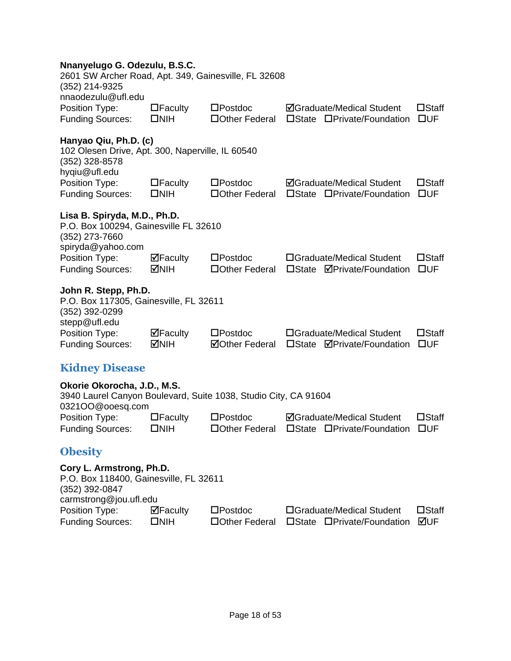| Nnanyelugo G. Odezulu, B.S.C. |  |  |  |
|-------------------------------|--|--|--|
|-------------------------------|--|--|--|

<span id="page-18-1"></span><span id="page-18-0"></span>

| Nnanyelugo G. Odezulu, B.S.C.<br>2601 SW Archer Road, Apt. 349, Gainesville, FL 32608<br>(352) 214-9325        |                                 |                                            |                                                                            |                                 |
|----------------------------------------------------------------------------------------------------------------|---------------------------------|--------------------------------------------|----------------------------------------------------------------------------|---------------------------------|
| nnaodezulu@ufl.edu<br>Position Type:<br><b>Funding Sources:</b>                                                | $\Box$ Faculty<br>$\square$ NIH | $\square$ Postdoc<br>□ Other Federal       | <b>ØGraduate/Medical Student</b><br>$\square$ State<br>□Private/Foundation | $\square$ Staff<br>$\square$ UF |
| Hanyao Qiu, Ph.D. (c)<br>102 Olesen Drive, Apt. 300, Naperville, IL 60540<br>(352) 328-8578<br>hyqiu@ufl.edu   |                                 |                                            |                                                                            |                                 |
| Position Type:<br><b>Funding Sources:</b>                                                                      | $\Box$ Faculty<br>$\square$ NIH | $\square$ Postdoc<br>□ Other Federal       | <b>ØGraduate/Medical Student</b><br>□State □Private/Foundation             | $\square$ Staff<br>$\square$ UF |
| Lisa B. Spiryda, M.D., Ph.D.<br>P.O. Box 100294, Gainesville FL 32610<br>(352) 273-7660<br>spiryda@yahoo.com   |                                 |                                            |                                                                            |                                 |
| Position Type:<br><b>Funding Sources:</b>                                                                      | $\Box$ Faculty<br>MIH           | $\square$ Postdoc<br>□ Other Federal       | □Graduate/Medical Student<br>□State <b>ØPrivate/Foundation</b>             | $\square$ Staff<br>$\square$ UF |
| John R. Stepp, Ph.D.<br>P.O. Box 117305, Gainesville, FL 32611<br>(352) 392-0299<br>stepp@ufl.edu              |                                 |                                            |                                                                            |                                 |
| Position Type:<br><b>Funding Sources:</b>                                                                      | $\Box$ Faculty<br><b>MIH</b>    | $\square$ Postdoc<br><b>⊠Other Federal</b> | □Graduate/Medical Student<br>□State <b>ØPrivate/Foundation</b>             | $\square$ Staff<br>$\square$ UF |
| <b>Kidney Disease</b>                                                                                          |                                 |                                            |                                                                            |                                 |
| Okorie Okorocha, J.D., M.S.<br>3940 Laurel Canyon Boulevard, Suite 1038, Studio City, CA 91604                 |                                 |                                            |                                                                            |                                 |
| 0321OO@ooesq.com<br>Position Type:<br><b>Funding Sources:</b>                                                  | $\Box$ Faculty<br><b>DNIH</b>   | $\square$ Postdoc<br>□ Other Federal       | <b>ØGraduate/Medical Student</b><br>□State □Private/Foundation             | $\square$ Staff<br>$\square$ UF |
| <b>Obesity</b>                                                                                                 |                                 |                                            |                                                                            |                                 |
| Cory L. Armstrong, Ph.D.<br>P.O. Box 118400, Gainesville, FL 32611<br>(352) 392-0847<br>carmstrong@jou.ufl.edu |                                 |                                            |                                                                            |                                 |
| Position Type:<br><b>Funding Sources:</b>                                                                      | ⊠Faculty<br>$\square$ NIH       | $\square$ Postdoc<br>□Other Federal        | □Graduate/Medical Student<br>$\square$ State<br>□Private/Foundation        | $\square$ Staff<br>⊠UF          |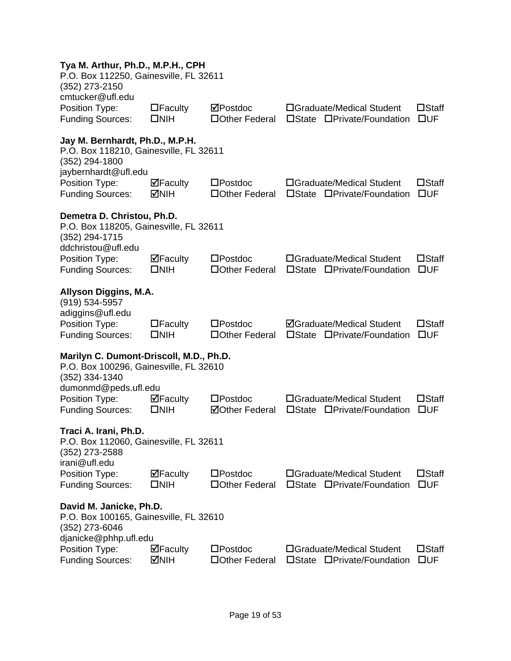#### **Tya M. Arthur, Ph.D., M.P.H., CPH**

| . ya m. Aranar,D., .m. ,<br>P.O. Box 112250, Gainesville, FL 32611<br>(352) 273-2150<br>cmtucker@ufl.edu            |                                        |                                            |                                                                     |                                 |
|---------------------------------------------------------------------------------------------------------------------|----------------------------------------|--------------------------------------------|---------------------------------------------------------------------|---------------------------------|
| Position Type:<br><b>Funding Sources:</b>                                                                           | $\Box$ Faculty<br>$\square$ NIH        | ⊠Postdoc<br>□Other Federal                 | □Graduate/Medical Student<br>□State □Private/Foundation             | $\square$ Staff<br>$\square$ UF |
| Jay M. Bernhardt, Ph.D., M.P.H.<br>P.O. Box 118210, Gainesville, FL 32611<br>(352) 294-1800<br>jaybernhardt@ufl.edu |                                        |                                            |                                                                     |                                 |
| Position Type:<br><b>Funding Sources:</b>                                                                           | $\boxdot$ Faculty<br>MNIH              | $\square$ Postdoc<br>□ Other Federal       | □Graduate/Medical Student<br>□State □Private/Foundation             | $\square$ Staff<br>$\square$ UF |
| Demetra D. Christou, Ph.D.<br>P.O. Box 118205, Gainesville, FL 32611<br>(352) 294-1715<br>ddchristou@ufl.edu        |                                        |                                            |                                                                     |                                 |
| Position Type:<br><b>Funding Sources:</b>                                                                           | $\boxdot$ Faculty<br>$\square$ NIH     | $\square$ Postdoc<br>□ Other Federal       | □Graduate/Medical Student<br>□State □Private/Foundation             | $\square$ Staff<br>$\square$ UF |
| Allyson Diggins, M.A.<br>(919) 534-5957<br>adiggins@ufl.edu                                                         |                                        |                                            |                                                                     |                                 |
| Position Type:<br><b>Funding Sources:</b>                                                                           | $\Box$ Faculty<br>$\square$ NIH        | $\square$ Postdoc<br>□ Other Federal       | <b>ØGraduate/Medical Student</b><br>□State □Private/Foundation      | $\square$ Staff<br>$\square$ UF |
| Marilyn C. Dumont-Driscoll, M.D., Ph.D.<br>P.O. Box 100296, Gainesville, FL 32610<br>$(352)$ 334-1340               |                                        |                                            |                                                                     |                                 |
| dumonmd@peds.ufl.edu<br>Position Type:<br><b>Funding Sources:</b>                                                   | $\Box$ Faculty<br>$\square$ NIH        | $\square$ Postdoc<br><b>ØOther Federal</b> | □Graduate/Medical Student<br>□State □Private/Foundation             | $\square$ Staff<br>$\square$ UF |
| Traci A. Irani, Ph.D.<br>P.O. Box 112060, Gainesville, FL 32611<br>(352) 273-2588<br>irani@ufl.edu                  |                                        |                                            |                                                                     |                                 |
| Position Type:<br><b>Funding Sources:</b>                                                                           | ⊠Faculty<br>$\square$ NIH              | $\square$ Postdoc<br>□Other Federal        | □Graduate/Medical Student<br>$\square$ State<br>□Private/Foundation | $\square$ Staff<br><b>OUF</b>   |
| David M. Janicke, Ph.D.<br>P.O. Box 100165, Gainesville, FL 32610<br>(352) 273-6046<br>djanicke@phhp.ufl.edu        |                                        |                                            |                                                                     |                                 |
| Position Type:<br><b>Funding Sources:</b>                                                                           | $\overline{\mathbf{P}}$ Faculty<br>MM⊡ | $\square$ Postdoc<br>□Other Federal        | □Graduate/Medical Student<br>□State □Private/Foundation             | $\square$ Staff<br><b>OUF</b>   |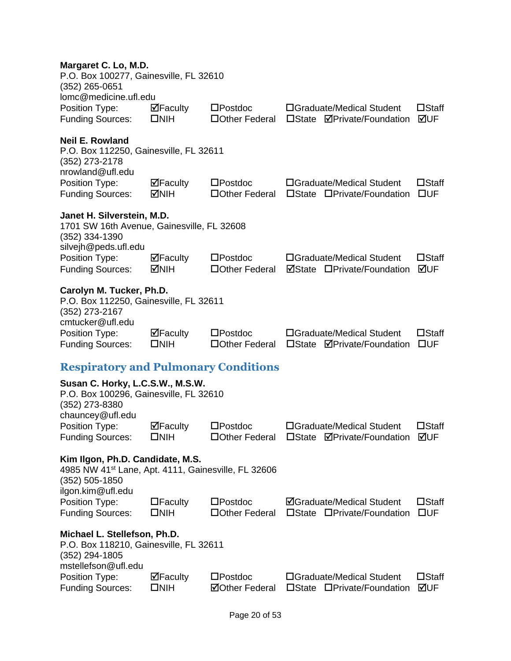<span id="page-20-0"></span>

| Margaret C. Lo, M.D.<br>P.O. Box 100277, Gainesville, FL 32610<br>(352) 265-0651<br>lomc@medicine.ufl.edu                                  |                                 |                                            |                                                                            |                                 |
|--------------------------------------------------------------------------------------------------------------------------------------------|---------------------------------|--------------------------------------------|----------------------------------------------------------------------------|---------------------------------|
| Position Type:<br><b>Funding Sources:</b>                                                                                                  | $\Box$ Faculty<br>$\square$ NIH | $\square$ Postdoc<br>□ Other Federal       | □Graduate/Medical Student<br>□State <b>ØPrivate/Foundation</b>             | $\square$ Staff<br>⊠UF          |
| <b>Neil E. Rowland</b><br>P.O. Box 112250, Gainesville, FL 32611<br>(352) 273-2178<br>nrowland@ufl.edu                                     |                                 |                                            |                                                                            |                                 |
| Position Type:<br><b>Funding Sources:</b>                                                                                                  | $\Box$ Faculty<br>MMH           | $\square$ Postdoc<br>□ Other Federal       | □Graduate/Medical Student<br>□State □Private/Foundation                    | $\Box$ Staff<br>$\square$ UF    |
| Janet H. Silverstein, M.D.<br>1701 SW 16th Avenue, Gainesville, FL 32608<br>(352) 334-1390                                                 |                                 |                                            |                                                                            |                                 |
| silvejh@peds.ufl.edu<br>Position Type:<br><b>Funding Sources:</b>                                                                          | $\Box$ Faculty<br>MIH⊡          | $\square$ Postdoc<br>□ Other Federal       | □Graduate/Medical Student<br><b>ØState □Private/Foundation</b>             | $\square$ Staff<br>⊠UF          |
| Carolyn M. Tucker, Ph.D.<br>P.O. Box 112250, Gainesville, FL 32611<br>(352) 273-2167<br>cmtucker@ufl.edu                                   |                                 |                                            |                                                                            |                                 |
| Position Type:<br><b>Funding Sources:</b>                                                                                                  | $\Box$ Faculty<br>$\square$ NIH | $\square$ Postdoc<br>□Other Federal        | □Graduate/Medical Student<br>$\square$ State<br><b>ØPrivate/Foundation</b> | $\square$ Staff<br>$\square$ UF |
| <b>Respiratory and Pulmonary Conditions</b>                                                                                                |                                 |                                            |                                                                            |                                 |
| Susan C. Horky, L.C.S.W., M.S.W.<br>P.O. Box 100296, Gainesville, FL 32610<br>(352) 273-8380                                               |                                 |                                            |                                                                            |                                 |
| chauncey@ufl.edu<br>Position Type:<br><b>Funding Sources:</b>                                                                              | ⊠Faculty<br>$\square$ NIH       | $\square$ Postdoc<br>□Other Federal        | □Graduate/Medical Student<br>□State ØPrivate/Foundation ØUF                | $\square$ Staff                 |
| Kim Ilgon, Ph.D. Candidate, M.S.<br>4985 NW 41 <sup>st</sup> Lane, Apt. 4111, Gainesville, FL 32606<br>(352) 505-1850<br>ilgon.kim@ufl.edu |                                 |                                            |                                                                            |                                 |
| Position Type:<br><b>Funding Sources:</b>                                                                                                  | $\Box$ Faculty<br>$\square$ NIH | $\square$ Postdoc<br>□Other Federal        | <b>ØGraduate/Medical Student</b><br>□State □Private/Foundation             | $\square$ Staff<br>$\square$ UF |
| Michael L. Stellefson, Ph.D.<br>P.O. Box 118210, Gainesville, FL 32611<br>(352) 294-1805<br>mstellefson@ufl.edu                            |                                 |                                            |                                                                            |                                 |
| Position Type:<br><b>Funding Sources:</b>                                                                                                  | $\Box$ Faculty<br>$\square$ NIH | $\square$ Postdoc<br><b>ØOther Federal</b> | □Graduate/Medical Student<br>□State □Private/Foundation                    | $\square$ Staff<br>⊠UF          |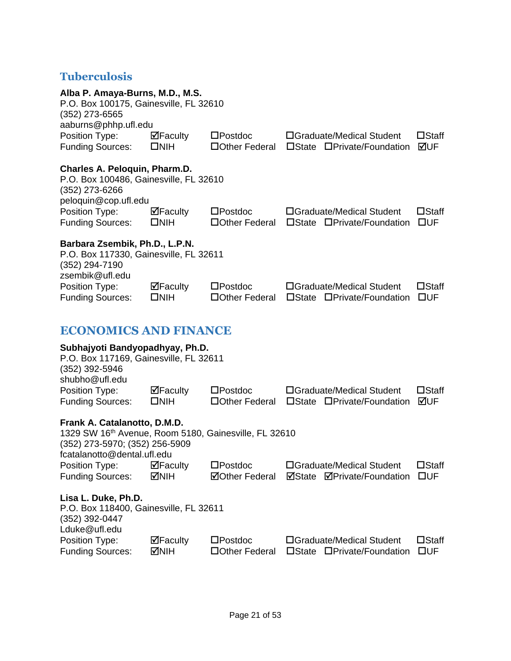### <span id="page-21-0"></span>**Tuberculosis**

<span id="page-21-1"></span>

| Alba P. Amaya-Burns, M.D., M.S.<br>P.O. Box 100175, Gainesville, FL 32610<br>(352) 273-6565<br>aaburns@phhp.ufl.edu                                    |                                                  |                                            |                                                                   |                                 |
|--------------------------------------------------------------------------------------------------------------------------------------------------------|--------------------------------------------------|--------------------------------------------|-------------------------------------------------------------------|---------------------------------|
| Position Type:<br><b>Funding Sources:</b>                                                                                                              | $\overline{\mathbf{M}}$ Faculty<br>$\square$ NIH | $\square$ Postdoc<br>□ Other Federal       | □Graduate/Medical Student<br>□State □Private/Foundation           | $\square$ Staff<br>⊠UF          |
| Charles A. Peloquin, Pharm.D.<br>P.O. Box 100486, Gainesville, FL 32610<br>(352) 273-6266<br>peloquin@cop.ufl.edu                                      |                                                  |                                            |                                                                   |                                 |
| Position Type:<br><b>Funding Sources:</b>                                                                                                              | $\boxdot$ Faculty<br>$\square$ NIH               | $\square$ Postdoc<br>□ Other Federal       | □Graduate/Medical Student<br>□State □Private/Foundation           | $\square$ Staff<br>$\square$ UF |
| Barbara Zsembik, Ph.D., L.P.N.<br>P.O. Box 117330, Gainesville, FL 32611<br>(352) 294-7190<br>zsembik@ufl.edu                                          |                                                  |                                            |                                                                   |                                 |
| Position Type:<br><b>Funding Sources:</b>                                                                                                              | $\Box$ Faculty<br>$\square$ NIH                  | $\square$ Postdoc<br>□ Other Federal       | □Graduate/Medical Student<br>□State □Private/Foundation           | $\square$ Staff<br>$\square$ UF |
| <b>ECONOMICS AND FINANCE</b>                                                                                                                           |                                                  |                                            |                                                                   |                                 |
| Subhajyoti Bandyopadhyay, Ph.D.<br>P.O. Box 117169, Gainesville, FL 32611<br>$(352)$ 392-5946<br>shubho@ufl.edu                                        |                                                  |                                            |                                                                   |                                 |
| Position Type:<br><b>Funding Sources:</b>                                                                                                              | $\Box$ Faculty<br>$\square$ NIH                  | $\square$ Postdoc<br>□ Other Federal       | □Graduate/Medical Student<br>□State □Private/Foundation           | $\square$ Staff<br>⊠UF          |
| Frank A. Catalanotto, D.M.D.<br>1329 SW 16th Avenue, Room 5180, Gainesville, FL 32610<br>(352) 273-5970; (352) 256-5909<br>fcatalanotto@dental.ufl.edu |                                                  |                                            |                                                                   |                                 |
| Position Type:<br><b>Funding Sources:</b>                                                                                                              | ⊠Faculty<br>MNH                                  | $\square$ Postdoc<br><b>⊠Other Federal</b> | □Graduate/Medical Student<br>⊠State<br><b>ØPrivate/Foundation</b> | $\square$ Staff<br>$\square$ UF |
| Lisa L. Duke, Ph.D.<br>P.O. Box 118400, Gainesville, FL 32611<br>(352) 392-0447<br>Lduke@ufl.edu                                                       |                                                  |                                            |                                                                   |                                 |
| Position Type:<br><b>Funding Sources:</b>                                                                                                              | ⊠Faculty<br><b>NIH</b>                           | $\square$ Postdoc<br>□Other Federal        | □Graduate/Medical Student<br>□State □Private/Foundation           | $\square$ Staff<br><b>OUF</b>   |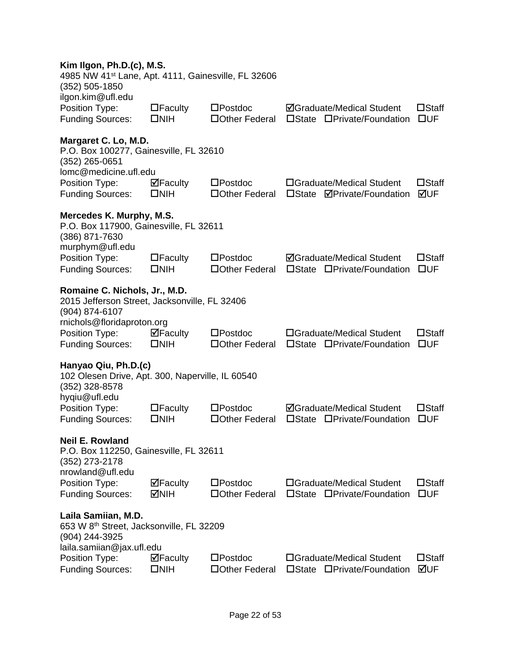| Kim Ilgon, Ph.D.(c), M.S.<br>4985 NW 41 <sup>st</sup> Lane, Apt. 4111, Gainesville, FL 32606<br>$(352) 505 - 1850$             |                                                  |                                      |                                                                            |                                 |
|--------------------------------------------------------------------------------------------------------------------------------|--------------------------------------------------|--------------------------------------|----------------------------------------------------------------------------|---------------------------------|
| ilgon.kim@ufl.edu<br>Position Type:<br><b>Funding Sources:</b>                                                                 | $\Box$ Faculty<br>$\square$ NIH                  | $\square$ Postdoc<br>□ Other Federal | <b>ØGraduate/Medical Student</b><br>□State □Private/Foundation             | $\square$ Staff<br>$\square$ UF |
| Margaret C. Lo, M.D.<br>P.O. Box 100277, Gainesville, FL 32610<br>(352) 265-0651                                               |                                                  |                                      |                                                                            |                                 |
| lomc@medicine.ufl.edu<br>Position Type:<br><b>Funding Sources:</b>                                                             | $\boxdot$ Faculty<br>$\square$ NIH               | $\square$ Postdoc<br>□Other Federal  | □Graduate/Medical Student<br><b>ØPrivate/Foundation</b><br>$\square$ State | $\square$ Staff<br>⊠UF          |
| Mercedes K. Murphy, M.S.<br>P.O. Box 117900, Gainesville, FL 32611<br>(386) 871-7630<br>murphym@ufl.edu                        |                                                  |                                      |                                                                            |                                 |
| Position Type:<br><b>Funding Sources:</b>                                                                                      | $\Box$ Faculty<br>$\square$ NIH                  | $\square$ Postdoc<br>□ Other Federal | <b>ØGraduate/Medical Student</b><br>□State □Private/Foundation             | $\square$ Staff<br>$\square$ UF |
| Romaine C. Nichols, Jr., M.D.<br>2015 Jefferson Street, Jacksonville, FL 32406<br>(904) 874-6107<br>rnichols@floridaproton.org |                                                  |                                      |                                                                            |                                 |
| Position Type:<br><b>Funding Sources:</b>                                                                                      | $\overline{\mathbf{P}}$ Faculty<br>$\square$ NIH | $\square$ Postdoc<br>□ Other Federal | □Graduate/Medical Student<br>□State □Private/Foundation                    | $\square$ Staff<br><b>OUF</b>   |
| Hanyao Qiu, Ph.D.(c)<br>102 Olesen Drive, Apt. 300, Naperville, IL 60540<br>(352) 328-8578<br>hyqiu@ufl.edu                    |                                                  |                                      |                                                                            |                                 |
| Position Type:<br><b>Funding Sources:</b>                                                                                      | $\Box$ Faculty<br>$\square$ NIH                  | $\square$ Postdoc<br>□ Other Federal | <b>ØGraduate/Medical Student</b><br>□Private/Foundation<br>$\square$ State | $\square$ Staff<br><b>OUF</b>   |
| <b>Neil E. Rowland</b><br>P.O. Box 112250, Gainesville, FL 32611<br>(352) 273-2178                                             |                                                  |                                      |                                                                            |                                 |
| nrowland@ufl.edu<br>Position Type:<br><b>Funding Sources:</b>                                                                  | $\overline{\mathbf{P}}$ Faculty<br>MNH           | $\square$ Postdoc<br>□ Other Federal | □Graduate/Medical Student<br>□State □Private/Foundation                    | $\square$ Staff<br>$\square$ UF |
| Laila Samiian, M.D.<br>653 W 8 <sup>th</sup> Street, Jacksonville, FL 32209<br>(904) 244-3925<br>laila.samiian@jax.ufl.edu     |                                                  |                                      |                                                                            |                                 |
| Position Type:<br><b>Funding Sources:</b>                                                                                      | $\Box$ Faculty<br>$\square$ NIH                  | $\square$ Postdoc<br>□Other Federal  | □Graduate/Medical Student<br>□State □Private/Foundation                    | $\square$ Staff<br>⊠UF          |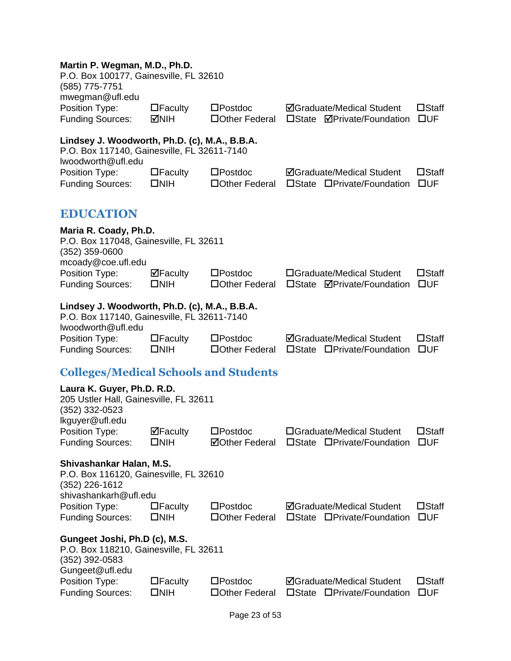#### **Martin P. Wegman, M.D., Ph.D.**

<span id="page-23-1"></span><span id="page-23-0"></span>

| P.O. Box 100177, Gainesville, FL 32610<br>(585) 775-7751<br>mwegman@ufl.edu                                        |                                 |                                            |                                                                       |                                 |
|--------------------------------------------------------------------------------------------------------------------|---------------------------------|--------------------------------------------|-----------------------------------------------------------------------|---------------------------------|
| Position Type:<br><b>Funding Sources:</b>                                                                          | $\Box$ Faculty<br><b>MIH</b>    | $\square$ Postdoc<br>□ Other Federal       | <b>ØGraduate/Medical Student</b><br>□State <b>ØPrivate/Foundation</b> | $\square$ Staff<br>$\square$ UF |
| Lindsey J. Woodworth, Ph.D. (c), M.A., B.B.A.<br>P.O. Box 117140, Gainesville, FL 32611-7140<br>Iwoodworth@ufl.edu |                                 |                                            |                                                                       |                                 |
| Position Type:<br><b>Funding Sources:</b>                                                                          | $\Box$ Faculty<br>$\square$ NIH | $\square$ Postdoc<br>□Other Federal        | <b>ØGraduate/Medical Student</b><br>□State □Private/Foundation        | $\square$ Staff<br>$\square$ UF |
| <b>EDUCATION</b>                                                                                                   |                                 |                                            |                                                                       |                                 |
| Maria R. Coady, Ph.D.<br>P.O. Box 117048, Gainesville, FL 32611<br>(352) 359-0600<br>mcoady@coe.ufl.edu            |                                 |                                            |                                                                       |                                 |
| Position Type:<br><b>Funding Sources:</b>                                                                          | $\Box$ Faculty<br>$\square$ NIH | $\square$ Postdoc<br>□ Other Federal       | □Graduate/Medical Student<br>□State <b>ØPrivate/Foundation</b>        | $\square$ Staff<br>$\square$ UF |
| Lindsey J. Woodworth, Ph.D. (c), M.A., B.B.A.<br>P.O. Box 117140, Gainesville, FL 32611-7140<br>Iwoodworth@ufl.edu |                                 |                                            |                                                                       |                                 |
| Position Type:<br><b>Funding Sources:</b>                                                                          | $\Box$ Faculty<br>$\square$ NIH | $\square$ Postdoc<br>□ Other Federal       | <b>ØGraduate/Medical Student</b><br>□State □Private/Foundation        | $\square$ Staff<br>$\square$ UF |
| <b>Colleges/Medical Schools and Students</b>                                                                       |                                 |                                            |                                                                       |                                 |
| Laura K. Guyer, Ph.D. R.D.<br>205 Ustler Hall, Gainesville, FL 32611<br>(352) 332-0523<br>lkguyer@ufl.edu          |                                 |                                            |                                                                       |                                 |
| Position Type:<br><b>Funding Sources:</b>                                                                          | $\Box$ Faculty<br>$\square$ NIH | $\square$ Postdoc<br><b>⊠Other Federal</b> | □Graduate/Medical Student<br>□State □Private/Foundation               | $\square$ Staff<br>□UF          |
| Shivashankar Halan, M.S.<br>P.O. Box 116120, Gainesville, FL 32610<br>(352) 226-1612<br>shivashankarh@ufl.edu      |                                 |                                            |                                                                       |                                 |
| Position Type:<br><b>Funding Sources:</b>                                                                          | $\Box$ Faculty<br>$\square$ NIH | $\square$ Postdoc<br>□ Other Federal       | <b>ØGraduate/Medical Student</b><br>□State □Private/Foundation        | $\square$ Staff<br>$\square$ UF |
| Gungeet Joshi, Ph.D (c), M.S.<br>P.O. Box 118210, Gainesville, FL 32611<br>(352) 392-0583<br>Gungeet@ufl.edu       |                                 |                                            |                                                                       |                                 |
| Position Type:<br><b>Funding Sources:</b>                                                                          | $\Box$ Faculty<br>$\square$ NIH | $\square$ Postdoc<br>□Other Federal        | <b>ØGraduate/Medical Student</b><br>□State □Private/Foundation        | $\square$ Staff<br>$\square$ UF |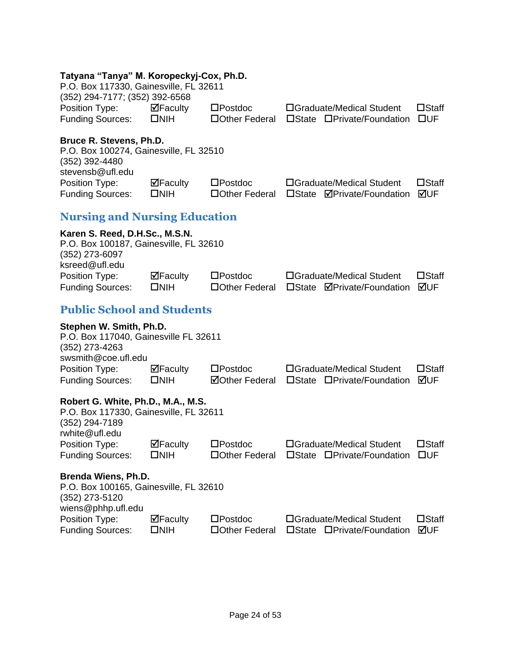#### **Tatyana "Tanya" M. Koropeckyj-Cox, Ph.D.**

<span id="page-24-2"></span><span id="page-24-1"></span><span id="page-24-0"></span>

| P.O. Box 117330, Gainesville, FL 32611<br>(352) 294-7177; (352) 392-6568                                         |                                                  |                                            |                                                                            |                                 |
|------------------------------------------------------------------------------------------------------------------|--------------------------------------------------|--------------------------------------------|----------------------------------------------------------------------------|---------------------------------|
| Position Type:<br><b>Funding Sources:</b>                                                                        | $\Box$ Faculty<br>$\square$ NIH                  | $\square$ Postdoc<br>□ Other Federal       | □Graduate/Medical Student<br>□State □Private/Foundation                    | $\square$ Staff<br>$\square$ UF |
| Bruce R. Stevens, Ph.D.<br>P.O. Box 100274, Gainesville, FL 32510<br>(352) 392-4480<br>stevensb@ufl.edu          |                                                  |                                            |                                                                            |                                 |
| Position Type:<br><b>Funding Sources:</b>                                                                        | $\Box$ Faculty<br>$\square$ NIH                  | $\square$ Postdoc<br>□ Other Federal       | □Graduate/Medical Student<br>□State ØPrivate/Foundation                    | $\square$ Staff<br>⊠UF          |
| <b>Nursing and Nursing Education</b>                                                                             |                                                  |                                            |                                                                            |                                 |
| Karen S. Reed, D.H.Sc., M.S.N.<br>P.O. Box 100187, Gainesville, FL 32610<br>(352) 273-6097<br>ksreed@ufl.edu     |                                                  |                                            |                                                                            |                                 |
| Position Type:<br><b>Funding Sources:</b>                                                                        | $\Box$ Faculty<br>$\square$ NIH                  | $\square$ Postdoc<br>□Other Federal        | □Graduate/Medical Student<br>□State <b>ØPrivate/Foundation</b>             | $\square$ Staff<br>⊠UF          |
| <b>Public School and Students</b>                                                                                |                                                  |                                            |                                                                            |                                 |
| Stephen W. Smith, Ph.D.<br>P.O. Box 117040, Gainesville FL 32611<br>(352) 273-4263<br>swsmith@coe.ufl.edu        |                                                  |                                            |                                                                            |                                 |
| Position Type:<br><b>Funding Sources:</b>                                                                        | $\Box$ Faculty<br>$\square$ NIH                  | $\square$ Postdoc<br><b>ØOther Federal</b> | □Graduate/Medical Student<br>□State □Private/Foundation                    | $\square$ Staff<br>⊠UF          |
| Robert G. White, Ph.D., M.A., M.S.<br>P.O. Box 117330, Gainesville, FL 32611<br>(352) 294-7189<br>rwhite@ufl.edu |                                                  |                                            |                                                                            |                                 |
| Position Type:<br><b>Funding Sources:</b>                                                                        | $\overline{\mathbf{P}}$ Faculty<br>$\square$ NIH | $\square$ Postdoc                          | □Graduate/Medical Student<br>□Other Federal □State □Private/Foundation □UF | $\square$ Staff                 |
| Brenda Wiens, Ph.D.<br>P.O. Box 100165, Gainesville, FL 32610<br>(352) 273-5120<br>wiens@phhp.ufl.edu            |                                                  |                                            |                                                                            |                                 |
| Position Type:<br><b>Funding Sources:</b>                                                                        | $\boxdot$ Faculty<br>$\square$ NIH               | $\square$ Postdoc<br>□Other Federal        | □Graduate/Medical Student<br>□State □Private/Foundation                    | $\square$ Staff<br>⊠UF          |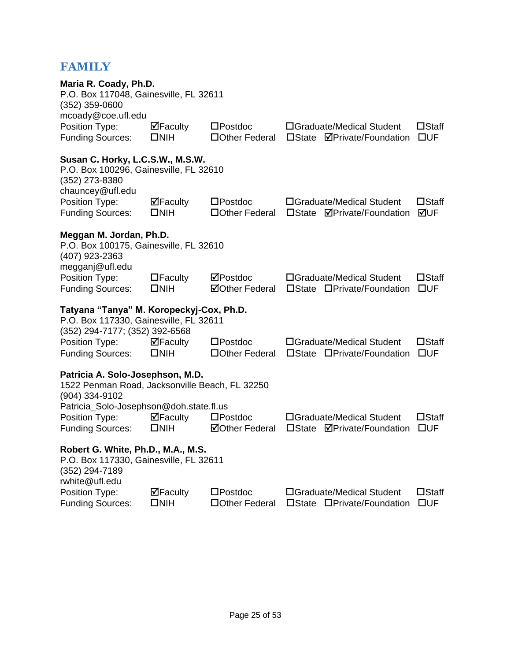### **FAMILY**

| Maria R. Coady, Ph.D.<br>P.O. Box 117048, Gainesville, FL 32611<br>$(352)$ 359-0600<br>mcoady@coe.ufl.edu            |                                 |                                            |                                                                            |                                 |
|----------------------------------------------------------------------------------------------------------------------|---------------------------------|--------------------------------------------|----------------------------------------------------------------------------|---------------------------------|
| Position Type:<br><b>Funding Sources:</b>                                                                            | $\Box$ Faculty<br>$\square$ NIH | $\square$ Postdoc<br>□Other Federal        | □Graduate/Medical Student<br>$\square$ State<br><b>⊠Private/Foundation</b> | $\square$ Staff<br>DUF          |
| Susan C. Horky, L.C.S.W., M.S.W.<br>P.O. Box 100296, Gainesville, FL 32610<br>(352) 273-8380<br>chauncey@ufl.edu     |                                 |                                            |                                                                            |                                 |
| Position Type:<br><b>Funding Sources:</b>                                                                            | ⊠Faculty<br>$\square$ NIH       | $\square$ Postdoc<br>□ Other Federal       | □Graduate/Medical Student<br>□State <b>ØPrivate/Foundation</b>             | $\square$ Staff<br>⊠UF          |
| Meggan M. Jordan, Ph.D.<br>P.O. Box 100175, Gainesville, FL 32610<br>(407) 923-2363<br>megganj@ufl.edu               |                                 |                                            |                                                                            |                                 |
| Position Type:<br><b>Funding Sources:</b>                                                                            | $\Box$ Faculty<br>$\square$ NIH | ⊠Postdoc<br><b>⊠Other Federal</b>          | □Graduate/Medical Student<br>□State □Private/Foundation                    | $\square$ Staff<br>$\square$ UF |
| Tatyana "Tanya" M. Koropeckyj-Cox, Ph.D.<br>P.O. Box 117330, Gainesville, FL 32611<br>(352) 294-7177; (352) 392-6568 |                                 |                                            |                                                                            |                                 |
| Position Type:<br><b>Funding Sources:</b>                                                                            | $\Box$ Faculty<br>$\square$ NIH | $\square$ Postdoc<br>□ Other Federal       | □Graduate/Medical Student<br>□State □Private/Foundation                    | $\square$ Staff<br>$\square$ UF |
| Patricia A. Solo-Josephson, M.D.<br>1522 Penman Road, Jacksonville Beach, FL 32250<br>(904) 334-9102                 |                                 |                                            |                                                                            |                                 |
| Patricia_Solo-Josephson@doh.state.fl.us<br>Position Type:<br><b>Funding Sources:</b>                                 | ⊠Faculty<br>$\square$ NIH       | $\square$ Postdoc<br><b>⊠Other Federal</b> | □Graduate/Medical Student<br>□State <b>ØPrivate/Foundation</b>             | $\square$ Staff<br>$\square$ UF |
| Robert G. White, Ph.D., M.A., M.S.<br>P.O. Box 117330, Gainesville, FL 32611<br>(352) 294-7189<br>rwhite@ufl.edu     |                                 |                                            |                                                                            |                                 |
| Position Type:<br><b>Funding Sources:</b>                                                                            | $\Box$ Faculty<br>$\square$ NIH | $\square$ Postdoc<br>□Other Federal        | □Graduate/Medical Student<br>□State □Private/Foundation                    | $\square$ Staff<br>$\square$ UF |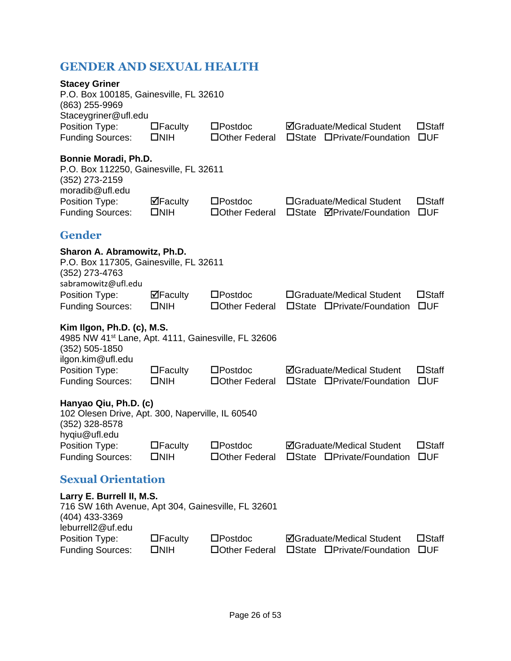### <span id="page-26-0"></span>**GENDER AND SEXUAL HEALTH**

<span id="page-26-2"></span><span id="page-26-1"></span>

| <b>Stacey Griner</b><br>P.O. Box 100185, Gainesville, FL 32610<br>(863) 255-9969<br>Staceygriner@ufl.edu                               |                                 |                                      |                                                                |                                 |
|----------------------------------------------------------------------------------------------------------------------------------------|---------------------------------|--------------------------------------|----------------------------------------------------------------|---------------------------------|
| Position Type:<br><b>Funding Sources:</b>                                                                                              | $\Box$ Faculty<br>$\square$ NIH | $\square$ Postdoc<br>□ Other Federal | <b>ØGraduate/Medical Student</b><br>□State □Private/Foundation | $\square$ Staff<br>$\square$ UF |
| Bonnie Moradi, Ph.D.<br>P.O. Box 112250, Gainesville, FL 32611<br>(352) 273-2159<br>moradib@ufl.edu                                    |                                 |                                      |                                                                |                                 |
| Position Type:<br><b>Funding Sources:</b>                                                                                              | $\Box$ Faculty<br>$\square$ NIH | $\square$ Postdoc<br>□ Other Federal | □Graduate/Medical Student<br>□State <b>ØPrivate/Foundation</b> | $\square$ Staff<br>$\square$ UF |
| <b>Gender</b>                                                                                                                          |                                 |                                      |                                                                |                                 |
| Sharon A. Abramowitz, Ph.D.<br>P.O. Box 117305, Gainesville, FL 32611<br>(352) 273-4763<br>sabramowitz@ufl.edu                         |                                 |                                      |                                                                |                                 |
| Position Type:<br><b>Funding Sources:</b>                                                                                              | $\Box$ Faculty<br>$\square$ NIH | $\square$ Postdoc<br>□ Other Federal | □Graduate/Medical Student<br>□State □Private/Foundation        | $\square$ Staff<br>$\square$ UF |
| Kim Ilgon, Ph.D. (c), M.S.<br>4985 NW 41 <sup>st</sup> Lane, Apt. 4111, Gainesville, FL 32606<br>$(352)$ 505-1850<br>ilgon.kim@ufl.edu |                                 |                                      |                                                                |                                 |
| Position Type:<br><b>Funding Sources:</b>                                                                                              | $\Box$ Faculty<br>$\square$ NIH | $\square$ Postdoc<br>□ Other Federal | <b>ØGraduate/Medical Student</b><br>□State □Private/Foundation | $\square$ Staff<br>$\square$ UF |
| Hanyao Qiu, Ph.D. (c)<br>102 Olesen Drive, Apt. 300, Naperville, IL 60540<br>(352) 328-8578<br>hyqiu@ufl.edu                           |                                 |                                      |                                                                |                                 |
| Position Type:<br><b>Funding Sources:</b>                                                                                              | $\Box$ Faculty<br>$\square$ NIH | $\square$ Postdoc<br>□ Other Federal | <b>ØGraduate/Medical Student</b><br>□State □Private/Foundation | $\square$ Staff<br>$\square$ UF |
| <b>Sexual Orientation</b>                                                                                                              |                                 |                                      |                                                                |                                 |
| Larry E. Burrell II, M.S.<br>716 SW 16th Avenue, Apt 304, Gainesville, FL 32601<br>(404) 433-3369<br>leburrell2@uf.edu                 |                                 |                                      |                                                                |                                 |
| Position Type:<br><b>Funding Sources:</b>                                                                                              | $\Box$ Faculty<br>$\square$ NIH | $\square$ Postdoc<br>□ Other Federal | <b>ØGraduate/Medical Student</b><br>□State □Private/Foundation | $\square$ Staff<br>$\square$ UF |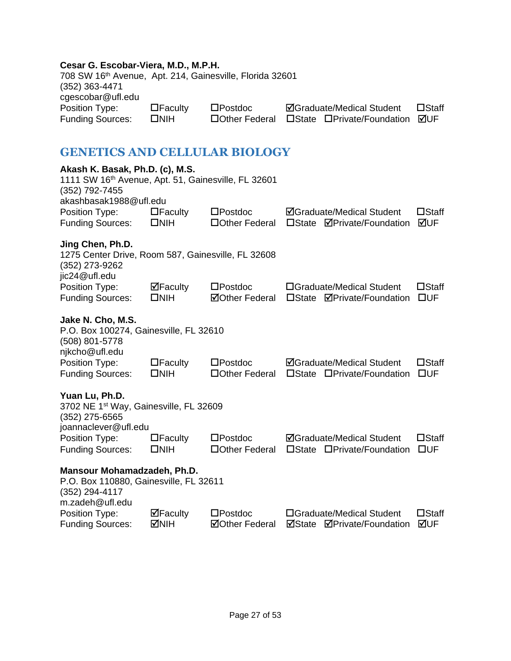#### **Cesar G. Escobar-Viera, M.D., M.P.H.**

| 708 SW 16th Avenue, Apt. 214, Gainesville, Florida 32601 |                |                   |                                       |                 |
|----------------------------------------------------------|----------------|-------------------|---------------------------------------|-----------------|
| (352) 363-4471                                           |                |                   |                                       |                 |
| cgescobar@ufl.edu                                        |                |                   |                                       |                 |
| Position Type:                                           | $\Box$ Faculty | $\square$ Postdoc | <b>ØGraduate/Medical Student</b>      | $\square$ Staff |
| <b>Funding Sources:</b>                                  | $\square$ NIH  | □ Other Federal   | □State □Private/Foundation <b>ØUF</b> |                 |

### <span id="page-27-0"></span>**GENETICS AND CELLULAR BIOLOGY**

| Akash K. Basak, Ph.D. (c), M.S.<br>1111 SW 16th Avenue, Apt. 51, Gainesville, FL 32601<br>(352) 792-7455   |                                    |                                            |                 |                                                                |                                 |
|------------------------------------------------------------------------------------------------------------|------------------------------------|--------------------------------------------|-----------------|----------------------------------------------------------------|---------------------------------|
| akashbasak1988@ufl.edu<br>Position Type:<br><b>Funding Sources:</b>                                        | $\Box$ Faculty<br>$\square$ NIH    | $\square$ Postdoc<br>□Other Federal        | $\square$ State | <b>ØGraduate/Medical Student</b><br><b>ØPrivate/Foundation</b> | $\square$ Staff<br>⊠UF          |
| Jing Chen, Ph.D.<br>1275 Center Drive, Room 587, Gainesville, FL 32608<br>(352) 273-9262<br>jic24@ufl.edu  |                                    |                                            |                 |                                                                |                                 |
| Position Type:<br><b>Funding Sources:</b>                                                                  | $\boxdot$ Faculty<br>$\square$ NIH | $\square$ Postdoc<br><b>⊠Other Federal</b> | $\square$ State | □Graduate/Medical Student<br><b>ØPrivate/Foundation</b>        | $\square$ Staff<br>$\square$ UF |
| Jake N. Cho, M.S.<br>P.O. Box 100274, Gainesville, FL 32610<br>(508) 801-5778<br>njkcho@ufl.edu            |                                    |                                            |                 |                                                                |                                 |
| Position Type:<br><b>Funding Sources:</b>                                                                  | $\Box$ Faculty<br>$\square$ NIH    | $\square$ Postdoc<br>□ Other Federal       |                 | <b>ØGraduate/Medical Student</b><br>□State □Private/Foundation | $\square$ Staff<br>$\square$ UF |
| Yuan Lu, Ph.D.<br>3702 NE 1 <sup>st</sup> Way, Gainesville, FL 32609<br>(352) 275-6565                     |                                    |                                            |                 |                                                                |                                 |
| joannaclever@ufl.edu<br>Position Type:<br><b>Funding Sources:</b>                                          | $\Box$ Faculty<br>$\square$ NIH    | $\square$ Postdoc<br>□ Other Federal       |                 | <b>ØGraduate/Medical Student</b><br>□State □Private/Foundation | $\square$ Staff<br>$\square$ UF |
| Mansour Mohamadzadeh, Ph.D.<br>P.O. Box 110880, Gainesville, FL 32611<br>(352) 294-4117<br>m.zadeh@ufl.edu |                                    |                                            |                 |                                                                |                                 |
| Position Type:<br><b>Funding Sources:</b>                                                                  | ⊠Faculty<br><b>NIH</b>             | $\square$ Postdoc<br><b>ØOther Federal</b> | ⊠State          | □Graduate/Medical Student<br><b>ØPrivate/Foundation</b>        | $\square$ Staff<br>⊠UF          |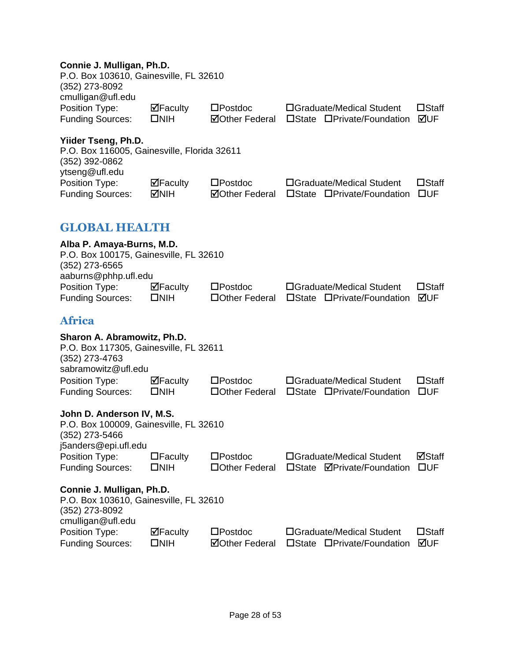### **Connie J. Mulligan, Ph.D.**

<span id="page-28-1"></span><span id="page-28-0"></span>

| Comme J. Munigan, Fn.D.<br>P.O. Box 103610, Gainesville, FL 32610<br>(352) 273-8092                             |                                 |                                            |                 |                                                                |                                 |
|-----------------------------------------------------------------------------------------------------------------|---------------------------------|--------------------------------------------|-----------------|----------------------------------------------------------------|---------------------------------|
| cmulligan@ufl.edu<br>Position Type:<br><b>Funding Sources:</b>                                                  | $\Box$ Faculty<br>$\square$ NIH | $\square$ Postdoc<br><b>⊠Other Federal</b> |                 | □Graduate/Medical Student<br>□State □Private/Foundation        | $\square$ Staff<br>⊠UF          |
| Yiider Tseng, Ph.D.<br>P.O. Box 116005, Gainesville, Florida 32611<br>(352) 392-0862<br>ytseng@ufl.edu          |                                 |                                            |                 |                                                                |                                 |
| Position Type:<br><b>Funding Sources:</b>                                                                       | $\Box$ Faculty<br><b>MIH</b>    | $\square$ Postdoc<br><b>ØOther Federal</b> |                 | □Graduate/Medical Student<br>□State □Private/Foundation        | $\square$ Staff<br>$\square$ UF |
| <b>GLOBAL HEALTH</b>                                                                                            |                                 |                                            |                 |                                                                |                                 |
| Alba P. Amaya-Burns, M.D.<br>P.O. Box 100175, Gainesville, FL 32610<br>$(352)$ 273-6565<br>aaburns@phhp.ufl.edu |                                 |                                            |                 |                                                                |                                 |
| Position Type:<br><b>Funding Sources:</b>                                                                       | $\Box$ Faculty<br>$\square$ NIH | $\square$ Postdoc<br>□ Other Federal       |                 | □Graduate/Medical Student<br>□State □Private/Foundation        | $\square$ Staff<br>⊠UF          |
| <b>Africa</b>                                                                                                   |                                 |                                            |                 |                                                                |                                 |
| Sharon A. Abramowitz, Ph.D.<br>P.O. Box 117305, Gainesville, FL 32611<br>(352) 273-4763<br>sabramowitz@ufl.edu  |                                 |                                            |                 |                                                                |                                 |
| Position Type:<br><b>Funding Sources:</b>                                                                       | $\Box$ Faculty<br>$\square$ NIH | $\square$ Postdoc<br>□ Other Federal       |                 | □Graduate/Medical Student<br>□State □Private/Foundation        | $\square$ Staff<br>$\square$ UF |
| John D. Anderson IV, M.S.<br>P.O. Box 100009, Gainesville, FL 32610<br>(352) 273-5466<br>j5anders@epi.ufl.edu   |                                 |                                            |                 |                                                                |                                 |
| Position Type:<br><b>Funding Sources:</b>                                                                       | $\Box$ Faculty<br>$\square$ NIH | $\square$ Postdoc<br>□Other Federal        |                 | □Graduate/Medical Student<br>□State <b>ØPrivate/Foundation</b> | ⊠Staff<br>$\square$ UF          |
| Connie J. Mulligan, Ph.D.<br>P.O. Box 103610, Gainesville, FL 32610<br>(352) 273-8092<br>cmulligan@ufl.edu      |                                 |                                            |                 |                                                                |                                 |
| Position Type:<br><b>Funding Sources:</b>                                                                       | ⊠Faculty<br>$\square$ NIH       | $\square$ Postdoc<br><b>ØOther Federal</b> | $\square$ State | □Graduate/Medical Student<br>□Private/Foundation               | $\square$ Staff<br>⊠UF          |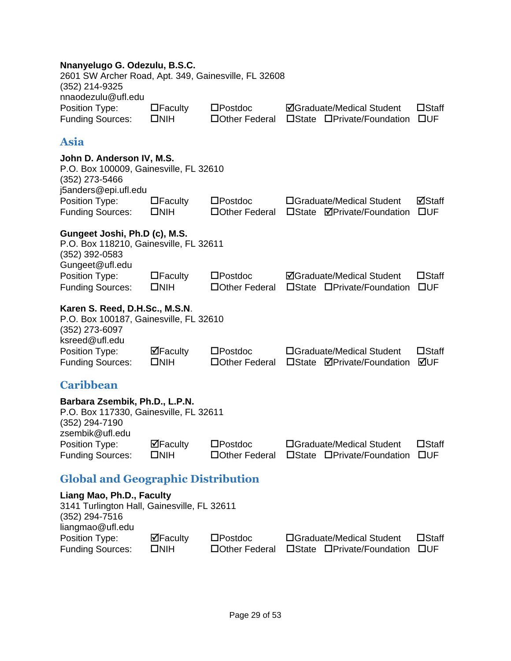#### **Nnanyelugo G. Odezulu, B.S.C.**

| $\Box$ Faculty | $\square$ Postdoc |                                                      | $\square$ Staff                                                |
|----------------|-------------------|------------------------------------------------------|----------------------------------------------------------------|
| $\square$ NIH  | □ Other Federal   |                                                      | <b>TIUE</b>                                                    |
|                |                   | 2601 SW Archer Road, Apt. 349, Gainesville, FL 32608 | <b>ØGraduate/Medical Student</b><br>□State □Private/Foundation |

### <span id="page-29-0"></span>**Asia**

| John D. Anderson IV, M.S.<br>P.O. Box 100009, Gainesville, FL 32610<br>(352) 273-5466                         |                                 |                                      |                 |                                                                |                                 |
|---------------------------------------------------------------------------------------------------------------|---------------------------------|--------------------------------------|-----------------|----------------------------------------------------------------|---------------------------------|
| j5anders@epi.ufl.edu<br>Position Type:<br><b>Funding Sources:</b>                                             | $\Box$ Faculty<br>$\square$ NIH | $\square$ Postdoc<br>□ Other Federal |                 | □Graduate/Medical Student<br>□State <b>ØPrivate/Foundation</b> | ⊠Staff<br>$\square$ UF          |
| Gungeet Joshi, Ph.D (c), M.S.<br>P.O. Box 118210, Gainesville, FL 32611<br>(352) 392-0583<br>Gungeet@ufl.edu  |                                 |                                      |                 |                                                                |                                 |
| Position Type:<br><b>Funding Sources:</b>                                                                     | $\Box$ Faculty<br>$\square$ NIH | $\square$ Postdoc<br>□ Other Federal |                 | <b>ØGraduate/Medical Student</b><br>□State □Private/Foundation | $\Box$ Staff<br>$\square$ UF    |
| Karen S. Reed, D.H.Sc., M.S.N.<br>P.O. Box 100187, Gainesville, FL 32610<br>(352) 273-6097<br>ksreed@ufl.edu  |                                 |                                      |                 |                                                                |                                 |
| Position Type:<br><b>Funding Sources:</b>                                                                     | $\Box$ Faculty<br>$\square$ NIH | $\square$ Postdoc<br>□ Other Federal | $\square$ State | □Graduate/Medical Student<br><b>ØPrivate/Foundation</b>        | $\square$ Staff<br>⊠UF          |
| <b>Caribbean</b>                                                                                              |                                 |                                      |                 |                                                                |                                 |
| Barbara Zsembik, Ph.D., L.P.N.<br>P.O. Box 117330, Gainesville, FL 32611<br>(352) 294-7190<br>zsembik@ufl.edu |                                 |                                      |                 |                                                                |                                 |
| Position Type:<br><b>Funding Sources:</b>                                                                     | $\Box$ Faculty<br>$\square$ NIH | $\square$ Postdoc<br>□ Other Federal |                 | □Graduate/Medical Student<br>□State □Private/Foundation        | $\square$ Staff<br>$\square$ UF |
| <b>Global and Geographic Distribution</b>                                                                     |                                 |                                      |                 |                                                                |                                 |
| Liang Mao, Ph.D., Faculty                                                                                     |                                 |                                      |                 |                                                                |                                 |

<span id="page-29-2"></span><span id="page-29-1"></span>

| Liang Mao, Ph.D., Faculty                   |            |                   |                            |                 |
|---------------------------------------------|------------|-------------------|----------------------------|-----------------|
| 3141 Turlington Hall, Gainesville, FL 32611 |            |                   |                            |                 |
| $(352)$ 294-7516                            |            |                   |                            |                 |
| liangmao@ufl.edu                            |            |                   |                            |                 |
| Position Type:                              | ⊠Faculty   | $\square$ Postdoc | □Graduate/Medical Student  | $\square$ Staff |
| <b>Funding Sources:</b>                     | <b>NIH</b> | □ Other Federal   | □State □Private/Foundation | – EUE           |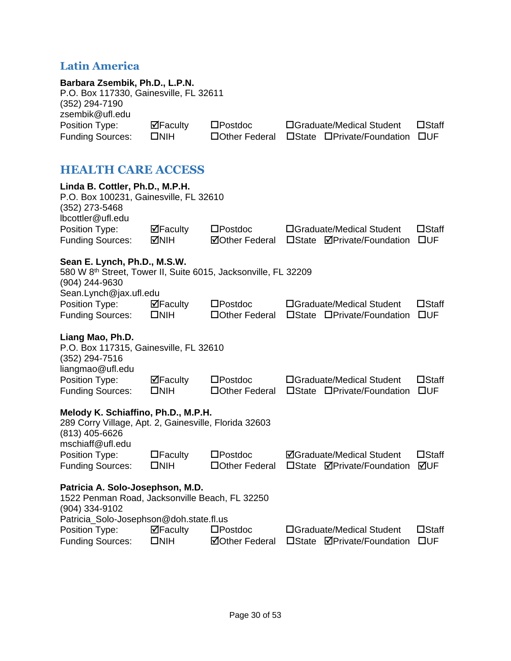### <span id="page-30-0"></span>**Latin America**

<span id="page-30-1"></span>

| Barbara Zsembik, Ph.D., L.P.N.<br>P.O. Box 117330, Gainesville, FL 32611<br>(352) 294-7190<br>zsembik@ufl.edu                      |                                                  |                                            |                                                                                   |                                 |
|------------------------------------------------------------------------------------------------------------------------------------|--------------------------------------------------|--------------------------------------------|-----------------------------------------------------------------------------------|---------------------------------|
| Position Type:<br><b>Funding Sources:</b>                                                                                          | $\Box$ Faculty<br>$\square$ NIH                  | $\square$ Postdoc<br>□ Other Federal       | □Graduate/Medical Student<br>□State □Private/Foundation                           | $\square$ Staff<br>$\square$ UF |
| <b>HEALTH CARE ACCESS</b>                                                                                                          |                                                  |                                            |                                                                                   |                                 |
| Linda B. Cottler, Ph.D., M.P.H.<br>P.O. Box 100231, Gainesville, FL 32610<br>(352) 273-5468<br>lbcottler@ufl.edu                   |                                                  |                                            |                                                                                   |                                 |
| Position Type:<br><b>Funding Sources:</b>                                                                                          | $\Box$ Faculty<br>⊠NIH                           | $\square$ Postdoc<br><b>ØOther Federal</b> | □Graduate/Medical Student<br><b>ØPrivate/Foundation</b><br>$\square$ State        | $\Box$ Staff<br>$\square$ UF    |
| Sean E. Lynch, Ph.D., M.S.W.<br>580 W 8th Street, Tower II, Suite 6015, Jacksonville, FL 32209<br>(904) 244-9630                   |                                                  |                                            |                                                                                   |                                 |
| Sean.Lynch@jax.ufl.edu<br>Position Type:<br><b>Funding Sources:</b>                                                                | $\overline{\mathbf{M}}$ Faculty<br>$\square$ NIH | $\square$ Postdoc<br>□ Other Federal       | □Graduate/Medical Student<br>□State □Private/Foundation                           | $\square$ Staff<br>$\square$ UF |
| Liang Mao, Ph.D.<br>P.O. Box 117315, Gainesville, FL 32610<br>(352) 294-7516<br>liangmao@ufl.edu                                   |                                                  |                                            |                                                                                   |                                 |
| Position Type:<br><b>Funding Sources:</b>                                                                                          | $\boxdot$ Faculty<br>$\square$ NIH               | $\square$ Postdoc<br>□ Other Federal       | □Graduate/Medical Student<br>□State □Private/Foundation                           | $\square$ Staff<br>$\square$ UF |
| Melody K. Schiaffino, Ph.D., M.P.H.<br>289 Corry Village, Apt. 2, Gainesville, Florida 32603<br>(813) 405-6626<br>mschiaff@ufl.edu |                                                  |                                            |                                                                                   |                                 |
| Position Type:<br><b>Funding Sources:</b>                                                                                          | $\Box$ Faculty<br>$\square$ NIH                  | $\square$ Postdoc<br>□Other Federal        | <b>ØGraduate/Medical Student</b><br><b>ØPrivate/Foundation</b><br>$\square$ State | $\square$ Staff<br>⊠UF          |
| Patricia A. Solo-Josephson, M.D.<br>1522 Penman Road, Jacksonville Beach, FL 32250<br>(904) 334-9102                               |                                                  |                                            |                                                                                   |                                 |
| Patricia_Solo-Josephson@doh.state.fl.us<br>Position Type:<br><b>Funding Sources:</b>                                               | $\Box$ Faculty<br>$\square$ NIH                  | $\square$ Postdoc<br><b>ØOther Federal</b> | □Graduate/Medical Student<br>$\square$ State<br><b>ØPrivate/Foundation</b>        | $\square$ Staff<br>$\square$ UF |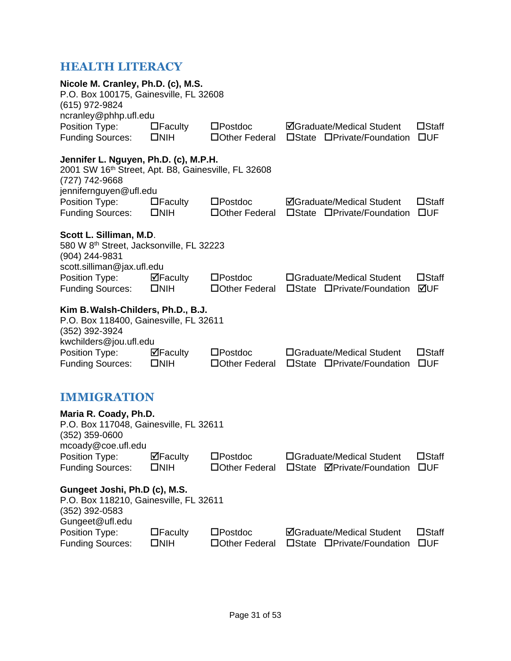### <span id="page-31-0"></span>**HEALTH LITERACY**

<span id="page-31-1"></span>

| Nicole M. Cranley, Ph.D. (c), M.S.<br>P.O. Box 100175, Gainesville, FL 32608<br>(615) 972-9824<br>ncranley@phhp.ufl.edu                  |                                 |                                      |                                                                |                                 |
|------------------------------------------------------------------------------------------------------------------------------------------|---------------------------------|--------------------------------------|----------------------------------------------------------------|---------------------------------|
| Position Type:<br><b>Funding Sources:</b>                                                                                                | $\Box$ Faculty<br>$\square$ NIH | $\square$ Postdoc<br>□Other Federal  | <b>ØGraduate/Medical Student</b><br>□State □Private/Foundation | $\square$ Staff<br>$\square$ UF |
| Jennifer L. Nguyen, Ph.D. (c), M.P.H.<br>2001 SW 16th Street, Apt. B8, Gainesville, FL 32608<br>(727) 742-9668<br>jennifernguyen@ufl.edu |                                 |                                      |                                                                |                                 |
| Position Type:<br><b>Funding Sources:</b>                                                                                                | $\Box$ Faculty<br>$\square$ NIH | $\square$ Postdoc<br>□Other Federal  | <b>ØGraduate/Medical Student</b><br>□State □Private/Foundation | $\square$ Staff<br>$\square$ UF |
| Scott L. Silliman, M.D.<br>580 W 8th Street, Jacksonville, FL 32223<br>(904) 244-9831                                                    |                                 |                                      |                                                                |                                 |
| scott.silliman@jax.ufl.edu<br>Position Type:<br><b>Funding Sources:</b>                                                                  | ⊠Faculty<br>$\square$ NIH       | $\square$ Postdoc<br>□ Other Federal | □Graduate/Medical Student<br>□State □Private/Foundation        | $\square$ Staff<br>⊠UF          |
| Kim B. Walsh-Childers, Ph.D., B.J.<br>P.O. Box 118400, Gainesville, FL 32611<br>(352) 392-3924<br>kwchilders@jou.ufl.edu                 |                                 |                                      |                                                                |                                 |
| Position Type:<br><b>Funding Sources:</b>                                                                                                | ⊠Faculty<br>$\square$ NIH       | $\square$ Postdoc<br>□ Other Federal | □Graduate/Medical Student<br>□State □Private/Foundation        | $\square$ Staff<br>$\square$ UF |
| <b>IMMIGRATION</b>                                                                                                                       |                                 |                                      |                                                                |                                 |
| Maria R. Coady, Ph.D.<br>P.O. Box 117048, Gainesville, FL 32611<br>$(352)$ 359-0600<br>mcoady@coe.ufl.edu                                |                                 |                                      |                                                                |                                 |
| Position Type:<br><b>Funding Sources:</b>                                                                                                | ⊠Faculty<br>$\square$ NIH       | $\square$ Postdoc<br>□Other Federal  | □Graduate/Medical Student<br>□State ØPrivate/Foundation        | $\square$ Staff<br>$\square$ UF |
| Gungeet Joshi, Ph.D (c), M.S.<br>P.O. Box 118210, Gainesville, FL 32611<br>(352) 392-0583<br>Gungeet@ufl.edu                             |                                 |                                      |                                                                |                                 |
| Position Type:<br><b>Funding Sources:</b>                                                                                                | $\Box$ Faculty<br>$\square$ NIH | $\square$ Postdoc<br>□Other Federal  | <b>ØGraduate/Medical Student</b><br>□State □Private/Foundation | $\square$ Staff<br>$\square$ UF |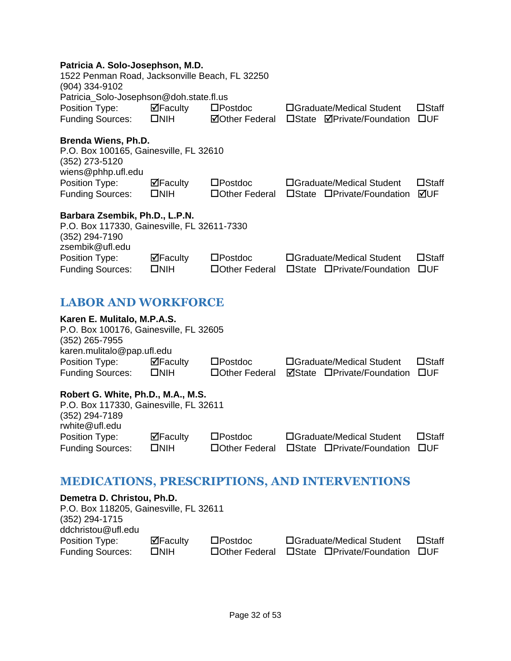#### **Patricia A. Solo-Josephson, M.D.**

| 1522 Penman Road, Jacksonville Beach, FL 32250<br>(904) 334-9102<br>Patricia_Solo-Josephson@doh.state.fl.us        |                |                       |  |                                   |                 |
|--------------------------------------------------------------------------------------------------------------------|----------------|-----------------------|--|-----------------------------------|-----------------|
| Position Type:                                                                                                     | $\Box$ Faculty | $\square$ Postdoc     |  | □Graduate/Medical Student         | $\square$ Staff |
| <b>Funding Sources:</b>                                                                                            | $\Box$ NIH     | <b>⊠Other Federal</b> |  | □State <b>ØPrivate/Foundation</b> | $\square$ UF    |
| <b>Brenda Wiens, Ph.D.</b>                                                                                         |                |                       |  |                                   |                 |
| P.O. Box 100165, Gainesville, FL 32610<br>(352) 273-5120<br>wiens@phhp.ufl.edu                                     |                |                       |  |                                   |                 |
| Position Type:                                                                                                     | $\Box$ Faculty | $\square$ Postdoc     |  | □Graduate/Medical Student         | $\square$ Staff |
| <b>Funding Sources:</b>                                                                                            | <b>DNIH</b>    | □Other Federal        |  | □State □Private/Foundation        | ⊠UF             |
| Barbara Zsembik, Ph.D., L.P.N.<br>P.O. Box 117330, Gainesville, FL 32611-7330<br>(352) 294-7190<br>zsembik@ufl.edu |                |                       |  |                                   |                 |
|                                                                                                                    | $\Box$ Faculty | $\square$ Postdoc     |  | □Graduate/Medical Student         | $\square$ Staff |
| Position Type:<br><b>Funding Sources:</b>                                                                          | <b>ONIH</b>    | □Other Federal        |  | □State □Private/Foundation        | $\square$ UF    |
| <b>LABOR AND WORKFORCE</b>                                                                                         |                |                       |  |                                   |                 |

<span id="page-32-0"></span>

| Karen E. Mulitalo, M.P.A.S.            |                        |                   |                                   |                 |
|----------------------------------------|------------------------|-------------------|-----------------------------------|-----------------|
| P.O. Box 100176, Gainesville, FL 32605 |                        |                   |                                   |                 |
| $(352)$ 265-7955                       |                        |                   |                                   |                 |
| karen.mulitalo@pap.ufl.edu             |                        |                   |                                   |                 |
| Position Type:                         | $\blacksquare$ Faculty | $\square$ Postdoc | □Graduate/Medical Student         | $\square$ Staff |
| <b>Funding Sources:</b>                | $\square$ NIH          | □Other Federal    | <b>ØState □Private/Foundation</b> | $\square$ UF    |
| Robert G. White, Ph.D., M.A., M.S.     |                        |                   |                                   |                 |
| P.O. Box 117330, Gainesville, FL 32611 |                        |                   |                                   |                 |
| (352) 294-7189                         |                        |                   |                                   |                 |
| rwhite@ufl.edu                         |                        |                   |                                   |                 |

| Position Type:          | $\Box$ Faculty | $\square$ Postdoc | □Graduate/Medical Student                         | $\square$ Staff |
|-------------------------|----------------|-------------------|---------------------------------------------------|-----------------|
| <b>Funding Sources:</b> | □NIH           |                   | □ Other Federal □ State □ Private/Foundation □ UF |                 |

### <span id="page-32-1"></span>**MEDICATIONS, PRESCRIPTIONS, AND INTERVENTIONS**

| Demetra D. Christou, Ph.D.             |               |                   |                            |              |
|----------------------------------------|---------------|-------------------|----------------------------|--------------|
| P.O. Box 118205, Gainesville, FL 32611 |               |                   |                            |              |
| (352) 294-1715                         |               |                   |                            |              |
| ddchristou@ufl.edu                     |               |                   |                            |              |
| Position Type:                         | ⊠Faculty      | $\square$ Postdoc | □Graduate/Medical Student  | $\Box$ Staff |
| <b>Funding Sources:</b>                | $\square$ NIH | □ Other Federal   | □State □Private/Foundation | <b>TIUF</b>  |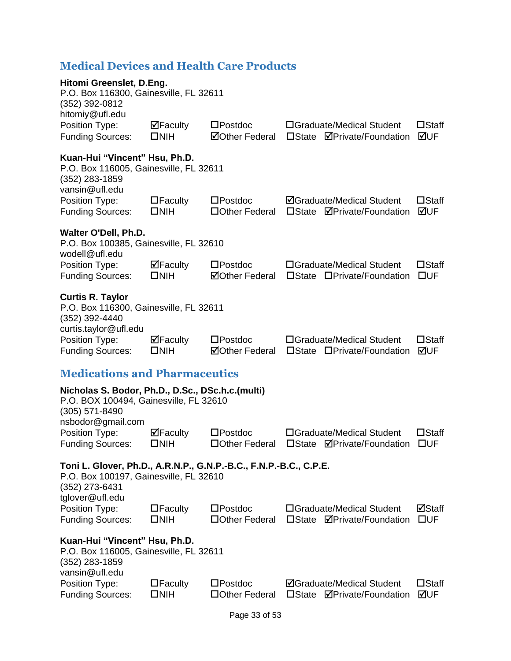### <span id="page-33-0"></span>**Medical Devices and Health Care Products**

<span id="page-33-1"></span>

| Hitomi Greenslet, D.Eng.<br>P.O. Box 116300, Gainesville, FL 32611<br>(352) 392-0812<br>hitomiy@ufl.edu                                          |                                 |                                            |                                                                       |                                 |
|--------------------------------------------------------------------------------------------------------------------------------------------------|---------------------------------|--------------------------------------------|-----------------------------------------------------------------------|---------------------------------|
| Position Type:<br><b>Funding Sources:</b>                                                                                                        | $\Box$ Faculty<br>$\square$ NIH | $\square$ Postdoc<br><b>ØOther Federal</b> | □Graduate/Medical Student<br>□State <b>ØPrivate/Foundation</b>        | $\square$ Staff<br>⊠UF          |
| Kuan-Hui "Vincent" Hsu, Ph.D.<br>P.O. Box 116005, Gainesville, FL 32611<br>(352) 283-1859<br>vansin@ufl.edu                                      |                                 |                                            |                                                                       |                                 |
| Position Type:<br><b>Funding Sources:</b>                                                                                                        | $\Box$ Faculty<br>$\square$ NIH | $\square$ Postdoc<br>□Other Federal        | <b>ØGraduate/Medical Student</b><br>□State <b>ØPrivate/Foundation</b> | $\square$ Staff<br>⊠UF          |
| Walter O'Dell, Ph.D.<br>P.O. Box 100385, Gainesville, FL 32610<br>wodell@ufl.edu                                                                 |                                 |                                            |                                                                       |                                 |
| Position Type:<br><b>Funding Sources:</b>                                                                                                        | $\Box$ Faculty<br>$\square$ NIH | $\square$ Postdoc<br><b>⊠Other Federal</b> | □Graduate/Medical Student<br>□State □Private/Foundation               | $\square$ Staff<br>$\square$ UF |
| <b>Curtis R. Taylor</b><br>P.O. Box 116300, Gainesville, FL 32611<br>(352) 392-4440<br>curtis.taylor@ufl.edu                                     |                                 |                                            |                                                                       |                                 |
| Position Type:<br><b>Funding Sources:</b>                                                                                                        | $\Box$ Faculty<br>$\square$ NIH | $\square$ Postdoc<br><b>⊠Other Federal</b> | □Graduate/Medical Student<br>□State □Private/Foundation               | $\square$ Staff<br>⊠UF          |
| <b>Medications and Pharmaceutics</b>                                                                                                             |                                 |                                            |                                                                       |                                 |
| Nicholas S. Bodor, Ph.D., D.Sc., DSc.h.c.(multi)<br>P.O. BOX 100494, Gainesville, FL 32610<br>(305) 571-8490                                     |                                 |                                            |                                                                       |                                 |
| nsbodor@gmail.com<br>Position Type:<br><b>Funding Sources:</b>                                                                                   | $\Box$ Faculty<br>$\square$ NIH | $\square$ Postdoc<br>□Other Federal        | □Graduate/Medical Student<br>□State <b>ØPrivate/Foundation</b>        | $\square$ Staff<br><b>OUF</b>   |
| Toni L. Glover, Ph.D., A.R.N.P., G.N.P.-B.C., F.N.P.-B.C., C.P.E.<br>P.O. Box 100197, Gainesville, FL 32610<br>(352) 273-6431<br>tglover@ufl.edu |                                 |                                            |                                                                       |                                 |
| Position Type:<br><b>Funding Sources:</b>                                                                                                        | $\Box$ Faculty<br>$\square$ NIH | $\square$ Postdoc<br>□Other Federal        | □Graduate/Medical Student<br>□State <b>ØPrivate/Foundation</b>        | ⊠Staff<br>$\square$ UF          |
| Kuan-Hui "Vincent" Hsu, Ph.D.<br>P.O. Box 116005, Gainesville, FL 32611<br>(352) 283-1859<br>vansin@ufl.edu                                      |                                 |                                            |                                                                       |                                 |
| Position Type:<br><b>Funding Sources:</b>                                                                                                        | $\Box$ Faculty<br>$\square$ NIH | $\square$ Postdoc<br>□Other Federal        | <b>ØGraduate/Medical Student</b><br>□State <b>ØPrivate/Foundation</b> | $\square$ Staff<br>⊠UF          |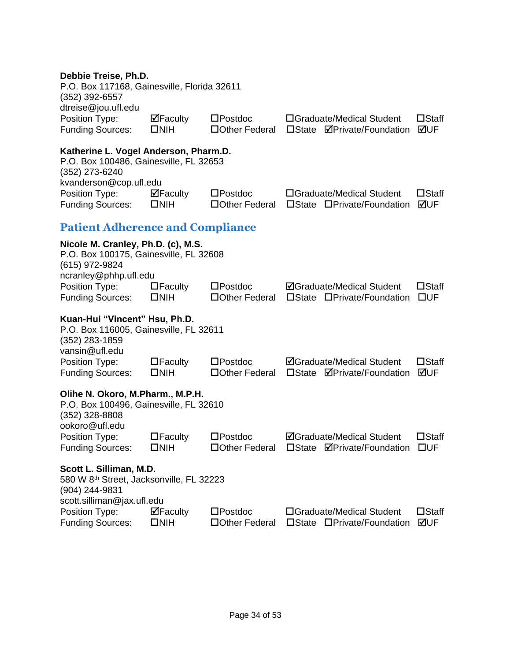#### **Debbie Treise, Ph.D.**

| P.O. Box 117168, Gainesville, Florida 32611<br>(352) 392-6557 |                                 |                   |                                           |                 |
|---------------------------------------------------------------|---------------------------------|-------------------|-------------------------------------------|-----------------|
| dtreise@jou.ufl.edu                                           |                                 |                   |                                           |                 |
| Position Type:                                                | $\overline{\mathbf{M}}$ Faculty | $\square$ Postdoc | □Graduate/Medical Student                 | $\square$ Staff |
| <b>Funding Sources:</b>                                       | $\square$ NIH                   |                   | □Other Federal □State ØPrivate/Foundation | l⊠lif           |
|                                                               |                                 |                   |                                           |                 |

| Katherine L. Vogel Anderson, Pharm.D.<br>P.O. Box 100486, Gainesville, FL 32653<br>(352) 273-6240 |                |                   |                            |              |
|---------------------------------------------------------------------------------------------------|----------------|-------------------|----------------------------|--------------|
| kvanderson@cop.ufl.edu                                                                            |                |                   |                            |              |
| Position Type:                                                                                    | $\Box$ Faculty | $\square$ Postdoc | □Graduate/Medical Student  | $\Box$ Staff |
| <b>Funding Sources:</b>                                                                           | <b>NIH</b>     | □ Other Federal   | □State □Private/Foundation | MUF          |

### <span id="page-34-0"></span>**Patient Adherence and Compliance**

| Nicole M. Cranley, Ph.D. (c), M.S.<br>P.O. Box 100175, Gainesville, FL 32608<br>(615) 972-9824<br>ncranley@phhp.ufl.edu |                                 |                                     |                                                                                   |                                 |
|-------------------------------------------------------------------------------------------------------------------------|---------------------------------|-------------------------------------|-----------------------------------------------------------------------------------|---------------------------------|
| Position Type:<br><b>Funding Sources:</b>                                                                               | $\Box$ Faculty<br>$\square$ NIH | $\square$ Postdoc<br>□Other Federal | <b>ØGraduate/Medical Student</b><br>□State □Private/Foundation                    | $\square$ Staff<br>$\square$ UF |
| Kuan-Hui "Vincent" Hsu, Ph.D.<br>P.O. Box 116005, Gainesville, FL 32611<br>$(352)$ 283-1859<br>vansin@ufl.edu           |                                 |                                     |                                                                                   |                                 |
| Position Type:<br><b>Funding Sources:</b>                                                                               | $\Box$ Faculty<br>$\square$ NIH | $\square$ Postdoc<br>□Other Federal | <b>ØGraduate/Medical Student</b><br><b>ØPrivate/Foundation</b><br>$\square$ State | $\square$ Staff<br>⊠UF          |
| Olihe N. Okoro, M.Pharm., M.P.H.<br>P.O. Box 100496, Gainesville, FL 32610<br>(352) 328-8808<br>ookoro@ufl.edu          |                                 |                                     |                                                                                   |                                 |
| Position Type:<br><b>Funding Sources:</b>                                                                               | $\Box$ Faculty<br><b>DNIH</b>   | $\square$ Postdoc<br>□Other Federal | <b>ØGraduate/Medical Student</b><br><b>ØPrivate/Foundation</b><br>$\square$ State | $\square$ Staff<br>$\square$ UF |
| Scott L. Silliman, M.D.<br>580 W 8 <sup>th</sup> Street, Jacksonville, FL 32223<br>(904) 244-9831                       |                                 |                                     |                                                                                   |                                 |
| scott.silliman@jax.ufl.edu<br>Position Type:<br><b>Funding Sources:</b>                                                 | $\Box$ Faculty<br><b>ONIH</b>   | $\square$ Postdoc<br>□Other Federal | □Graduate/Medical Student<br>□State □Private/Foundation                           | $\square$ Staff<br>⊠UF          |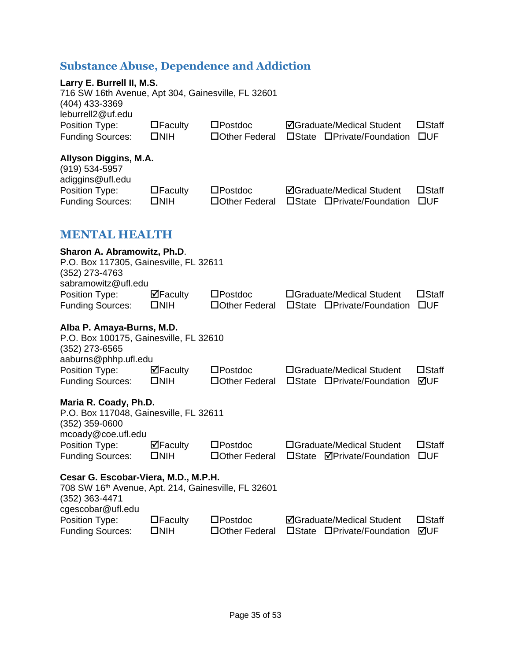### <span id="page-35-0"></span>**Substance Abuse, Dependence and Addiction**

<span id="page-35-1"></span>

| Larry E. Burrell II, M.S.<br>716 SW 16th Avenue, Apt 304, Gainesville, FL 32601<br>(404) 433-3369                                    |                                      |                                      |                                                                |                                 |
|--------------------------------------------------------------------------------------------------------------------------------------|--------------------------------------|--------------------------------------|----------------------------------------------------------------|---------------------------------|
| leburrell2@uf.edu<br>Position Type:<br><b>Funding Sources:</b>                                                                       | $\Box$ Faculty<br>$\square$ NIH      | $\square$ Postdoc<br>□ Other Federal | <b>ØGraduate/Medical Student</b><br>□State □Private/Foundation | $\square$ Staff<br>$\square$ UF |
| Allyson Diggins, M.A.<br>$(919) 534 - 5957$<br>adiggins@ufl.edu                                                                      |                                      |                                      |                                                                |                                 |
| Position Type:<br><b>Funding Sources:</b>                                                                                            | $\Box$ Faculty<br>$\square$ NIH      | $\square$ Postdoc<br>□ Other Federal | <b>ØGraduate/Medical Student</b><br>□State □Private/Foundation | $\square$ Staff<br>$\square$ UF |
| <b>MENTAL HEALTH</b>                                                                                                                 |                                      |                                      |                                                                |                                 |
| Sharon A. Abramowitz, Ph.D.<br>P.O. Box 117305, Gainesville, FL 32611<br>(352) 273-4763<br>sabramowitz@ufl.edu                       |                                      |                                      |                                                                |                                 |
| Position Type:<br><b>Funding Sources:</b>                                                                                            | $\Box$ Faculty<br>$\square$ NIH      | $\square$ Postdoc<br>□ Other Federal | □Graduate/Medical Student<br>□State □Private/Foundation        | $\square$ Staff<br>$\square$ UF |
| Alba P. Amaya-Burns, M.D.<br>P.O. Box 100175, Gainesville, FL 32610<br>(352) 273-6565                                                |                                      |                                      |                                                                |                                 |
| aaburns@phhp.ufl.edu<br>Position Type:<br><b>Funding Sources:</b>                                                                    | $\Box$ Faculty<br>$\square$ NIH      | $\square$ Postdoc<br>□ Other Federal | □Graduate/Medical Student<br>□State □Private/Foundation        | $\square$ Staff<br>⊠UF          |
| Maria R. Coady, Ph.D.<br>P.O. Box 117048, Gainesville, FL 32611<br>$(352)$ 359-0600<br>mcoady@coe.ufl.edu                            |                                      |                                      |                                                                |                                 |
| Position Type:<br><b>Funding Sources:</b>                                                                                            | $\boxtimes$ Faculty<br>$\square$ NIH | $\square$ Postdoc<br>□Other Federal  | □Graduate/Medical Student<br>□State ØPrivate/Foundation □UF    | $\square$ Staff                 |
| Cesar G. Escobar-Viera, M.D., M.P.H.<br>708 SW 16th Avenue, Apt. 214, Gainesville, FL 32601<br>$(352)$ 363-4471<br>cgescobar@ufl.edu |                                      |                                      |                                                                |                                 |
| Position Type:<br><b>Funding Sources:</b>                                                                                            | $\Box$ Faculty<br>$\square$ NIH      | $\square$ Postdoc<br>□Other Federal  | <b>ØGraduate/Medical Student</b><br>□State □Private/Foundation | $\square$ Staff<br>⊠UF          |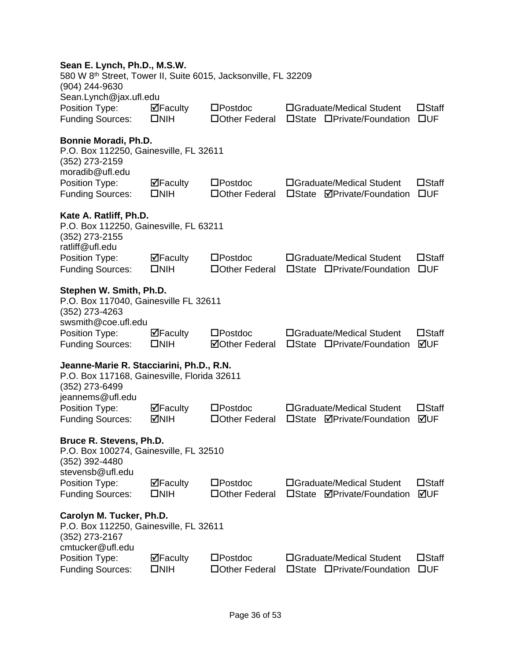#### **Sean E. Lynch, Ph.D., M.S.W.**

| 580 W 8 <sup>th</sup> Street, Tower II, Suite 6015, Jacksonville, FL 32209<br>(904) 244-9630              |                                    |                                            |                                                                            |                                 |
|-----------------------------------------------------------------------------------------------------------|------------------------------------|--------------------------------------------|----------------------------------------------------------------------------|---------------------------------|
| Sean.Lynch@jax.ufl.edu<br>Position Type:<br><b>Funding Sources:</b>                                       | $\Box$ Faculty<br>$\square$ NIH    | $\square$ Postdoc<br>□ Other Federal       | □Graduate/Medical Student<br>$\square$ State<br>□Private/Foundation        | $\square$ Staff<br>$\square$ UF |
| Bonnie Moradi, Ph.D.<br>P.O. Box 112250, Gainesville, FL 32611<br>(352) 273-2159<br>moradib@ufl.edu       |                                    |                                            |                                                                            |                                 |
| Position Type:<br><b>Funding Sources:</b>                                                                 | $\Box$ Faculty<br>$\square$ NIH    | $\square$ Postdoc<br>□ Other Federal       | □Graduate/Medical Student<br>□State <b>ØPrivate/Foundation</b>             | $\square$ Staff<br>$\square$ UF |
| Kate A. Ratliff, Ph.D.<br>P.O. Box 112250, Gainesville, FL 63211<br>(352) 273-2155<br>ratliff@ufl.edu     |                                    |                                            |                                                                            |                                 |
| Position Type:<br><b>Funding Sources:</b>                                                                 | $\Box$ Faculty<br>$\square$ NIH    | $\square$ Postdoc<br>□ Other Federal       | □Graduate/Medical Student<br>□State □Private/Foundation                    | $\square$ Staff<br>$\square$ UF |
| Stephen W. Smith, Ph.D.<br>P.O. Box 117040, Gainesville FL 32611<br>(352) 273-4263<br>swsmith@coe.ufl.edu |                                    |                                            |                                                                            |                                 |
| Position Type:<br><b>Funding Sources:</b>                                                                 | $\Box$ Faculty<br>$\square$ NIH    | $\square$ Postdoc<br><b>⊠Other Federal</b> | □Graduate/Medical Student<br>□State □Private/Foundation                    | $\square$ Staff<br>⊠UF          |
| Jeanne-Marie R. Stacciarini, Ph.D., R.N.<br>P.O. Box 117168, Gainesville, Florida 32611<br>(352) 273-6499 |                                    |                                            |                                                                            |                                 |
| jeannems@ufl.edu<br>Position Type:<br><b>Funding Sources:</b>                                             | ⊠Faculty<br><b>MNIH</b>            | $\square$ Postdoc<br>□ Other Federal       | □Graduate/Medical Student<br><b>ØPrivate/Foundation</b><br>$\Box$ State    | $\square$ Staff<br>⊠UF          |
| Bruce R. Stevens, Ph.D.<br>P.O. Box 100274, Gainesville, FL 32510<br>(352) 392-4480<br>stevensb@ufl.edu   |                                    |                                            |                                                                            |                                 |
| Position Type:<br><b>Funding Sources:</b>                                                                 | $\boxdot$ Faculty<br>$\square$ NIH | $\square$ Postdoc<br>□Other Federal        | □Graduate/Medical Student<br><b>ØPrivate/Foundation</b><br>$\square$ State | $\square$ Staff<br>⊠UF          |
| Carolyn M. Tucker, Ph.D.<br>P.O. Box 112250, Gainesville, FL 32611<br>(352) 273-2167<br>cmtucker@ufl.edu  |                                    |                                            |                                                                            |                                 |
| Position Type:<br><b>Funding Sources:</b>                                                                 | $\Box$ Faculty<br>$\square$ NIH    | $\square$ Postdoc<br>□Other Federal        | □Graduate/Medical Student<br>□State □Private/Foundation                    | $\square$ Staff<br>$\square$ UF |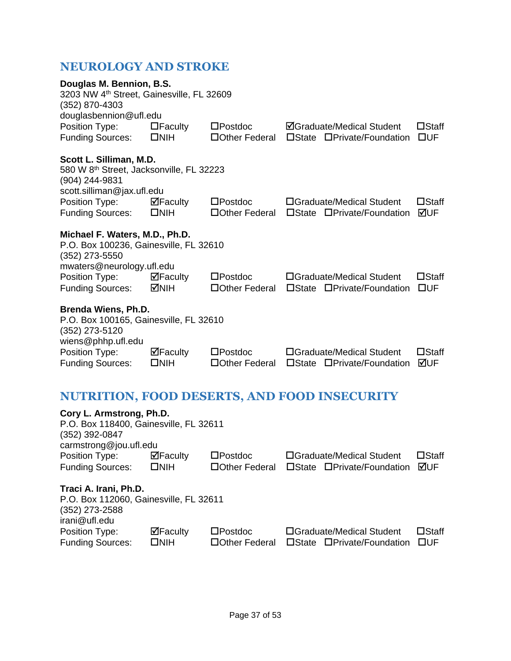### <span id="page-37-0"></span>**NEUROLOGY AND STROKE**

| Douglas M. Bennion, B.S.<br>3203 NW 4th Street, Gainesville, FL 32609<br>(352) 870-4303                                         |                                       |                                           |                 |                                                                |                                 |
|---------------------------------------------------------------------------------------------------------------------------------|---------------------------------------|-------------------------------------------|-----------------|----------------------------------------------------------------|---------------------------------|
| douglasbennion@ufl.edu<br>Position Type:<br><b>Funding Sources:</b>                                                             | $\Box$ Faculty<br>$\square$ NIH       | $\square$ Postdoc<br>$\Box$ Other Federal |                 | <b>ØGraduate/Medical Student</b><br>□State □Private/Foundation | $\square$ Staff<br>$\square$ UF |
| Scott L. Silliman, M.D.<br>580 W 8 <sup>th</sup> Street, Jacksonville, FL 32223<br>(904) 244-9831<br>scott.silliman@jax.ufl.edu |                                       |                                           |                 |                                                                |                                 |
| Position Type:<br><b>Funding Sources:</b>                                                                                       | $\Box$ Faculty<br>$\square$ NIH       | $\square$ Postdoc<br>□Other Federal       |                 | □Graduate/Medical Student<br>□State □Private/Foundation        | $\square$ Staff<br>⊠UF          |
| Michael F. Waters, M.D., Ph.D.<br>P.O. Box 100236, Gainesville, FL 32610<br>(352) 273-5550<br>mwaters@neurology.ufl.edu         |                                       |                                           |                 |                                                                |                                 |
| Position Type:<br><b>Funding Sources:</b>                                                                                       | $\blacksquare$ Faculty<br><b>MNIH</b> | $\square$ Postdoc<br>□Other Federal       |                 | □Graduate/Medical Student<br>□State □Private/Foundation        | $\square$ Staff<br>$\square$ UF |
| <b>Brenda Wiens, Ph.D.</b><br>P.O. Box 100165, Gainesville, FL 32610<br>(352) 273-5120<br>wiens@phhp.ufl.edu                    |                                       |                                           |                 |                                                                |                                 |
| Position Type:<br><b>Funding Sources:</b>                                                                                       | $\boxdot$ Faculty<br>□NIH             | $\square$ Postdoc<br>□Other Federal       | $\square$ State | □Graduate/Medical Student<br>□Private/Foundation               | $\square$ Staff<br>⊠UF          |

## <span id="page-37-1"></span>**NUTRITION, FOOD DESERTS, AND FOOD INSECURITY**

| Cory L. Armstrong, Ph.D.               |                |                   |                                        |                 |
|----------------------------------------|----------------|-------------------|----------------------------------------|-----------------|
| P.O. Box 118400, Gainesville, FL 32611 |                |                   |                                        |                 |
| (352) 392-0847                         |                |                   |                                        |                 |
| carmstrong@jou.ufl.edu                 |                |                   |                                        |                 |
| Position Type:                         | $\Box$ Faculty | $\square$ Postdoc | □Graduate/Medical Student              | $\square$ Staff |
| <b>Funding Sources:</b>                | $\square$ NIH  | □Other Federal    | □State □Private/Foundation             | ⊠UF             |
| Traci A. Irani, Ph.D.                  |                |                   |                                        |                 |
| P.O. Box 112060, Gainesville, FL 32611 |                |                   |                                        |                 |
| (352) 273-2588                         |                |                   |                                        |                 |
| irani@ufl.edu                          |                |                   |                                        |                 |
| Position Type:                         | $\Box$ Faculty | $\square$ Postdoc | □Graduate/Medical Student              | $\Box$ Staff    |
| <b>Funding Sources:</b>                | $\square$ NIH  | □Other Federal    | □Private/Foundation<br>$\square$ State | □UF             |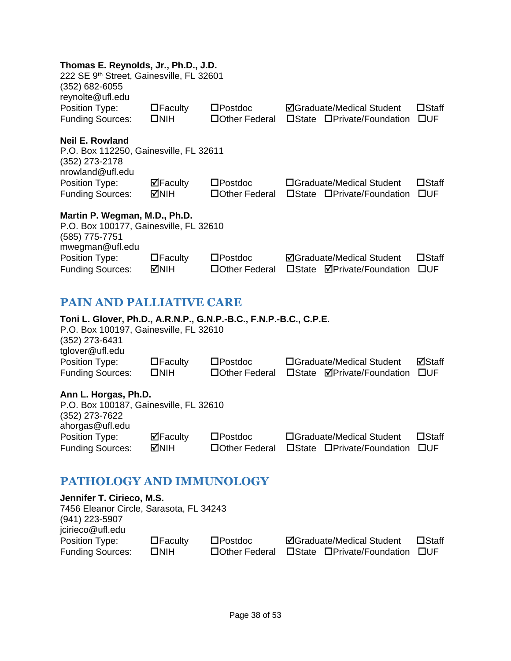#### **Thomas E. Reynolds, Jr., Ph.D., J.D.**

| 111011183 L. REVIIUIUS, JT., I TI.D., J.D.<br>222 SE 9th Street, Gainesville, FL 32601<br>(352) 682-6055<br>reynolte@ufl.edu                     |                        |                                      |                                                         |                                 |
|--------------------------------------------------------------------------------------------------------------------------------------------------|------------------------|--------------------------------------|---------------------------------------------------------|---------------------------------|
| Position Type:                                                                                                                                   | $\Box$ Faculty         | $\square$ Postdoc                    | <b>ØGraduate/Medical Student</b>                        | $\square$ Staff                 |
| <b>Funding Sources:</b>                                                                                                                          | $\square$ NIH          | □Other Federal                       | □State □Private/Foundation                              | $\square$ UF                    |
| <b>Neil E. Rowland</b><br>P.O. Box 112250, Gainesville, FL 32611<br>(352) 273-2178                                                               |                        |                                      |                                                         |                                 |
| nrowland@ufl.edu                                                                                                                                 |                        |                                      |                                                         |                                 |
| Position Type:<br><b>Funding Sources:</b>                                                                                                        | ⊠Faculty<br><b>MIH</b> | $\square$ Postdoc<br>□ Other Federal | □Graduate/Medical Student<br>□State □Private/Foundation | $\square$ Staff<br>$\square$ UF |
| Martin P. Wegman, M.D., Ph.D.<br>P.O. Box 100177, Gainesville, FL 32610<br>(585) 775-7751<br>mwegman@ufl.edu                                     |                        |                                      |                                                         |                                 |
| Position Type:                                                                                                                                   | $\Box$ Faculty         | $\square$ Postdoc                    | <b>ØGraduate/Medical Student</b>                        | $\square$ Staff                 |
| <b>Funding Sources:</b>                                                                                                                          | <b>MIH</b>             | □Other Federal                       | □State <b>ØPrivate/Foundation</b>                       | $\square$ UF                    |
| <b>PAIN AND PALLIATIVE CARE</b>                                                                                                                  |                        |                                      |                                                         |                                 |
| Toni L. Glover, Ph.D., A.R.N.P., G.N.P.-B.C., F.N.P.-B.C., C.P.E.<br>P.O. Box 100197, Gainesville, FL 32610<br>(352) 273-6431<br>tglover@ufl.edu |                        |                                      |                                                         |                                 |
| Position Type:                                                                                                                                   | $\Box$ Faculty         | $\square$ Postdoc                    | □Graduate/Medical Student                               | ⊠Staff                          |
| <b>Funding Sources:</b>                                                                                                                          | $\square$ NIH          | □Other Federal                       | □State <b>ØPrivate/Foundation</b>                       | <b>OUF</b>                      |

#### <span id="page-38-0"></span>**Ann L. Horgas, Ph.D.**

| ATH L. HVI YUJ, FILL.                  |                                 |                   |                            |                 |
|----------------------------------------|---------------------------------|-------------------|----------------------------|-----------------|
| P.O. Box 100187, Gainesville, FL 32610 |                                 |                   |                            |                 |
| (352) 273-7622                         |                                 |                   |                            |                 |
| ahorgas@ufl.edu                        |                                 |                   |                            |                 |
| Position Type:                         | $\overline{\mathbf{M}}$ Faculty | $\square$ Postdoc | □Graduate/Medical Student  | $\square$ Staff |
| <b>Funding Sources:</b>                | MNIH                            | □ Other Federal   | □State □Private/Foundation | <b>TIUF</b>     |

### <span id="page-38-1"></span>**PATHOLOGY AND IMMUNOLOGY**

| Jennifer T. Cirieco, M.S.               |                |                   |                                  |                 |
|-----------------------------------------|----------------|-------------------|----------------------------------|-----------------|
| 7456 Eleanor Circle, Sarasota, FL 34243 |                |                   |                                  |                 |
| (941) 223-5907                          |                |                   |                                  |                 |
| jcirieco@ufl.edu                        |                |                   |                                  |                 |
| Position Type:                          | $\Box$ Faculty | $\square$ Postdoc | <b>ØGraduate/Medical Student</b> | $\square$ Staff |
| <b>Funding Sources:</b>                 | $\square$ NIH  | □ Other Federal   | □State □Private/Foundation       | <b>TIUE</b>     |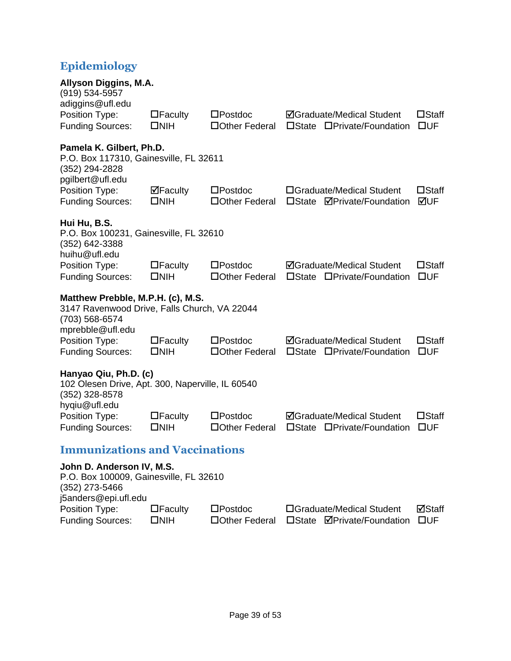### <span id="page-39-0"></span>**Epidemiology**

<span id="page-39-1"></span>

| Allyson Diggins, M.A.<br>(919) 534-5957                                                                                 |                                    |                                      |                                                                            |                                 |
|-------------------------------------------------------------------------------------------------------------------------|------------------------------------|--------------------------------------|----------------------------------------------------------------------------|---------------------------------|
| adiggins@ufl.edu<br>Position Type:<br><b>Funding Sources:</b>                                                           | $\Box$ Faculty<br>$\square$ NIH    | $\square$ Postdoc<br>□ Other Federal | <b>ØGraduate/Medical Student</b><br>□State □Private/Foundation             | $\square$ Staff<br>$\square$ UF |
| Pamela K. Gilbert, Ph.D.<br>P.O. Box 117310, Gainesville, FL 32611<br>(352) 294-2828<br>pgilbert@ufl.edu                |                                    |                                      |                                                                            |                                 |
| Position Type:<br><b>Funding Sources:</b>                                                                               | $\boxdot$ Faculty<br>$\square$ NIH | $\square$ Postdoc<br>□ Other Federal | □Graduate/Medical Student<br>□State <b>ØPrivate/Foundation</b>             | $\square$ Staff<br>⊠UF          |
| Hui Hu, B.S.<br>P.O. Box 100231, Gainesville, FL 32610<br>(352) 642-3388<br>huihu@ufl.edu                               |                                    |                                      |                                                                            |                                 |
| Position Type:<br><b>Funding Sources:</b>                                                                               | $\Box$ Faculty<br>$\square$ NIH    | $\square$ Postdoc<br>□ Other Federal | <b>ØGraduate/Medical Student</b><br>$\square$ State<br>□Private/Foundation | $\square$ Staff<br>$\square$ UF |
| Matthew Prebble, M.P.H. (c), M.S.<br>3147 Ravenwood Drive, Falls Church, VA 22044<br>(703) 568-6574<br>mprebble@ufl.edu |                                    |                                      |                                                                            |                                 |
| Position Type:<br><b>Funding Sources:</b>                                                                               | $\Box$ Faculty<br>$\square$ NIH    | $\square$ Postdoc<br>□ Other Federal | <b>ØGraduate/Medical Student</b><br>□State □Private/Foundation             | $\square$ Staff<br>$\square$ UF |
| Hanyao Qiu, Ph.D. (c)<br>102 Olesen Drive, Apt. 300, Naperville, IL 60540<br>(352) 328-8578<br>hyqiu@ufl.edu            |                                    |                                      |                                                                            |                                 |
| Position Type:<br><b>Funding Sources:</b>                                                                               | $\Box$ Faculty<br>$\square$ NIH    | $\square$ Postdoc<br>□ Other Federal | <b>ØGraduate/Medical Student</b><br>$\square$ State<br>□Private/Foundation | $\square$ Staff<br>$\square$ UF |
| <b>Immunizations and Vaccinations</b>                                                                                   |                                    |                                      |                                                                            |                                 |
| John D. Anderson IV, M.S.<br>P.O. Box 100009, Gainesville, FL 32610<br>(352) 273-5466<br>j5anders@epi.ufl.edu           |                                    |                                      |                                                                            |                                 |
| Position Type:<br><b>Funding Sources:</b>                                                                               | $\Box$ Faculty<br>$\square$ NIH    | $\square$ Postdoc<br>□Other Federal  | □Graduate/Medical Student<br><b>ØPrivate/Foundation</b><br>$\square$ State | ⊠Staff<br>$\square$ UF          |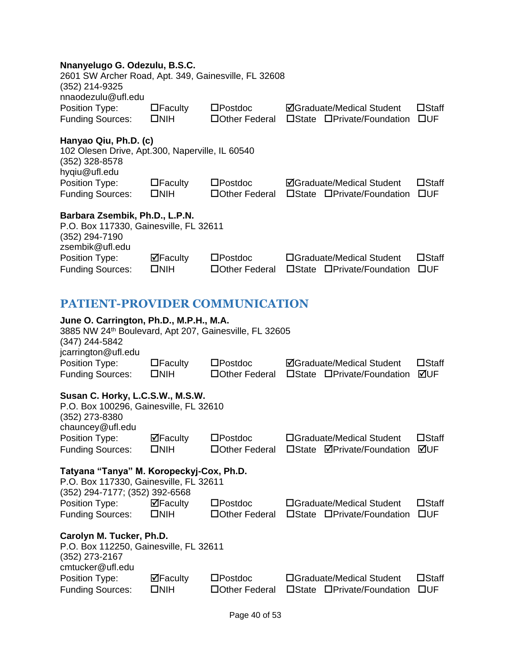#### **Nnanyelugo G. Odezulu, B.S.C.**

<span id="page-40-0"></span>

| 2601 SW Archer Road, Apt. 349, Gainesville, FL 32608<br>(352) 214-9325<br>nnaodezulu@ufl.edu                                               |                                         |                                      |                                                                            |                                 |
|--------------------------------------------------------------------------------------------------------------------------------------------|-----------------------------------------|--------------------------------------|----------------------------------------------------------------------------|---------------------------------|
| Position Type:                                                                                                                             | $\Box$ Faculty                          | $\square$ Postdoc                    | <b>ØGraduate/Medical Student</b>                                           | $\square$ Staff                 |
| <b>Funding Sources:</b>                                                                                                                    | $\square$ NIH                           | □ Other Federal                      | □State □Private/Foundation                                                 | $\square$ UF                    |
| Hanyao Qiu, Ph.D. (c)<br>102 Olesen Drive, Apt.300, Naperville, IL 60540<br>(352) 328-8578<br>hygiu@ufl.edu                                |                                         |                                      |                                                                            |                                 |
| Position Type:<br><b>Funding Sources:</b>                                                                                                  | $\Box$ Faculty<br>$\square$ NIH         | $\square$ Postdoc<br>□ Other Federal | <b>ØGraduate/Medical Student</b><br>□State □Private/Foundation             | $\square$ Staff<br>$\square$ UF |
| Barbara Zsembik, Ph.D., L.P.N.<br>P.O. Box 117330, Gainesville, FL 32611<br>(352) 294-7190                                                 |                                         |                                      |                                                                            |                                 |
| zsembik@ufl.edu<br>Position Type:<br><b>Funding Sources:</b>                                                                               | $\blacksquare$ Faculty<br>$\square$ NIH | $\square$ Postdoc<br>□ Other Federal | □Graduate/Medical Student<br>□State □Private/Foundation                    | $\square$ Staff<br>$\square$ UF |
| <b>PATIENT-PROVIDER COMMUNICATION</b>                                                                                                      |                                         |                                      |                                                                            |                                 |
| June O. Carrington, Ph.D., M.P.H., M.A.<br>3885 NW 24th Boulevard, Apt 207, Gainesville, FL 32605<br>(347) 244-5842<br>jcarrington@ufl.edu |                                         |                                      |                                                                            |                                 |
| Position Type:<br><b>Funding Sources:</b>                                                                                                  | $\Box$ Faculty<br>$\square$ NIH         | $\square$ Postdoc<br>□ Other Federal | <b>ØGraduate/Medical Student</b><br>□State □Private/Foundation             | $\square$ Staff<br>⊠UF          |
| Susan C. Horky, L.C.S.W., M.S.W.<br>P.O. Box 100296, Gainesville, FL 32610<br>(352) 273-8380<br>chauncey@ufl.edu                           |                                         |                                      |                                                                            |                                 |
| Position Type:<br><b>Funding Sources:</b>                                                                                                  | $\Box$ Faculty<br>$\square$ NIH         | $\square$ Postdoc<br>□Other Federal  | □Graduate/Medical Student<br>$\square$ State<br><b>⊠Private/Foundation</b> | $\square$ Staff<br>MUF          |
| Tatyana "Tanya" M. Koropeckyj-Cox, Ph.D.<br>P.O. Box 117330, Gainesville, FL 32611<br>(352) 294-7177; (352) 392-6568                       |                                         |                                      |                                                                            |                                 |
| Position Type:<br><b>Funding Sources:</b>                                                                                                  | $\Box$ Faculty<br>$\square$ NIH         | $\square$ Postdoc<br>□ Other Federal | □Graduate/Medical Student<br>□State □Private/Foundation                    | $\square$ Staff<br>$\square$ UF |
| Carolyn M. Tucker, Ph.D.<br>P.O. Box 112250, Gainesville, FL 32611<br>(352) 273-2167<br>cmtucker@ufl.edu                                   |                                         |                                      |                                                                            |                                 |
| Position Type:<br><b>Funding Sources:</b>                                                                                                  | ⊠Faculty<br>$\square$ NIH               | $\square$ Postdoc<br>□Other Federal  | □Graduate/Medical Student<br>□State □Private/Foundation                    | $\square$ Staff<br><b>OUF</b>   |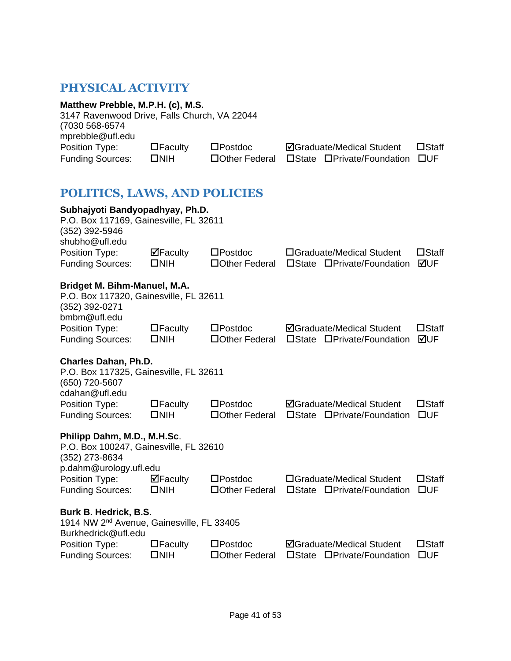### <span id="page-41-0"></span>**PHYSICAL ACTIVITY**

<span id="page-41-1"></span>

| Matthew Prebble, M.P.H. (c), M.S.<br>3147 Ravenwood Drive, Falls Church, VA 22044<br>(7030 568-6574<br>mprebble@ufl.edu |                                    |                                      |                                                                     |                                 |
|-------------------------------------------------------------------------------------------------------------------------|------------------------------------|--------------------------------------|---------------------------------------------------------------------|---------------------------------|
| Position Type:<br><b>Funding Sources:</b>                                                                               | $\Box$ Faculty<br>$\square$ NIH    | $\square$ Postdoc<br>□ Other Federal | <b>ØGraduate/Medical Student</b><br>□State □Private/Foundation      | $\square$ Staff<br>$\square$ UF |
| <b>POLITICS, LAWS, AND POLICIES</b>                                                                                     |                                    |                                      |                                                                     |                                 |
| Subhajyoti Bandyopadhyay, Ph.D.<br>P.O. Box 117169, Gainesville, FL 32611<br>(352) 392-5946<br>shubho@ufl.edu           |                                    |                                      |                                                                     |                                 |
| Position Type:<br><b>Funding Sources:</b>                                                                               | $\boxdot$ Faculty<br>$\square$ NIH | $\square$ Postdoc<br>□ Other Federal | □Graduate/Medical Student<br>□Private/Foundation<br>$\square$ State | $\square$ Staff<br>⊠∪F          |
| Bridget M. Bihm-Manuel, M.A.<br>P.O. Box 117320, Gainesville, FL 32611<br>(352) 392-0271<br>bmbm@ufl.edu                |                                    |                                      |                                                                     |                                 |
| Position Type:<br><b>Funding Sources:</b>                                                                               | $\Box$ Faculty<br>$\square$ NIH    | $\square$ Postdoc<br>□ Other Federal | <b>ØGraduate/Medical Student</b><br>□State □Private/Foundation      | $\square$ Staff<br>⊠UF          |
| <b>Charles Dahan, Ph.D.</b><br>P.O. Box 117325, Gainesville, FL 32611<br>(650) 720-5607<br>cdahan@ufl.edu               |                                    |                                      |                                                                     |                                 |
| Position Type:<br><b>Funding Sources:</b>                                                                               | $\Box$ Faculty<br>$\square$ NIH    | $\square$ Postdoc<br>□ Other Federal | <b>ØGraduate/Medical Student</b><br>□State □Private/Foundation      | $\square$ Staff<br>$\square$ UF |
| Philipp Dahm, M.D., M.H.Sc.<br>P.O. Box 100247, Gainesville, FL 32610<br>(352) 273-8634                                 |                                    |                                      |                                                                     |                                 |
| p.dahm@urology.ufl.edu<br>Position Type:<br><b>Funding Sources:</b>                                                     | ⊠Faculty<br>$\square$ NIH          | $\square$ Postdoc<br>□Other Federal  | □Graduate/Medical Student<br>□State □Private/Foundation             | $\square$ Staff<br><b>OUF</b>   |
| Burk B. Hedrick, B.S.<br>1914 NW 2 <sup>nd</sup> Avenue, Gainesville, FL 33405<br>Burkhedrick@ufl.edu                   |                                    |                                      |                                                                     |                                 |
| Position Type:<br><b>Funding Sources:</b>                                                                               | $\Box$ Faculty<br>$\square$ NIH    | $\square$ Postdoc<br>□Other Federal  | <b>ØGraduate/Medical Student</b><br>□State □Private/Foundation      | $\square$ Staff<br>$\square$ UF |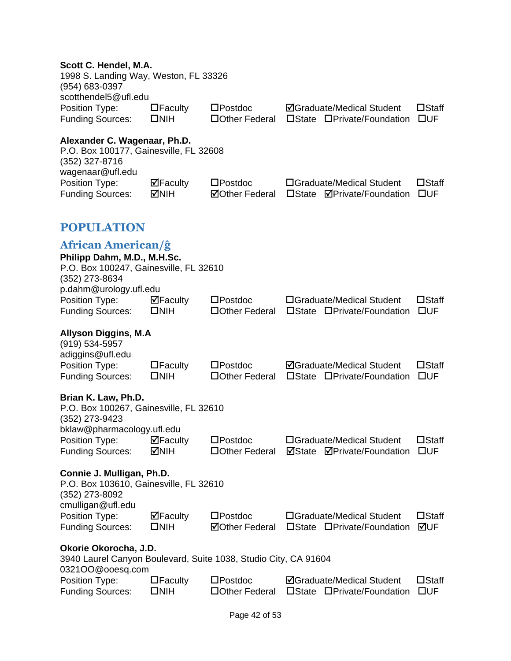#### **Scott C. Hendel, M.A.**

<span id="page-42-1"></span><span id="page-42-0"></span>

| 1998 S. Landing Way, Weston, FL 33326<br>(954) 683-0397<br>scotthendel5@ufl.edu                                                                           |                                                |                                            |                                                                |                                 |
|-----------------------------------------------------------------------------------------------------------------------------------------------------------|------------------------------------------------|--------------------------------------------|----------------------------------------------------------------|---------------------------------|
| Position Type:<br><b>Funding Sources:</b>                                                                                                                 | $\Box$ Faculty<br>$\square$ NIH                | $\square$ Postdoc<br>□Other Federal        | <b>ØGraduate/Medical Student</b><br>□State □Private/Foundation | $\square$ Staff<br>$\square$ UF |
| Alexander C. Wagenaar, Ph.D.<br>P.O. Box 100177, Gainesville, FL 32608<br>(352) 327-8716<br>wagenaar@ufl.edu<br>Position Type:<br><b>Funding Sources:</b> | $\boxdot$ Faculty<br><b>NIH</b>                | $\square$ Postdoc<br><b>⊠Other Federal</b> | □Graduate/Medical Student<br>□State <b>ØPrivate/Foundation</b> | $\square$ Staff<br>$\square$ UF |
| <b>POPULATION</b>                                                                                                                                         |                                                |                                            |                                                                |                                 |
| <b>African American/ĝ</b><br>Philipp Dahm, M.D., M.H.Sc.<br>P.O. Box 100247, Gainesville, FL 32610<br>(352) 273-8634<br>p.dahm@urology.ufl.edu            |                                                |                                            |                                                                |                                 |
| Position Type:<br><b>Funding Sources:</b>                                                                                                                 | $\Box$ Faculty<br>$\square$ NIH                | $\square$ Postdoc<br>□ Other Federal       | □Graduate/Medical Student<br>□State □Private/Foundation        | $\square$ Staff<br>$\square$ UF |
| <b>Allyson Diggins, M.A</b><br>(919) 534-5957<br>adiggins@ufl.edu<br>Position Type:<br><b>Funding Sources:</b>                                            | $\Box$ Faculty<br>$\square$ NIH                | $\square$ Postdoc<br>□ Other Federal       | <b>ØGraduate/Medical Student</b><br>□State □Private/Foundation | $\square$ Staff<br>$\square$ UF |
| Brian K. Law, Ph.D.<br>P.O. Box 100267, Gainesville, FL 32610<br>(352) 273-9423                                                                           |                                                |                                            |                                                                |                                 |
| bklaw@pharmacology.ufl.edu<br>Position Type:<br><b>Funding Sources:</b>                                                                                   | $\overline{\mathbf{P}}$ Faculty<br><b>MNIH</b> | $\square$ Postdoc<br>□ Other Federal       | □Graduate/Medical Student<br><b>ØState ØPrivate/Foundation</b> | $\square$ Staff<br>$\square$ UF |
| Connie J. Mulligan, Ph.D.<br>P.O. Box 103610, Gainesville, FL 32610<br>(352) 273-8092<br>cmulligan@ufl.edu                                                |                                                |                                            |                                                                |                                 |
| Position Type:<br><b>Funding Sources:</b>                                                                                                                 | $\boxdot$ Faculty<br>$\square$ NIH             | $\square$ Postdoc<br><b>ØOther Federal</b> | □Graduate/Medical Student<br>□State □Private/Foundation        | $\square$ Staff<br>⊠UF          |
| Okorie Okorocha, J.D.<br>3940 Laurel Canyon Boulevard, Suite 1038, Studio City, CA 91604                                                                  |                                                |                                            |                                                                |                                 |
| 0321OO@ooesq.com<br>Position Type:<br><b>Funding Sources:</b>                                                                                             | $\Box$ Faculty<br>$\square$ NIH                | $\square$ Postdoc<br>□Other Federal        | <b>ØGraduate/Medical Student</b><br>□State □Private/Foundation | $\square$ Staff<br><b>OUF</b>   |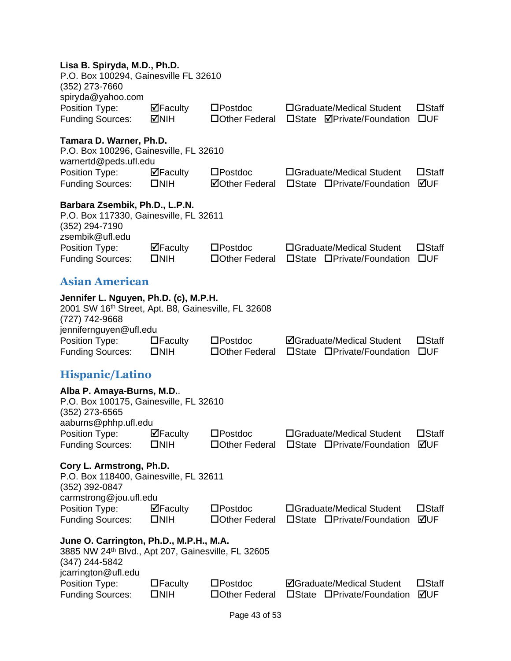#### **Lisa B. Spiryda, M.D., Ph.D.**

<span id="page-43-1"></span><span id="page-43-0"></span>

| P.O. Box 100294, Gainesville FL 32610<br>(352) 273-7660                                                                                                                               |                                                  |                                            |                                                                                   |                                 |
|---------------------------------------------------------------------------------------------------------------------------------------------------------------------------------------|--------------------------------------------------|--------------------------------------------|-----------------------------------------------------------------------------------|---------------------------------|
| spiryda@yahoo.com<br>Position Type:<br><b>Funding Sources:</b>                                                                                                                        | $\Box$ Faculty<br>MNH                            | $\square$ Postdoc<br>□Other Federal        | □Graduate/Medical Student<br>□State <b>ØPrivate/Foundation</b>                    | $\square$ Staff<br>$\square$ UF |
| Tamara D. Warner, Ph.D.<br>P.O. Box 100296, Gainesville, FL 32610<br>warnertd@peds.ufl.edu                                                                                            |                                                  |                                            |                                                                                   |                                 |
| Position Type:<br><b>Funding Sources:</b>                                                                                                                                             | $\overline{\mathbf{P}}$ Faculty<br>$\square$ NIH | $\square$ Postdoc<br><b>⊠Other Federal</b> | □Graduate/Medical Student<br>□State □Private/Foundation                           | $\square$ Staff<br>⊠UF          |
| Barbara Zsembik, Ph.D., L.P.N.<br>P.O. Box 117330, Gainesville, FL 32611<br>(352) 294-7190                                                                                            |                                                  |                                            |                                                                                   |                                 |
| zsembik@ufl.edu<br>Position Type:<br><b>Funding Sources:</b>                                                                                                                          | $\boxdot$ Faculty<br>$\square$ NIH               | $\square$ Postdoc<br>□ Other Federal       | □Graduate/Medical Student<br>□State □Private/Foundation                           | $\square$ Staff<br>$\square$ UF |
| <b>Asian American</b>                                                                                                                                                                 |                                                  |                                            |                                                                                   |                                 |
| Jennifer L. Nguyen, Ph.D. (c), M.P.H.<br>2001 SW 16th Street, Apt. B8, Gainesville, FL 32608<br>(727) 742-9668<br>jennifernguyen@ufl.edu<br>Position Type:<br><b>Funding Sources:</b> | $\Box$ Faculty<br>$\square$ NIH                  | $\square$ Postdoc<br>□ Other Federal       | <b>ØGraduate/Medical Student</b><br>□State □Private/Foundation                    | $\square$ Staff<br>$\square$ UF |
| <b>Hispanic/Latino</b>                                                                                                                                                                |                                                  |                                            |                                                                                   |                                 |
| Alba P. Amaya-Burns, M.D<br>P.O. Box 100175, Gainesville, FL 32610<br>(352) 273-6565                                                                                                  |                                                  |                                            |                                                                                   |                                 |
| aaburns@phhp.ufl.edu<br>Position Type:<br><b>Funding Sources:</b>                                                                                                                     | $\Box$ Faculty<br>$\square$ NIH                  | $\square$ Postdoc                          | □Graduate/Medical Student<br>□Other Federal □State □Private/Foundation <b>ØUF</b> | $\square$ Staff                 |
| Cory L. Armstrong, Ph.D.<br>P.O. Box 118400, Gainesville, FL 32611<br>(352) 392-0847                                                                                                  |                                                  |                                            |                                                                                   |                                 |
| carmstrong@jou.ufl.edu<br>Position Type:<br><b>Funding Sources:</b>                                                                                                                   | ⊠Faculty<br>$\square$ NIH                        | $\square$ Postdoc<br>□ Other Federal       | □Graduate/Medical Student<br>□State □Private/Foundation                           | $\square$ Staff<br>⊠UF          |
| June O. Carrington, Ph.D., M.P.H., M.A.<br>3885 NW 24 <sup>th</sup> Blvd., Apt 207, Gainesville, FL 32605<br>(347) 244-5842<br>jcarrington@ufl.edu                                    |                                                  |                                            |                                                                                   |                                 |
| Position Type:<br><b>Funding Sources:</b>                                                                                                                                             | $\Box$ Faculty<br>$\square$ NIH                  | $\square$ Postdoc<br>□Other Federal        | <b>ØGraduate/Medical Student</b><br>$\square$ State<br>□Private/Foundation        | $\square$ Staff<br>⊠UF          |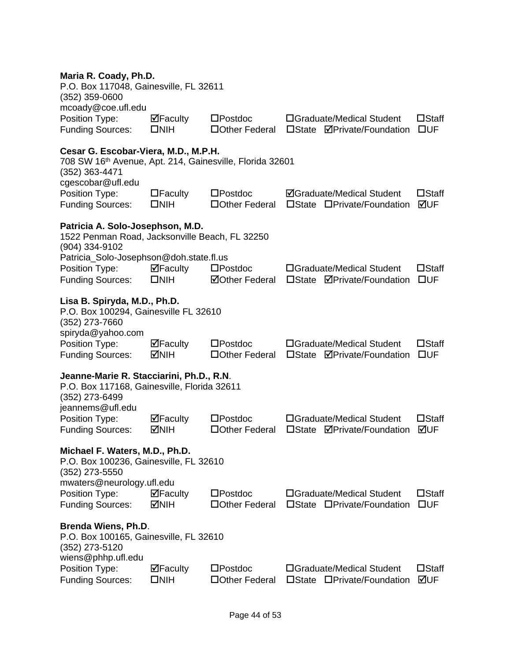| Maria R. Coady, Ph.D. |  |  |  |  |
|-----------------------|--|--|--|--|
|-----------------------|--|--|--|--|

| maria R. Coady, Ph.D.<br>P.O. Box 117048, Gainesville, FL 32611<br>$(352)$ 359-0600                                                                 |                                                |                                            |                                                                |                                 |
|-----------------------------------------------------------------------------------------------------------------------------------------------------|------------------------------------------------|--------------------------------------------|----------------------------------------------------------------|---------------------------------|
| mcoady@coe.ufl.edu<br>Position Type:<br><b>Funding Sources:</b>                                                                                     | $\Box$ Faculty<br>$\square$ NIH                | $\square$ Postdoc<br>□ Other Federal       | □Graduate/Medical Student<br>□State <b>ØPrivate/Foundation</b> | $\square$ Staff<br>$\square$ UF |
| Cesar G. Escobar-Viera, M.D., M.P.H.<br>708 SW 16 <sup>th</sup> Avenue, Apt. 214, Gainesville, Florida 32601<br>(352) 363-4471<br>cgescobar@ufl.edu |                                                |                                            |                                                                |                                 |
| Position Type:<br><b>Funding Sources:</b>                                                                                                           | $\Box$ Faculty<br>$\square$ NIH                | $\square$ Postdoc<br>□ Other Federal       | <b>ØGraduate/Medical Student</b><br>□State □Private/Foundation | $\square$ Staff<br>⊠UF          |
| Patricia A. Solo-Josephson, M.D.<br>1522 Penman Road, Jacksonville Beach, FL 32250<br>(904) 334-9102                                                |                                                |                                            |                                                                |                                 |
| Patricia_Solo-Josephson@doh.state.fl.us                                                                                                             |                                                |                                            |                                                                |                                 |
| Position Type:<br><b>Funding Sources:</b>                                                                                                           | $\Box$ Faculty<br>$\square$ NIH                | $\square$ Postdoc<br><b>⊠Other Federal</b> | □Graduate/Medical Student<br>□State <b>ØPrivate/Foundation</b> | $\square$ Staff<br>$\square$ UF |
| Lisa B. Spiryda, M.D., Ph.D.<br>P.O. Box 100294, Gainesville FL 32610<br>(352) 273-7660                                                             |                                                |                                            |                                                                |                                 |
| spiryda@yahoo.com                                                                                                                                   |                                                |                                            |                                                                |                                 |
| Position Type:<br><b>Funding Sources:</b>                                                                                                           | $\overline{\mathbf{M}}$ Faculty<br><b>MNIH</b> | $\square$ Postdoc<br>□ Other Federal       | □Graduate/Medical Student<br>□State <b>ØPrivate/Foundation</b> | $\square$ Staff<br>$\square$ UF |
| Jeanne-Marie R. Stacciarini, Ph.D., R.N.<br>P.O. Box 117168, Gainesville, Florida 32611<br>(352) 273-6499<br>jeannems@ufl.edu                       |                                                |                                            |                                                                |                                 |
| Position Type:<br><b>Funding Sources:</b>                                                                                                           | $\overline{\mathbf{M}}$ Faculty<br><b>MIH</b>  | $\square$ Postdoc<br>□ Other Federal       | □Graduate/Medical Student<br>□State <b>ØPrivate/Foundation</b> | $\square$ Staff<br>⊠UF          |
| Michael F. Waters, M.D., Ph.D.<br>P.O. Box 100236, Gainesville, FL 32610<br>$(352)$ 273-5550                                                        |                                                |                                            |                                                                |                                 |
| mwaters@neurology.ufl.edu                                                                                                                           |                                                |                                            |                                                                |                                 |
| Position Type:<br><b>Funding Sources:</b>                                                                                                           | $\Box$ Faculty<br><b>MIH</b>                   | $\square$ Postdoc<br>□ Other Federal       | □Graduate/Medical Student<br>□State □Private/Foundation        | $\square$ Staff<br>$\square$ UF |
| <b>Brenda Wiens, Ph.D.</b><br>P.O. Box 100165, Gainesville, FL 32610<br>(352) 273-5120<br>wiens@phhp.ufl.edu                                        |                                                |                                            |                                                                |                                 |
| Position Type:<br><b>Funding Sources:</b>                                                                                                           | $\Box$ Faculty<br>$\square$ NIH                | $\square$ Postdoc<br>□ Other Federal       | □Graduate/Medical Student<br>□State □Private/Foundation        | $\square$ Staff<br>⊠UF          |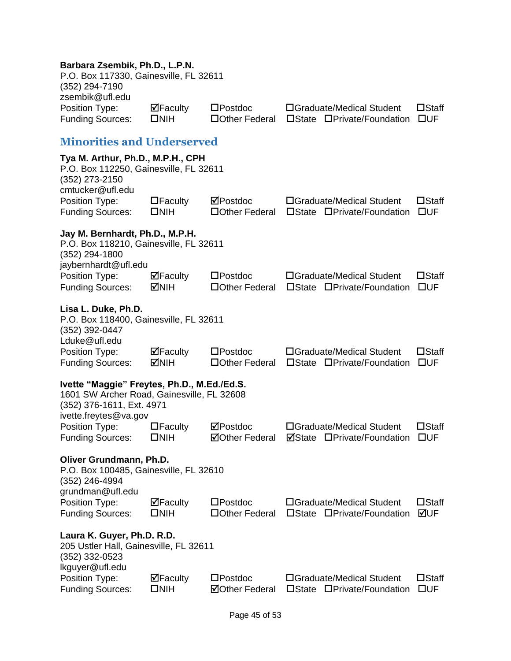#### **Barbara Zsembik, Ph.D., L.P.N.**

<span id="page-45-0"></span>

| P.O. Box 117330, Gainesville, FL 32611<br>(352) 294-7190<br>zsembik@ufl.edu                                                                     |                                    |                                            |                                                                |                                 |
|-------------------------------------------------------------------------------------------------------------------------------------------------|------------------------------------|--------------------------------------------|----------------------------------------------------------------|---------------------------------|
| Position Type:<br><b>Funding Sources:</b>                                                                                                       | $\Box$ Faculty<br>$\square$ NIH    | $\square$ Postdoc<br>□ Other Federal       | □Graduate/Medical Student<br>□State □Private/Foundation        | $\square$ Staff<br>$\square$ UF |
| <b>Minorities and Underserved</b>                                                                                                               |                                    |                                            |                                                                |                                 |
| Tya M. Arthur, Ph.D., M.P.H., CPH<br>P.O. Box 112250, Gainesville, FL 32611<br>(352) 273-2150<br>cmtucker@ufl.edu                               |                                    |                                            |                                                                |                                 |
| Position Type:<br><b>Funding Sources:</b>                                                                                                       | $\Box$ Faculty<br>$\square$ NIH    | ⊠Postdoc<br>□ Other Federal                | □Graduate/Medical Student<br>□State □Private/Foundation        | $\square$ Staff<br>$\square$ UF |
| Jay M. Bernhardt, Ph.D., M.P.H.<br>P.O. Box 118210, Gainesville, FL 32611<br>(352) 294-1800                                                     |                                    |                                            |                                                                |                                 |
| jaybernhardt@ufl.edu<br>Position Type:<br><b>Funding Sources:</b>                                                                               | $\Box$ Faculty<br><b>MNIH</b>      | $\square$ Postdoc<br>□ Other Federal       | □Graduate/Medical Student<br>□State □Private/Foundation        | $\square$ Staff<br>$\square$ UF |
| Lisa L. Duke, Ph.D.<br>P.O. Box 118400, Gainesville, FL 32611<br>(352) 392-0447<br>Lduke@ufl.edu                                                |                                    |                                            |                                                                |                                 |
| Position Type:<br><b>Funding Sources:</b>                                                                                                       | $\Box$ Faculty<br><b>MNIH</b>      | $\square$ Postdoc<br>□ Other Federal       | □Graduate/Medical Student<br>□State □Private/Foundation        | $\square$ Staff<br>$\square$ UF |
| Ivette "Maggie" Freytes, Ph.D., M.Ed./Ed.S.<br>1601 SW Archer Road, Gainesville, FL 32608<br>(352) 376-1611, Ext. 4971<br>ivette.freytes@va.gov |                                    |                                            |                                                                |                                 |
| Position Type:<br><b>Funding Sources:</b>                                                                                                       | $\Box$ Faculty<br>$\square$ NIH    | ⊠Postdoc<br><b>⊠Other Federal</b>          | □Graduate/Medical Student<br><b>ØState □Private/Foundation</b> | $\square$ Staff<br><b>OUF</b>   |
| Oliver Grundmann, Ph.D.<br>P.O. Box 100485, Gainesville, FL 32610<br>(352) 246-4994<br>grundman@ufl.edu                                         |                                    |                                            |                                                                |                                 |
| Position Type:<br><b>Funding Sources:</b>                                                                                                       | $\Box$ Faculty<br>$\square$ NIH    | $\square$ Postdoc<br>□ Other Federal       | □Graduate/Medical Student<br>□State □Private/Foundation        | $\square$ Staff<br>⊠UF          |
| Laura K. Guyer, Ph.D. R.D.<br>205 Ustler Hall, Gainesville, FL 32611<br>(352) 332-0523<br>lkguyer@ufl.edu                                       |                                    |                                            |                                                                |                                 |
| Position Type:<br><b>Funding Sources:</b>                                                                                                       | $\boxdot$ Faculty<br>$\square$ NIH | $\square$ Postdoc<br><b>ØOther Federal</b> | □Graduate/Medical Student<br>□State □Private/Foundation        | <b>OStaff</b><br>$\square$ UF   |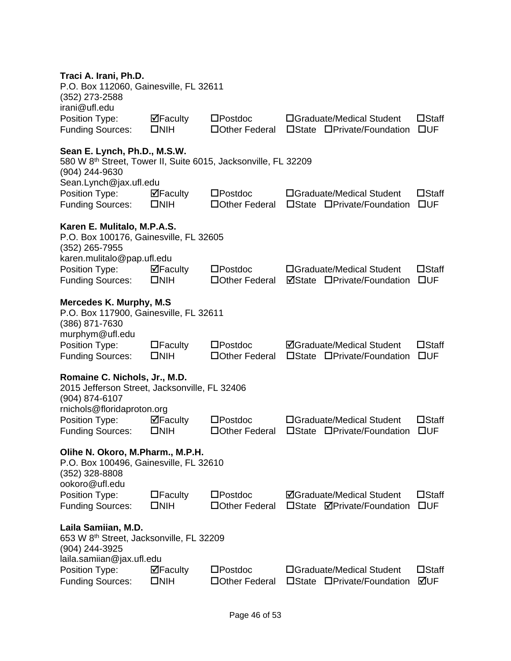#### **Traci A. Irani, Ph.D.**

| 11 au A. II ani, Fil.D.<br>P.O. Box 112060, Gainesville, FL 32611<br>(352) 273-2588<br>irani@ufl.edu                           |                                    |                                      |                                                                                   |                                 |
|--------------------------------------------------------------------------------------------------------------------------------|------------------------------------|--------------------------------------|-----------------------------------------------------------------------------------|---------------------------------|
| Position Type:<br><b>Funding Sources:</b>                                                                                      | $\boxdot$ Faculty<br>$\square$ NIH | $\square$ Postdoc<br>□ Other Federal | □Graduate/Medical Student<br>□State □Private/Foundation                           | $\square$ Staff<br>$\square$ UF |
| Sean E. Lynch, Ph.D., M.S.W.<br>580 W 8th Street, Tower II, Suite 6015, Jacksonville, FL 32209<br>(904) 244-9630               |                                    |                                      |                                                                                   |                                 |
| Sean.Lynch@jax.ufl.edu<br>Position Type:<br><b>Funding Sources:</b>                                                            | $\boxdot$ Faculty<br>$\square$ NIH | $\square$ Postdoc<br>□ Other Federal | □Graduate/Medical Student<br>□State □Private/Foundation                           | $\square$ Staff<br>$\square$ UF |
| Karen E. Mulitalo, M.P.A.S.<br>P.O. Box 100176, Gainesville, FL 32605<br>(352) 265-7955                                        |                                    |                                      |                                                                                   |                                 |
| karen.mulitalo@pap.ufl.edu<br>Position Type:<br><b>Funding Sources:</b>                                                        | $\Box$ Faculty<br>$\square$ NIH    | $\square$ Postdoc<br>□ Other Federal | □Graduate/Medical Student<br><b>ØState OPrivate/Foundation</b>                    | $\square$ Staff<br>$\square$ UF |
| <b>Mercedes K. Murphy, M.S.</b><br>P.O. Box 117900, Gainesville, FL 32611<br>(386) 871-7630<br>murphym@ufl.edu                 |                                    |                                      |                                                                                   |                                 |
| Position Type:<br><b>Funding Sources:</b>                                                                                      | $\Box$ Faculty<br>$\square$ NIH    | $\square$ Postdoc<br>□ Other Federal | <b>ØGraduate/Medical Student</b><br>□State □Private/Foundation                    | $\square$ Staff<br>$\square$ UF |
| Romaine C. Nichols, Jr., M.D.<br>2015 Jefferson Street, Jacksonville, FL 32406<br>(904) 874-6107<br>rnichols@floridaproton.org |                                    |                                      |                                                                                   |                                 |
| Position Type:<br><b>Funding Sources:</b>                                                                                      | $\Box$ Faculty<br>$\square$ NIH    | $\square$ Postdoc<br>□ Other Federal | □Graduate/Medical Student<br>□State □Private/Foundation                           | $\square$ Staff<br>$\square$ UF |
| Olihe N. Okoro, M.Pharm., M.P.H.<br>P.O. Box 100496, Gainesville, FL 32610<br>(352) 328-8808                                   |                                    |                                      |                                                                                   |                                 |
| ookoro@ufl.edu<br>Position Type:<br><b>Funding Sources:</b>                                                                    | $\Box$ Faculty<br>$\square$ NIH    | $\square$ Postdoc<br>□ Other Federal | <b>ØGraduate/Medical Student</b><br>$\square$ State<br><b>ØPrivate/Foundation</b> | $\square$ Staff<br>$\square$ UF |
| Laila Samiian, M.D.<br>653 W 8th Street, Jacksonville, FL 32209<br>(904) 244-3925<br>laila.samiian@jax.ufl.edu                 |                                    |                                      |                                                                                   |                                 |
| Position Type:<br><b>Funding Sources:</b>                                                                                      | ⊠Faculty<br>$\square$ NIH          | $\square$ Postdoc<br>□Other Federal  | □Graduate/Medical Student<br>□State □Private/Foundation                           | $\square$ Staff<br>⊠UF          |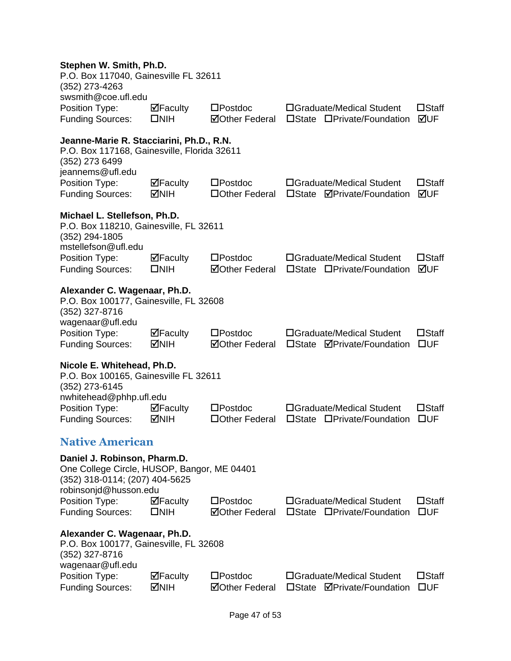#### **Stephen W. Smith, Ph.D.**

<span id="page-47-0"></span>

| P.O. Box 117040, Gainesville FL 32611<br>$(352)$ 273-4263<br>swsmith@coe.ufl.edu                                                                                           |                                 |                                            |                                                                            |                                 |
|----------------------------------------------------------------------------------------------------------------------------------------------------------------------------|---------------------------------|--------------------------------------------|----------------------------------------------------------------------------|---------------------------------|
| Position Type:<br><b>Funding Sources:</b>                                                                                                                                  | $\Box$ Faculty<br>$\square$ NIH | $\square$ Postdoc<br><b>⊠Other Federal</b> | □Graduate/Medical Student<br>□State □Private/Foundation                    | $\square$ Staff<br>⊠UF          |
| Jeanne-Marie R. Stacciarini, Ph.D., R.N.<br>P.O. Box 117168, Gainesville, Florida 32611<br>(352) 273 6499<br>jeannems@ufl.edu<br>Position Type:<br><b>Funding Sources:</b> | $\Box$ Faculty<br><b>MNIH</b>   | $\square$ Postdoc<br>□ Other Federal       | □Graduate/Medical Student<br>□State <b>ØPrivate/Foundation</b>             | $\square$ Staff<br>⊠UF          |
| Michael L. Stellefson, Ph.D.<br>P.O. Box 118210, Gainesville, FL 32611<br>(352) 294-1805<br>mstellefson@ufl.edu<br>Position Type:                                          | $\Box$ Faculty                  | $\square$ Postdoc                          | □Graduate/Medical Student                                                  | $\square$ Staff                 |
| <b>Funding Sources:</b>                                                                                                                                                    | $\square$ NIH                   | <b>⊠Other Federal</b>                      | □State □Private/Foundation                                                 | ⊠UF                             |
| Alexander C. Wagenaar, Ph.D.<br>P.O. Box 100177, Gainesville, FL 32608<br>(352) 327-8716<br>wagenaar@ufl.edu<br>Position Type:<br><b>Funding Sources:</b>                  | $\boxdot$ Faculty<br><b>MIH</b> | $\square$ Postdoc<br><b>⊠Other Federal</b> | □Graduate/Medical Student<br>□State <b>ØPrivate/Foundation</b>             | $\square$ Staff<br>$\square$ UF |
| Nicole E. Whitehead, Ph.D.<br>P.O. Box 100165, Gainesville FL 32611<br>(352) 273-6145<br>nwhitehead@phhp.ufl.edu<br>Position Type:<br><b>Funding Sources:</b>              | $\Box$ Faculty<br><b>NIH</b>    | $\square$ Postdoc<br>□ Other Federal       | □Graduate/Medical Student<br>□Private/Foundation<br>$\square$ State        | $\square$ Staff<br>$\square$ UF |
| <b>Native American</b>                                                                                                                                                     |                                 |                                            |                                                                            |                                 |
| Daniel J. Robinson, Pharm.D.<br>One College Circle, HUSOP, Bangor, ME 04401<br>(352) 318-0114; (207) 404-5625<br>robinsonjd@husson.edu                                     |                                 |                                            |                                                                            |                                 |
| Position Type:<br><b>Funding Sources:</b>                                                                                                                                  | $\Box$ Faculty<br>$\square$ NIH | $\square$ Postdoc<br><b>ØOther Federal</b> | □Graduate/Medical Student<br>□State □Private/Foundation                    | $\square$ Staff<br>$\square$ UF |
| Alexander C. Wagenaar, Ph.D.<br>P.O. Box 100177, Gainesville, FL 32608<br>(352) 327-8716<br>wagenaar@ufl.edu                                                               |                                 |                                            |                                                                            |                                 |
| Position Type:<br><b>Funding Sources:</b>                                                                                                                                  | ⊠Faculty<br><b>MNIH</b>         | $\square$ Postdoc<br><b>ØOther Federal</b> | □Graduate/Medical Student<br><b>ØPrivate/Foundation</b><br>$\square$ State | $\square$ Staff<br>$\square$ UF |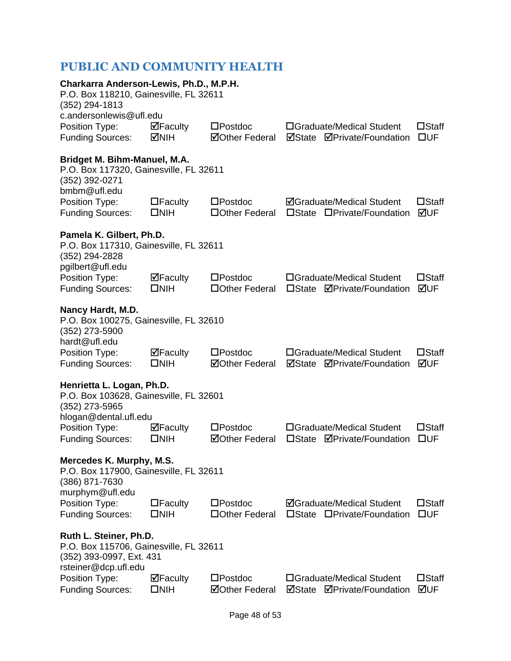### <span id="page-48-0"></span>**PUBLIC AND COMMUNITY HEALTH**

| Charkarra Anderson-Lewis, Ph.D., M.P.H.<br>P.O. Box 118210, Gainesville, FL 32611<br>(352) 294-1813                  |                                                                    |                                            |                                                                            |                                 |  |  |
|----------------------------------------------------------------------------------------------------------------------|--------------------------------------------------------------------|--------------------------------------------|----------------------------------------------------------------------------|---------------------------------|--|--|
| c.andersonlewis@ufl.edu<br>Position Type:<br><b>Funding Sources:</b>                                                 | $\Box$ Faculty<br><b>NIH</b>                                       | $\square$ Postdoc<br><b>⊠Other Federal</b> | □Graduate/Medical Student<br><b>ØPrivate/Foundation</b><br>⊠State          | $\square$ Staff<br>$\square$ UF |  |  |
| Bridget M. Bihm-Manuel, M.A.<br>P.O. Box 117320, Gainesville, FL 32611<br>(352) 392-0271<br>bmbm@ufl.edu             |                                                                    |                                            |                                                                            |                                 |  |  |
| Position Type:<br><b>Funding Sources:</b>                                                                            | $\Box$ Faculty<br>$\square$ NIH                                    | $\square$ Postdoc<br>□ Other Federal       | <b>ØGraduate/Medical Student</b><br>□State □Private/Foundation             | $\square$ Staff<br>⊠UF          |  |  |
| Pamela K. Gilbert, Ph.D.<br>P.O. Box 117310, Gainesville, FL 32611<br>(352) 294-2828<br>pgilbert@ufl.edu             |                                                                    |                                            |                                                                            |                                 |  |  |
| Position Type:<br><b>Funding Sources:</b>                                                                            | $\overline{\mathbf{P}}$ Faculty<br>$\square$ NIH                   | $\square$ Postdoc<br>□ Other Federal       | □Graduate/Medical Student<br><b>ØPrivate/Foundation</b><br>$\square$ State | $\square$ Staff<br>⊠UF          |  |  |
| Nancy Hardt, M.D.<br>P.O. Box 100275, Gainesville, FL 32610<br>(352) 273-5900<br>hardt@ufl.edu                       |                                                                    |                                            |                                                                            |                                 |  |  |
| Position Type:<br><b>Funding Sources:</b>                                                                            | $\Box$ Faculty<br>$\square$ NIH                                    | $\square$ Postdoc<br><b>⊠Other Federal</b> | □Graduate/Medical Student<br>⊠State<br><b>ØPrivate/Foundation</b>          | $\square$ Staff<br>⊠UF          |  |  |
| Henrietta L. Logan, Ph.D.<br>P.O. Box 103628, Gainesville, FL 32601<br>(352) 273-5965<br>hlogan@dental.ufl.edu       |                                                                    |                                            |                                                                            |                                 |  |  |
| Position Type:<br><b>Funding Sources:</b>                                                                            | $\Box$ Faculty<br>$\square$ NIH                                    | $\square$ Postdoc<br><b>⊠Other Federal</b> | □Graduate/Medical Student<br>$\square$ State<br><b>ØPrivate/Foundation</b> | $\square$ Staff<br>$\square$ UF |  |  |
| (386) 871-7630                                                                                                       | Mercedes K. Murphy, M.S.<br>P.O. Box 117900, Gainesville, FL 32611 |                                            |                                                                            |                                 |  |  |
| murphym@ufl.edu<br>Position Type:<br><b>Funding Sources:</b>                                                         | $\Box$ Faculty<br>$\square$ NIH                                    | $\square$ Postdoc<br>□Other Federal        | <b>ØGraduate/Medical Student</b><br>$\square$ State<br>□Private/Foundation | $\square$ Staff<br>$\square$ UF |  |  |
| Ruth L. Steiner, Ph.D.<br>P.O. Box 115706, Gainesville, FL 32611<br>(352) 393-0997, Ext. 431<br>rsteiner@dcp.ufl.edu |                                                                    |                                            |                                                                            |                                 |  |  |
| Position Type:<br><b>Funding Sources:</b>                                                                            | ⊠Faculty<br>$\square$ NIH                                          | $\square$ Postdoc<br><b>⊠Other Federal</b> | □Graduate/Medical Student<br><b>ØPrivate/Foundation</b><br>⊠State          | $\square$ Staff<br>⊠UF          |  |  |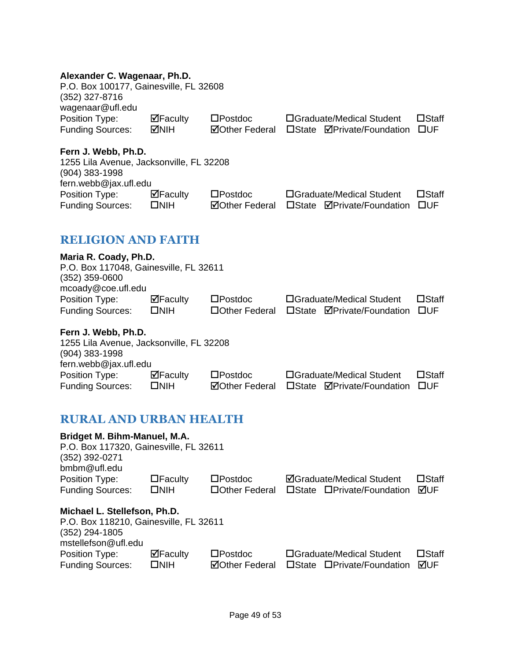#### **Alexander C. Wagenaar, Ph.D.**

| P.O. Box 100177, Gainesville, FL 32608<br>(352) 327-8716<br>wagenaar@ufl.edu |             |                       |                            |                 |
|------------------------------------------------------------------------------|-------------|-----------------------|----------------------------|-----------------|
| Position Type:                                                               | ⊠Faculty    | $\square$ Postdoc     | □Graduate/Medical Student  | $\square$ Staff |
| <b>Funding Sources:</b>                                                      | <b>MNIH</b> | <b>⊠Other Federal</b> | □State ØPrivate/Foundation | – ⊟UE           |
|                                                                              |             |                       |                            |                 |
|                                                                              |             |                       |                            |                 |

#### **Fern J. Webb, Ph.D.**

| 1255 Lila Avenue, Jacksonville, FL 32208 |                   |                       |  |                            |                 |
|------------------------------------------|-------------------|-----------------------|--|----------------------------|-----------------|
| $(904)$ 383-1998                         |                   |                       |  |                            |                 |
| fern.webb@jax.ufl.edu                    |                   |                       |  |                            |                 |
| Position Type:                           | $\boxdot$ Faculty | $\square$ Postdoc     |  | □Graduate/Medical Student  | $\square$ Staff |
| <b>Funding Sources:</b>                  | $\square$ NIH     | <b>⊠Other Federal</b> |  | □State ØPrivate/Foundation | <b>TUE</b>      |
|                                          |                   |                       |  |                            |                 |

### <span id="page-49-0"></span>**RELIGION AND FAITH**

| Maria R. Coady, Ph.D.                  |               |                   |                            |                 |
|----------------------------------------|---------------|-------------------|----------------------------|-----------------|
| P.O. Box 117048, Gainesville, FL 32611 |               |                   |                            |                 |
| $(352)$ 359-0600                       |               |                   |                            |                 |
| mcoady@coe.ufl.edu                     |               |                   |                            |                 |
| Position Type:                         | ⊠Faculty      | $\square$ Postdoc | □Graduate/Medical Student  | $\square$ Staff |
| <b>Funding Sources:</b>                | $\square$ NIH | □Other Federal    | □State ØPrivate/Foundation | <b>TIUF</b>     |
| Fern J. Webb, Ph.D.                    |               |                   |                            |                 |

| $1$ GIII J. WGNN, I III.D.               |                |                       |                                       |                 |
|------------------------------------------|----------------|-----------------------|---------------------------------------|-----------------|
| 1255 Lila Avenue, Jacksonville, FL 32208 |                |                       |                                       |                 |
| $(904)$ 383-1998                         |                |                       |                                       |                 |
| fern.webb@jax.ufl.edu                    |                |                       |                                       |                 |
| Position Type:                           | $\Box$ Faculty | $\square$ Postdoc     | □Graduate/Medical Student             | $\square$ Staff |
| <b>Funding Sources:</b>                  | $\square$ NIH  | <b>⊠Other Federal</b> | □State <b>ØPrivate/Foundation</b> □UF |                 |

### <span id="page-49-1"></span>**RURAL AND URBAN HEALTH**

| Bridget M. Bihm-Manuel, M.A.<br>P.O. Box 117320, Gainesville, FL 32611<br>$(352)$ 392-0271<br>bmbm@ufl.edu |                                 |                       |                 |                                  |                 |
|------------------------------------------------------------------------------------------------------------|---------------------------------|-----------------------|-----------------|----------------------------------|-----------------|
| Position Type:                                                                                             | $\Box$ Faculty                  | $\square$ Postdoc     |                 | <b>⊠Graduate/Medical Student</b> | $\square$ Staff |
| <b>Funding Sources:</b>                                                                                    | $\square$ NIH                   | □ Other Federal       |                 | □State □Private/Foundation       | ⊠UF             |
| Michael L. Stellefson, Ph.D.                                                                               |                                 |                       |                 |                                  |                 |
| P.O. Box 118210, Gainesville, FL 32611                                                                     |                                 |                       |                 |                                  |                 |
| $(352)$ 294-1805                                                                                           |                                 |                       |                 |                                  |                 |
| mstellefson@ufl.edu                                                                                        |                                 |                       |                 |                                  |                 |
| Position Type:                                                                                             | $\overline{\mathbf{M}}$ Faculty | $\square$ Postdoc     |                 | □Graduate/Medical Student        | $\square$ Staff |
| <b>Funding Sources:</b>                                                                                    | $\square$ NIH                   | <b>⊠Other Federal</b> | $\square$ State | □Private/Foundation              | ⊠UF             |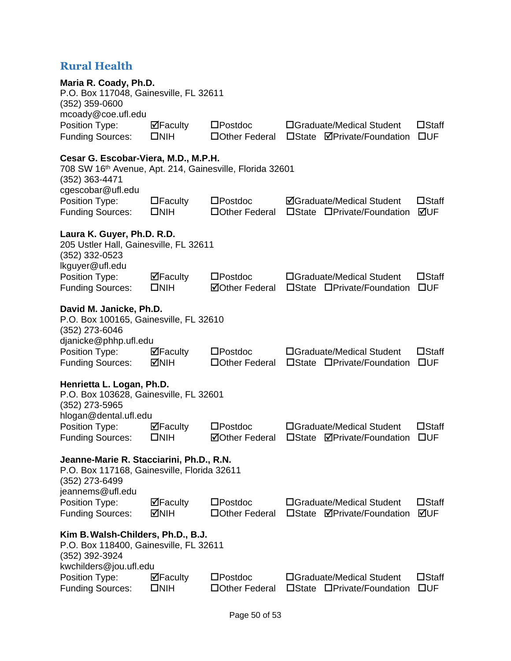### <span id="page-50-0"></span>**Rural Health**

| Maria R. Coady, Ph.D.<br>P.O. Box 117048, Gainesville, FL 32611<br>$(352)$ 359-0600                                                                 |                                                  |                                            |                                                                            |                                 |  |
|-----------------------------------------------------------------------------------------------------------------------------------------------------|--------------------------------------------------|--------------------------------------------|----------------------------------------------------------------------------|---------------------------------|--|
| mcoady@coe.ufl.edu<br>Position Type:<br><b>Funding Sources:</b>                                                                                     | $\Box$ Faculty<br>$\square$ NIH                  | $\square$ Postdoc<br>□Other Federal        | □Graduate/Medical Student<br>$\square$ State<br><b>ØPrivate/Foundation</b> | $\square$ Staff<br>$\square$ UF |  |
| Cesar G. Escobar-Viera, M.D., M.P.H.<br>708 SW 16 <sup>th</sup> Avenue, Apt. 214, Gainesville, Florida 32601<br>(352) 363-4471<br>cgescobar@ufl.edu |                                                  |                                            |                                                                            |                                 |  |
| Position Type:<br><b>Funding Sources:</b>                                                                                                           | $\Box$ Faculty<br>$\square$ NIH                  | $\square$ Postdoc<br>□ Other Federal       | <b>ØGraduate/Medical Student</b><br>□State □Private/Foundation             | $\square$ Staff<br>⊠UF          |  |
| Laura K. Guyer, Ph.D. R.D.<br>205 Ustler Hall, Gainesville, FL 32611<br>$(352)$ 332-0523<br>lkguyer@ufl.edu                                         |                                                  |                                            |                                                                            |                                 |  |
| Position Type:<br><b>Funding Sources:</b>                                                                                                           | $\overline{\mathbf{P}}$ Faculty<br>$\square$ NIH | $\square$ Postdoc<br><b>⊠Other Federal</b> | □Graduate/Medical Student<br>□State □Private/Foundation                    | $\square$ Staff<br>$\square$ UF |  |
| David M. Janicke, Ph.D.<br>P.O. Box 100165, Gainesville, FL 32610<br>(352) 273-6046<br>djanicke@phhp.ufl.edu                                        |                                                  |                                            |                                                                            |                                 |  |
| Position Type:<br><b>Funding Sources:</b>                                                                                                           | $\boxdot$ Faculty<br><b>MNIH</b>                 | $\square$ Postdoc<br>□ Other Federal       | □Graduate/Medical Student<br>□State □Private/Foundation                    | $\square$ Staff<br>$\square$ UF |  |
| Henrietta L. Logan, Ph.D.<br>P.O. Box 103628, Gainesville, FL 32601<br>$(352)$ 273-5965<br>hlogan@dental.ufl.edu                                    |                                                  |                                            |                                                                            |                                 |  |
| Position Type:<br><b>Funding Sources:</b>                                                                                                           | $\Box$ Faculty<br>$\square$ NIH                  | $\square$ Postdoc<br><b>ØOther Federal</b> | □Graduate/Medical Student<br>□State <b>ØPrivate/Foundation</b>             | $\square$ Staff<br>$\square$ UF |  |
| Jeanne-Marie R. Stacciarini, Ph.D., R.N.<br>P.O. Box 117168, Gainesville, Florida 32611<br>(352) 273-6499<br>jeannems@ufl.edu                       |                                                  |                                            |                                                                            |                                 |  |
| Position Type:<br><b>Funding Sources:</b>                                                                                                           | $\Box$ Faculty<br>MNH                            | $\square$ Postdoc<br>□Other Federal        | □Graduate/Medical Student<br><b>ØPrivate/Foundation</b><br>$\Box$ State    | $\square$ Staff<br>MUF          |  |
| Kim B. Walsh-Childers, Ph.D., B.J.<br>P.O. Box 118400, Gainesville, FL 32611<br>(352) 392-3924<br>kwchilders@jou.ufl.edu                            |                                                  |                                            |                                                                            |                                 |  |
| Position Type:<br><b>Funding Sources:</b>                                                                                                           | ⊠Faculty<br>$\square$ NIH                        | $\square$ Postdoc<br>□Other Federal        | □Graduate/Medical Student<br>□State □Private/Foundation                    | $\square$ Staff<br>$\square$ UF |  |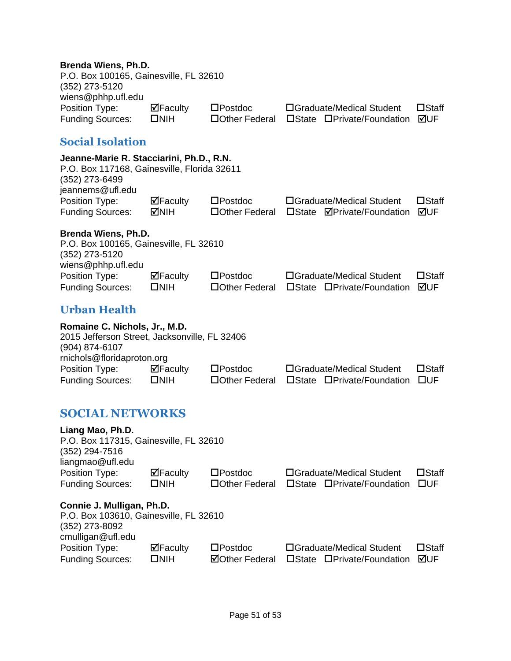#### **Brenda Wiens, Ph.D.**

<span id="page-51-2"></span><span id="page-51-1"></span><span id="page-51-0"></span>

| Brenda Wiens, Ph.D.<br>P.O. Box 100165, Gainesville, FL 32610<br>(352) 273-5120                                               |                                 |                                      |                                                                |                                 |
|-------------------------------------------------------------------------------------------------------------------------------|---------------------------------|--------------------------------------|----------------------------------------------------------------|---------------------------------|
| wiens@phhp.ufl.edu<br>Position Type:<br><b>Funding Sources:</b>                                                               | $\Box$ Faculty<br>$\square$ NIH | $\square$ Postdoc<br>□ Other Federal | □Graduate/Medical Student<br>□State □Private/Foundation        | $\square$ Staff<br>⊠UF          |
| <b>Social Isolation</b>                                                                                                       |                                 |                                      |                                                                |                                 |
| Jeanne-Marie R. Stacciarini, Ph.D., R.N.<br>P.O. Box 117168, Gainesville, Florida 32611<br>(352) 273-6499<br>jeannems@ufl.edu |                                 |                                      |                                                                |                                 |
| Position Type:<br><b>Funding Sources:</b>                                                                                     | $\Box$ Faculty<br><b>MIH</b>    | $\square$ Postdoc<br>□Other Federal  | □Graduate/Medical Student<br>□State <b>ØPrivate/Foundation</b> | $\square$ Staff<br>⊠UF          |
| Brenda Wiens, Ph.D.<br>P.O. Box 100165, Gainesville, FL 32610<br>(352) 273-5120<br>wiens@phhp.ufl.edu                         |                                 |                                      |                                                                |                                 |
| Position Type:<br><b>Funding Sources:</b>                                                                                     | $\Box$ Faculty<br>$\square$ NIH | $\square$ Postdoc<br>□Other Federal  | □Graduate/Medical Student<br>□State □Private/Foundation        | $\square$ Staff<br>⊠UF          |
| <b>Urban Health</b>                                                                                                           |                                 |                                      |                                                                |                                 |
| Romaine C. Nichols, Jr., M.D.<br>2015 Jefferson Street, Jacksonville, FL 32406<br>(904) 874-6107                              |                                 |                                      |                                                                |                                 |
| rnichols@floridaproton.org<br>Position Type:<br><b>Funding Sources:</b>                                                       | $\Box$ Faculty<br>$\square$ NIH | $\square$ Postdoc<br>□Other Federal  | □Graduate/Medical Student<br>□State □Private/Foundation        | $\square$ Staff<br>$\square$ UF |
| <b>SOCIAL NETWORKS</b>                                                                                                        |                                 |                                      |                                                                |                                 |
| Liang Mao, Ph.D.<br>P.O. Box 117315, Gainesville, FL 32610<br>(352) 294-7516<br>liangmao@ufl.edu                              |                                 |                                      |                                                                |                                 |
| Position Type:<br><b>Funding Sources:</b>                                                                                     | $\Box$ Faculty<br>$\square$ NIH | $\square$ Postdoc<br>□Other Federal  | □Graduate/Medical Student<br>□State □Private/Foundation        | $\square$ Staff<br>$\square$ UF |
| Connie J. Mulligan, Ph.D.<br>P.O. Box 103610, Gainesville, FL 32610<br>(352) 273-8092                                         |                                 |                                      |                                                                |                                 |
| cmulligan@ufl.edu<br>Position Type:                                                                                           | ⊠Faculty                        | $\square$ Postdoc                    | □Graduate/Medical Student                                      | $\square$ Staff                 |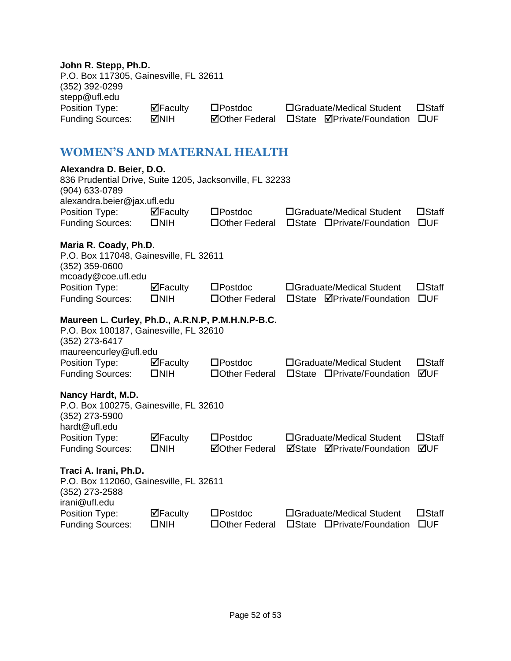### **John R. Stepp, Ph.D.**

<span id="page-52-0"></span>

| JUIIII R. JIEPP, FII.D.<br>P.O. Box 117305, Gainesville, FL 32611                                             |                                    |                                            |                                                                |                                 |
|---------------------------------------------------------------------------------------------------------------|------------------------------------|--------------------------------------------|----------------------------------------------------------------|---------------------------------|
| $(352)$ 392-0299<br>stepp@ufl.edu<br>Position Type:<br><b>Funding Sources:</b>                                | $\boxdot$ Faculty<br><b>MNIH</b>   | $\square$ Postdoc<br><b>ØOther Federal</b> | □Graduate/Medical Student<br>□State <b>ØPrivate/Foundation</b> | $\square$ Staff<br>$\square$ UF |
| <b>WOMEN'S AND MATERNAL HEALTH</b>                                                                            |                                    |                                            |                                                                |                                 |
| Alexandra D. Beier, D.O.<br>836 Prudential Drive, Suite 1205, Jacksonville, FL 32233<br>(904) 633-0789        |                                    |                                            |                                                                |                                 |
| alexandra.beier@jax.ufl.edu<br>Position Type:<br><b>Funding Sources:</b>                                      | $\Box$ Faculty<br>$\square$ NIH    | $\square$ Postdoc<br>□ Other Federal       | □Graduate/Medical Student<br>□State □Private/Foundation        | $\square$ Staff<br>$\square$ UF |
| Maria R. Coady, Ph.D.<br>P.O. Box 117048, Gainesville, FL 32611<br>$(352)$ 359-0600<br>mcoady@coe.ufl.edu     |                                    |                                            |                                                                |                                 |
| Position Type:<br><b>Funding Sources:</b>                                                                     | $\boxdot$ Faculty<br>$\square$ NIH | $\square$ Postdoc<br>□ Other Federal       | □Graduate/Medical Student<br>□State <b>ØPrivate/Foundation</b> | $\square$ Staff<br>$\square$ UF |
| Maureen L. Curley, Ph.D., A.R.N.P, P.M.H.N.P-B.C.<br>P.O. Box 100187, Gainesville, FL 32610<br>(352) 273-6417 |                                    |                                            |                                                                |                                 |
| maureencurley@ufl.edu<br>Position Type:<br><b>Funding Sources:</b>                                            | $\boxdot$ Faculty<br>$\square$ NIH | $\square$ Postdoc<br>□ Other Federal       | □Graduate/Medical Student<br>□State □Private/Foundation        | $\square$ Staff<br>⊠UF          |
| Nancy Hardt, M.D.<br>P.O. Box 100275, Gainesville, FL 32610<br>(352) 273-5900<br>hardt@ufl.edu                |                                    |                                            |                                                                |                                 |
| Position Type:<br><b>Funding Sources:</b>                                                                     | ØFaculty<br>$\square$ NIH          | $\square$ Postdoc<br><b>⊠Other Federal</b> | □Graduate/Medical Student<br><b>ØState ØPrivate/Foundation</b> | $\square$ Staff<br>⊠UF          |
| Traci A. Irani, Ph.D.<br>P.O. Box 112060, Gainesville, FL 32611<br>(352) 273-2588<br>irani@ufl.edu            |                                    |                                            |                                                                |                                 |
| Position Type:<br><b>Funding Sources:</b>                                                                     | $\Box$ Faculty<br>$\square$ NIH    | $\square$ Postdoc<br>□ Other Federal       | □Graduate/Medical Student<br>□State □Private/Foundation        | $\square$ Staff<br>$\square$ UF |